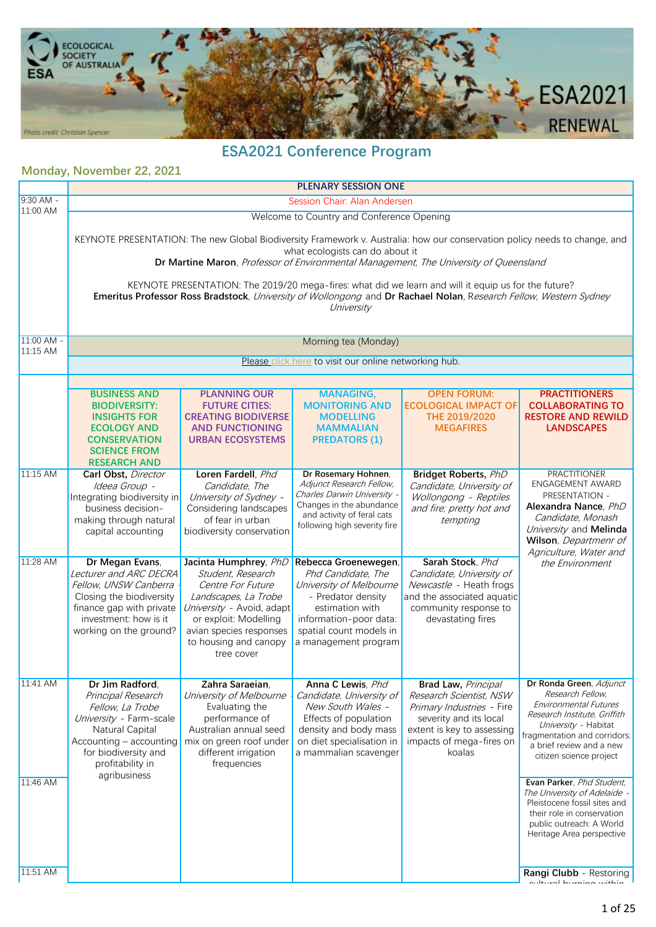

# **ESA2021 Conference Program**

### **Monday, November 22, 2021**

|                        |                                                                                                                                                                                                                                                                                                                                                                                                                                                                                                   | <b>PLENARY SESSION ONE</b>                                                                                                                                                                                      |                                                                                                                                                                                             |                                                                                                                                                                                  |                                                                                                                                                                                                                                                                                                                                                                                                                |  |  |
|------------------------|---------------------------------------------------------------------------------------------------------------------------------------------------------------------------------------------------------------------------------------------------------------------------------------------------------------------------------------------------------------------------------------------------------------------------------------------------------------------------------------------------|-----------------------------------------------------------------------------------------------------------------------------------------------------------------------------------------------------------------|---------------------------------------------------------------------------------------------------------------------------------------------------------------------------------------------|----------------------------------------------------------------------------------------------------------------------------------------------------------------------------------|----------------------------------------------------------------------------------------------------------------------------------------------------------------------------------------------------------------------------------------------------------------------------------------------------------------------------------------------------------------------------------------------------------------|--|--|
| $9:30$ AM -            |                                                                                                                                                                                                                                                                                                                                                                                                                                                                                                   |                                                                                                                                                                                                                 | Session Chair: Alan Andersen                                                                                                                                                                |                                                                                                                                                                                  |                                                                                                                                                                                                                                                                                                                                                                                                                |  |  |
| 11:00 AM               |                                                                                                                                                                                                                                                                                                                                                                                                                                                                                                   |                                                                                                                                                                                                                 | Welcome to Country and Conference Opening                                                                                                                                                   |                                                                                                                                                                                  |                                                                                                                                                                                                                                                                                                                                                                                                                |  |  |
|                        | KEYNOTE PRESENTATION: The new Global Biodiversity Framework v. Australia: how our conservation policy needs to change, and<br>what ecologists can do about it<br>Dr Martine Maron, Professor of Environmental Management, The University of Queensland<br>KEYNOTE PRESENTATION: The 2019/20 mega-fires: what did we learn and will it equip us for the future?<br>Emeritus Professor Ross Bradstock, University of Wollongong and Dr Rachael Nolan, Research Fellow, Western Sydney<br>University |                                                                                                                                                                                                                 |                                                                                                                                                                                             |                                                                                                                                                                                  |                                                                                                                                                                                                                                                                                                                                                                                                                |  |  |
| 11:00 AM -<br>11:15 AM |                                                                                                                                                                                                                                                                                                                                                                                                                                                                                                   |                                                                                                                                                                                                                 | Morning tea (Monday)                                                                                                                                                                        |                                                                                                                                                                                  |                                                                                                                                                                                                                                                                                                                                                                                                                |  |  |
|                        |                                                                                                                                                                                                                                                                                                                                                                                                                                                                                                   |                                                                                                                                                                                                                 | Please click here to visit our online networking hub.                                                                                                                                       |                                                                                                                                                                                  |                                                                                                                                                                                                                                                                                                                                                                                                                |  |  |
|                        |                                                                                                                                                                                                                                                                                                                                                                                                                                                                                                   |                                                                                                                                                                                                                 |                                                                                                                                                                                             |                                                                                                                                                                                  |                                                                                                                                                                                                                                                                                                                                                                                                                |  |  |
|                        | <b>BUSINESS AND</b><br><b>BIODIVERSITY:</b><br><b>INSIGHTS FOR</b><br><b>ECOLOGY AND</b><br><b>CONSERVATION</b><br><b>SCIENCE FROM</b><br><b>RESEARCH AND</b>                                                                                                                                                                                                                                                                                                                                     | <b>PLANNING OUR</b><br><b>FUTURE CITIES:</b><br><b>CREATING BIODIVERSE</b><br><b>AND FUNCTIONING</b><br><b>URBAN ECOSYSTEMS</b>                                                                                 | <b>MANAGING,</b><br><b>MONITORING AND</b><br><b>MODELLING</b><br><b>MAMMALIAN</b><br><b>PREDATORS (1)</b>                                                                                   | <b>OPEN FORUM:</b><br><b>ECOLOGICAL IMPACT OF</b><br>THE 2019/2020<br><b>MEGAFIRES</b>                                                                                           | <b>PRACTITIONERS</b><br><b>COLLABORATING TO</b><br><b>RESTORE AND REWILD</b><br><b>LANDSCAPES</b>                                                                                                                                                                                                                                                                                                              |  |  |
| 11:15 AM               | Carl Obst, Director<br>Ideea Group -<br>Integrating biodiversity in<br>business decision-<br>making through natural<br>capital accounting                                                                                                                                                                                                                                                                                                                                                         | Loren Fardell, Phd<br>Candidate, The<br>University of Sydney -<br>Considering landscapes<br>of fear in urban<br>biodiversity conservation                                                                       | Dr Rosemary Hohnen,<br>Adjunct Research Fellow,<br>Charles Darwin University -<br>Changes in the abundance<br>and activity of feral cats<br>following high severity fire                    | <b>Bridget Roberts, PhD</b><br>Candidate, University of<br>Wollongong - Reptiles<br>and fire; pretty hot and<br>tempting                                                         | <b>PRACTITIONER</b><br><b>ENGAGEMENT AWARD</b><br>PRESENTATION -<br>Alexandra Nance, PhD<br>Candidate, Monash<br>University and Melinda<br>Wilson, Departmenr of<br>Agriculture, Water and                                                                                                                                                                                                                     |  |  |
| 11:28 AM               | Dr Megan Evans,<br>Lecturer and ARC DECRA<br>Fellow, UNSW Canberra<br>Closing the biodiversity<br>finance gap with private<br>investment: how is it<br>working on the ground?                                                                                                                                                                                                                                                                                                                     | Jacinta Humphrey, PhD<br>Student, Research<br>Centre For Future<br>Landscapes, La Trobe<br>University - Avoid, adapt<br>or exploit: Modelling<br>avian species responses<br>to housing and canopy<br>tree cover | Rebecca Groenewegen,<br>Phd Candidate, The<br>University of Melbourne<br>- Predator density<br>estimation with<br>information-poor data:<br>spatial count models in<br>a management program | Sarah Stock, Phd<br>Candidate, University of<br>Newcastle - Heath frogs<br>and the associated aquatic<br>community response to<br>devastating fires                              | the Environment                                                                                                                                                                                                                                                                                                                                                                                                |  |  |
| 11:41 AM<br>11:46 AM   | Dr Jim Radford,<br>Principal Research<br>Fellow, La Trobe<br>University - Farm-scale<br>Natural Capital<br>Accounting - accounting<br>for biodiversity and<br>profitability in<br>agribusiness                                                                                                                                                                                                                                                                                                    | Zahra Saraeian,<br>University of Melbourne<br>Evaluating the<br>performance of<br>Australian annual seed<br>mix on green roof under<br>different irrigation<br>frequencies                                      | Anna C Lewis, Phd<br>Candidate, University of<br>New South Wales -<br>Effects of population<br>density and body mass<br>on diet specialisation in<br>a mammalian scavenger                  | <b>Brad Law, Principal</b><br>Research Scientist, NSW<br>Primary Industries - Fire<br>severity and its local<br>extent is key to assessing<br>impacts of mega-fires on<br>koalas | Dr Ronda Green, Adjunct<br>Research Fellow.<br><b>Environmental Futures</b><br>Research Institute, Griffith<br>University - Habitat<br>fragmentation and corridors:<br>a brief review and a new<br>citizen science project<br>Evan Parker, Phd Student,<br>The University of Adelaide -<br>Pleistocene fossil sites and<br>their role in conservation<br>public outreach: A World<br>Heritage Area perspective |  |  |
| 11:51 AM               |                                                                                                                                                                                                                                                                                                                                                                                                                                                                                                   |                                                                                                                                                                                                                 |                                                                                                                                                                                             |                                                                                                                                                                                  | Rangi Clubb - Restoring<br>أماعاه والمتابعة والمستقارية                                                                                                                                                                                                                                                                                                                                                        |  |  |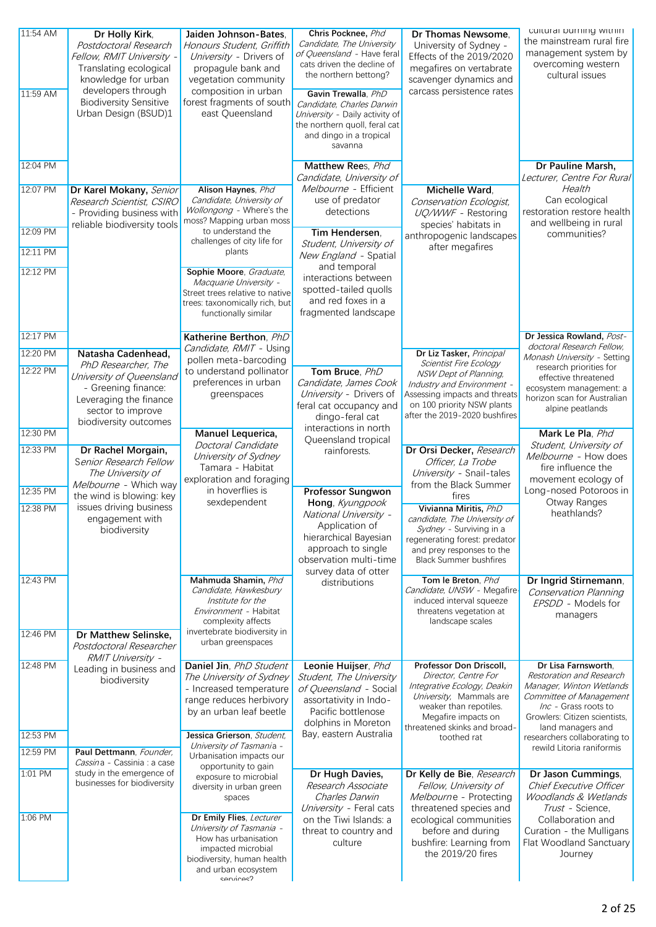| 11:54 AM | Dr Holly Kirk,                                           | Jaiden Johnson-Bates,                                  | Chris Pocknee, Phd                                              | Dr Thomas Newsome.                                          | cultural burning within                                |
|----------|----------------------------------------------------------|--------------------------------------------------------|-----------------------------------------------------------------|-------------------------------------------------------------|--------------------------------------------------------|
|          | Postdoctoral Research                                    | Honours Student, Griffith                              | Candidate, The University                                       | University of Sydney -                                      | the mainstream rural fire                              |
|          | Fellow, RMIT University -                                | University - Drivers of                                | of Queensland - Have feral<br>cats driven the decline of        | Effects of the 2019/2020                                    | management system by<br>overcoming western             |
|          | Translating ecological                                   | propagule bank and                                     | the northern bettong?                                           | megafires on vertabrate                                     | cultural issues                                        |
|          | knowledge for urban                                      | vegetation community                                   |                                                                 | scavenger dynamics and                                      |                                                        |
| 11:59 AM | developers through<br><b>Biodiversity Sensitive</b>      | composition in urban                                   | Gavin Trewalla, PhD                                             | carcass persistence rates                                   |                                                        |
|          | Urban Design (BSUD)1                                     | forest fragments of south<br>east Queensland           | Candidate, Charles Darwin                                       |                                                             |                                                        |
|          |                                                          |                                                        | University - Daily activity of<br>the northern quoll, feral cat |                                                             |                                                        |
|          |                                                          |                                                        | and dingo in a tropical                                         |                                                             |                                                        |
|          |                                                          |                                                        | savanna                                                         |                                                             |                                                        |
|          |                                                          |                                                        |                                                                 |                                                             |                                                        |
| 12:04 PM |                                                          |                                                        | Matthew Rees, Phd<br>Candidate, University of                   |                                                             | Dr Pauline Marsh,<br>Lecturer, Centre For Rural        |
| 12:07 PM | Dr Karel Mokany, Senior                                  | Alison Haynes, Phd                                     | Melbourne - Efficient                                           | Michelle Ward,                                              | Health                                                 |
|          | Research Scientist, CSIRO                                | Candidate, University of                               | use of predator                                                 | Conservation Ecologist,                                     | Can ecological                                         |
|          | - Providing business with                                | Wollongong - Where's the                               | detections                                                      | UQ/WWF - Restoring                                          | restoration restore health                             |
|          | reliable biodiversity tools                              | moss? Mapping urban moss                               |                                                                 | species' habitats in                                        | and wellbeing in rural                                 |
| 12:09 PM |                                                          | to understand the<br>challenges of city life for       | Tim Hendersen,                                                  | anthropogenic landscapes                                    | communities?                                           |
| 12:11 PM |                                                          | plants                                                 | Student, University of<br>New England - Spatial                 | after megafires                                             |                                                        |
|          |                                                          |                                                        | and temporal                                                    |                                                             |                                                        |
| 12:12 PM |                                                          | Sophie Moore, Graduate,<br>Macquarie University -      | interactions between                                            |                                                             |                                                        |
|          |                                                          | Street trees relative to native                        | spotted-tailed quolls                                           |                                                             |                                                        |
|          |                                                          | trees: taxonomically rich, but                         | and red foxes in a                                              |                                                             |                                                        |
|          |                                                          | functionally similar                                   | fragmented landscape                                            |                                                             |                                                        |
|          |                                                          |                                                        |                                                                 |                                                             |                                                        |
| 12:17 PM |                                                          | Katherine Berthon, PhD                                 |                                                                 |                                                             | Dr Jessica Rowland, Post-<br>doctoral Research Fellow, |
| 12:20 PM | Natasha Cadenhead,                                       | Candidate, RMIT - Using<br>pollen meta-barcoding       |                                                                 | Dr Liz Tasker, Principal                                    | Monash University - Setting                            |
| 12:22 PM | PhD Researcher, The                                      | to understand pollinator                               | Tom Bruce, PhD                                                  | Scientist Fire Ecology<br>NSW Dept of Planning,             | research priorities for                                |
|          | University of Queensland<br>- Greening finance:          | preferences in urban                                   | Candidate, James Cook                                           | Industry and Environment -                                  | effective threatened<br>ecosystem management: a        |
|          | Leveraging the finance                                   | greenspaces                                            | University - Drivers of                                         | Assessing impacts and threats                               | horizon scan for Australian                            |
|          | sector to improve                                        |                                                        | feral cat occupancy and                                         | on 100 priority NSW plants<br>after the 2019-2020 bushfires | alpine peatlands                                       |
|          | biodiversity outcomes                                    |                                                        | dingo-feral cat                                                 |                                                             |                                                        |
| 12:30 PM |                                                          | Manuel Lequerica,                                      | interactions in north<br>Queensland tropical                    |                                                             | Mark Le Pla, Phd                                       |
| 12:33 PM | Dr Rachel Morgain,                                       | Doctoral Candidate                                     | rainforests.                                                    | Dr Orsi Decker, Research                                    | Student, University of                                 |
|          | Senior Research Fellow                                   | University of Sydney<br>Tamara - Habitat               |                                                                 | Officer, La Trobe                                           | Melbourne - How does<br>fire influence the             |
|          | The University of                                        | exploration and foraging                               |                                                                 | University - Snail-tales                                    | movement ecology of                                    |
| 12:35 PM | Melbourne - Which way                                    | in hoverflies is                                       | <b>Professor Sungwon</b>                                        | from the Black Summer                                       | Long-nosed Potoroos in                                 |
|          | the wind is blowing: key<br>issues driving business      | sexdependent                                           | Hong, Kyungpook                                                 | fires                                                       | Otway Ranges                                           |
| 12:38 PM | engagement with                                          |                                                        | National University -                                           | Vivianna Miritis, PhD<br>candidate, The University of       | heathlands?                                            |
|          | biodiversity                                             |                                                        | Application of                                                  | Sydney - Surviving in a                                     |                                                        |
|          |                                                          |                                                        | hierarchical Bayesian                                           | regenerating forest: predator                               |                                                        |
|          |                                                          |                                                        | approach to single<br>observation multi-time                    | and prey responses to the                                   |                                                        |
|          |                                                          |                                                        | survey data of otter                                            | <b>Black Summer bushfires</b>                               |                                                        |
| 12:43 PM |                                                          | Mahmuda Shamin, Phd                                    | distributions                                                   | Tom le Breton, Phd                                          | Dr Ingrid Stirnemann,                                  |
|          |                                                          | Candidate, Hawkesbury                                  |                                                                 | Candidate, UNSW - Megafire                                  | Conservation Planning                                  |
|          |                                                          | Institute for the<br>Environment - Habitat             |                                                                 | induced interval squeeze<br>threatens vegetation at         | EPSDD - Models for                                     |
|          |                                                          | complexity affects                                     |                                                                 | landscape scales                                            | managers                                               |
| 12:46 PM | Dr Matthew Selinske,                                     | invertebrate biodiversity in                           |                                                                 |                                                             |                                                        |
|          | Postdoctoral Researcher                                  | urban greenspaces                                      |                                                                 |                                                             |                                                        |
| 12:48 PM | RMIT University -                                        | Daniel Jin, PhD Student                                | Leonie Huijser, Phd                                             | Professor Don Driscoll,                                     | Dr Lisa Farnsworth,                                    |
|          | Leading in business and                                  | The University of Sydney                               | Student, The University                                         | Director, Centre For                                        | Restoration and Research                               |
|          | biodiversity                                             | - Increased temperature                                | of Queensland - Social                                          | Integrative Ecology, Deakin                                 | Manager, Winton Wetlands                               |
|          |                                                          | range reduces herbivory                                | assortativity in Indo-                                          | University, Mammals are                                     | Committee of Management                                |
|          |                                                          | by an urban leaf beetle                                | Pacific bottlenose                                              | weaker than repotiles.<br>Megafire impacts on               | Inc - Grass roots to<br>Growlers: Citizen scientists,  |
|          |                                                          |                                                        | dolphins in Moreton                                             | threatened skinks and broad-                                | land managers and                                      |
| 12:53 PM |                                                          | Jessica Grierson, Student,<br>University of Tasmania - | Bay, eastern Australia                                          | toothed rat                                                 | researchers collaborating to                           |
| 12:59 PM | Paul Dettmann, Founder,                                  | Urbanisation impacts our                               |                                                                 |                                                             | rewild Litoria raniformis                              |
|          | Cassina - Cassinia : a case                              | opportunity to gain                                    |                                                                 |                                                             |                                                        |
| 1:01 PM  | study in the emergence of<br>businesses for biodiversity | exposure to microbial                                  | Dr Hugh Davies,<br>Research Associate                           | Dr Kelly de Bie, Research<br>Fellow, University of          | Dr Jason Cummings,<br>Chief Executive Officer          |
|          |                                                          | diversity in urban green<br>spaces                     | Charles Darwin                                                  | Melbourne - Protecting                                      | Woodlands & Wetlands                                   |
|          |                                                          |                                                        | University - Feral cats                                         | threatened species and                                      | Trust - Science,                                       |
| 1:06 PM  |                                                          | Dr Emily Flies, Lecturer                               | on the Tiwi Islands: a                                          | ecological communities                                      | Collaboration and                                      |
|          |                                                          | University of Tasmania -<br>How has urbanisation       | threat to country and                                           | before and during                                           | Curation - the Mulligans                               |
|          |                                                          | impacted microbial                                     | culture                                                         | bushfire: Learning from                                     | Flat Woodland Sanctuary                                |
|          |                                                          | biodiversity, human health                             |                                                                 | the 2019/20 fires                                           | Journey                                                |
|          |                                                          | and urban ecosystem<br>cantinac?                       |                                                                 |                                                             |                                                        |
|          |                                                          |                                                        |                                                                 |                                                             |                                                        |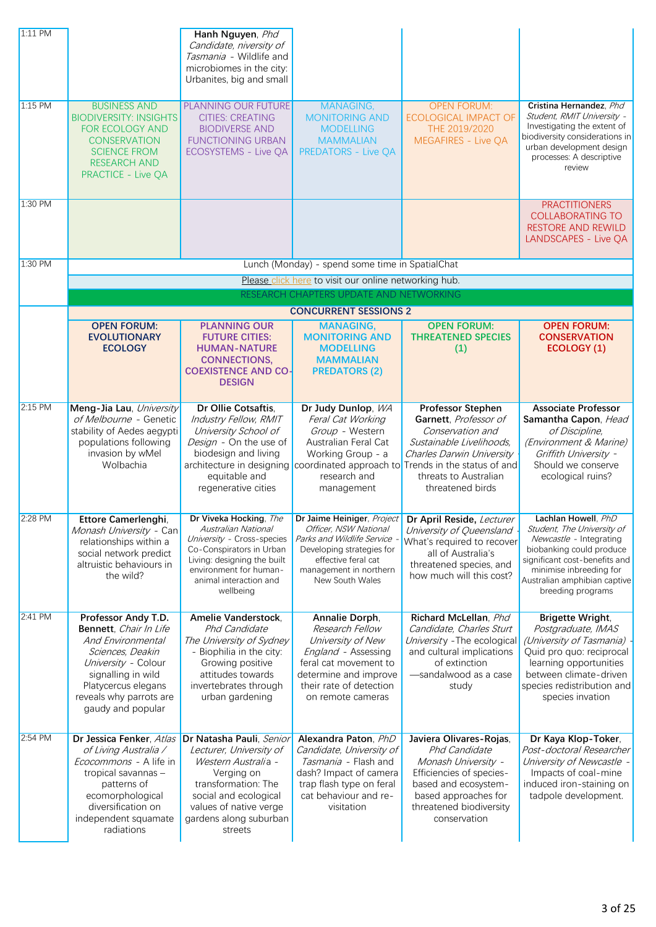| $1:11$ PM |                                                                                                                                                                                                                   | Hanh Nguyen, Phd                                                                                                                                                                                        |                                                                                                                                                                                 |                                                                                                                                                                                                                                                              |                                                                                                                                                                                                                           |
|-----------|-------------------------------------------------------------------------------------------------------------------------------------------------------------------------------------------------------------------|---------------------------------------------------------------------------------------------------------------------------------------------------------------------------------------------------------|---------------------------------------------------------------------------------------------------------------------------------------------------------------------------------|--------------------------------------------------------------------------------------------------------------------------------------------------------------------------------------------------------------------------------------------------------------|---------------------------------------------------------------------------------------------------------------------------------------------------------------------------------------------------------------------------|
|           |                                                                                                                                                                                                                   | Candidate, niversity of<br>Tasmania - Wildlife and<br>microbiomes in the city:<br>Urbanites, big and small                                                                                              |                                                                                                                                                                                 |                                                                                                                                                                                                                                                              |                                                                                                                                                                                                                           |
| $1:15$ PM | <b>BUSINESS AND</b><br><b>BIODIVERSITY: INSIGHTS</b><br><b>FOR ECOLOGY AND</b><br><b>CONSERVATION</b><br><b>SCIENCE FROM</b><br><b>RESEARCH AND</b><br><b>PRACTICE - Live QA</b>                                  | <b>PLANNING OUR FUTURE</b><br><b>CITIES: CREATING</b><br><b>BIODIVERSE AND</b><br><b>FUNCTIONING URBAN</b><br><b>ECOSYSTEMS - Live QA</b>                                                               | MANAGING,<br><b>MONITORING AND</b><br><b>MODELLING</b><br><b>MAMMALIAN</b><br>PREDATORS - Live QA                                                                               | <b>OPEN FORUM:</b><br><b>ECOLOGICAL IMPACT OF</b><br>THE 2019/2020<br>MEGAFIRES - Live QA                                                                                                                                                                    | Cristina Hernandez, Phd<br>Student, RMIT University -<br>Investigating the extent of<br>biodiversity considerations in<br>urban development design<br>processes: A descriptive<br>review                                  |
| 1:30 PM   |                                                                                                                                                                                                                   |                                                                                                                                                                                                         |                                                                                                                                                                                 |                                                                                                                                                                                                                                                              | <b>PRACTITIONERS</b><br><b>COLLABORATING TO</b><br><b>RESTORE AND REWILD</b><br>LANDSCAPES - Live QA                                                                                                                      |
| 1:30 PM   |                                                                                                                                                                                                                   |                                                                                                                                                                                                         | Lunch (Monday) - spend some time in SpatialChat                                                                                                                                 |                                                                                                                                                                                                                                                              |                                                                                                                                                                                                                           |
|           |                                                                                                                                                                                                                   |                                                                                                                                                                                                         | Please click here to visit our online networking hub.<br>RESEARCH CHAPTERS UPDATE AND NETWORKING                                                                                |                                                                                                                                                                                                                                                              |                                                                                                                                                                                                                           |
|           |                                                                                                                                                                                                                   |                                                                                                                                                                                                         | <b>CONCURRENT SESSIONS 2</b>                                                                                                                                                    |                                                                                                                                                                                                                                                              |                                                                                                                                                                                                                           |
|           | <b>OPEN FORUM:</b><br><b>EVOLUTIONARY</b><br><b>ECOLOGY</b>                                                                                                                                                       | <b>PLANNING OUR</b><br><b>FUTURE CITIES:</b><br><b>HUMAN-NATURE</b><br><b>CONNECTIONS,</b><br><b>COEXISTENCE AND CO-</b><br><b>DESIGN</b>                                                               | <b>MANAGING,</b><br><b>MONITORING AND</b><br><b>MODELLING</b><br><b>MAMMALIAN</b><br><b>PREDATORS (2)</b>                                                                       | <b>OPEN FORUM:</b><br><b>THREATENED SPECIES</b><br>(1)                                                                                                                                                                                                       | <b>OPEN FORUM:</b><br><b>CONSERVATION</b><br><b>ECOLOGY (1)</b>                                                                                                                                                           |
| 2:15 PM   | Meng-Jia Lau, University<br>of Melbourne - Genetic<br>stability of Aedes aegypti<br>populations following<br>invasion by wMel<br>Wolbachia                                                                        | <b>Dr Ollie Cotsaftis,</b><br>Industry Fellow, RMIT<br>University School of<br>Design - On the use of<br>biodesign and living<br>equitable and<br>regenerative cities                                   | Dr Judy Dunlop, WA<br>Feral Cat Working<br>Group - Western<br><b>Australian Feral Cat</b><br>Working Group - a<br>research and<br>management                                    | <b>Professor Stephen</b><br>Garnett, Professor of<br>Conservation and<br>Sustainable Livelihoods.<br>Charles Darwin University<br>architecture in designing coordinated approach to Trends in the status of and<br>threats to Australian<br>threatened birds | <b>Associate Professor</b><br>Samantha Capon, Head<br>of Discipline,<br>(Environment & Marine)<br>Griffith University -<br>Should we conserve<br>ecological ruins?                                                        |
| 2:28 PM   | Ettore Camerlenghi,<br>Monash University - Can<br>relationships within a<br>social network predict<br>altruistic behaviours in<br>the wild?                                                                       | Dr Viveka Hocking, The<br>Australian National<br>University - Cross-species<br>Co-Conspirators in Urban<br>Living: designing the built<br>environment for human-<br>animal interaction and<br>wellbeing | Officer, NSW National<br>Parks and Wildlife Service<br>Developing strategies for<br>effective feral cat<br>management in northern<br>New South Wales                            | Dr Jaime Heiniger, Project Dr April Reside, Lecturer<br>University of Queensland<br>What's required to recover<br>all of Australia's<br>threatened species, and<br>how much will this cost?                                                                  | Lachlan Howell, PhD<br>Student, The University of<br>Newcastle - Integrating<br>biobanking could produce<br>significant cost-benefits and<br>minimise inbreeding for<br>Australian amphibian captive<br>breeding programs |
| 2:41 PM   | Professor Andy T.D.<br><b>Bennett, Chair In Life</b><br>And Environmental<br>Sciences, Deakin<br>University - Colour<br>signalling in wild<br>Platycercus elegans<br>reveals why parrots are<br>gaudy and popular | Amelie Vanderstock,<br><b>Phd Candidate</b><br>The University of Sydney<br>- Biophilia in the city:<br>Growing positive<br>attitudes towards<br>invertebrates through<br>urban gardening                | Annalie Dorph,<br>Research Fellow<br>University of New<br>England - Assessing<br>feral cat movement to<br>determine and improve<br>their rate of detection<br>on remote cameras | Richard McLellan, Phd<br>Candidate, Charles Sturt<br>University - The ecological<br>and cultural implications<br>of extinction<br>-sandalwood as a case<br>study                                                                                             | <b>Brigette Wright,</b><br>Postgraduate, IMAS<br>(University of Tasmania)<br>Quid pro quo: reciprocal<br>learning opportunities<br>between climate-driven<br>species redistribution and<br>species invation               |
| 2:54 PM   | Dr Jessica Fenker, Atlas<br>of Living Australia /<br>Ecocommons - A life in<br>tropical savannas -<br>patterns of<br>ecomorphological<br>diversification on<br>independent squamate<br>radiations                 | Dr Natasha Pauli, Senior<br>Lecturer, University of<br>Western Australia -<br>Verging on<br>transformation: The<br>social and ecological<br>values of native verge<br>gardens along suburban<br>streets | Alexandra Paton, PhD<br>Candidate, University of<br>Tasmania - Flash and<br>dash? Impact of camera<br>trap flash type on feral<br>cat behaviour and re-<br>visitation           | Javiera Olivares-Rojas,<br><b>Phd Candidate</b><br>Monash University -<br>Efficiencies of species-<br>based and ecosystem-<br>based approaches for<br>threatened biodiversity<br>conservation                                                                | Dr Kaya Klop-Toker,<br>Post-doctoral Researcher<br>University of Newcastle<br>Impacts of coal-mine<br>induced iron-staining on<br>tadpole development.                                                                    |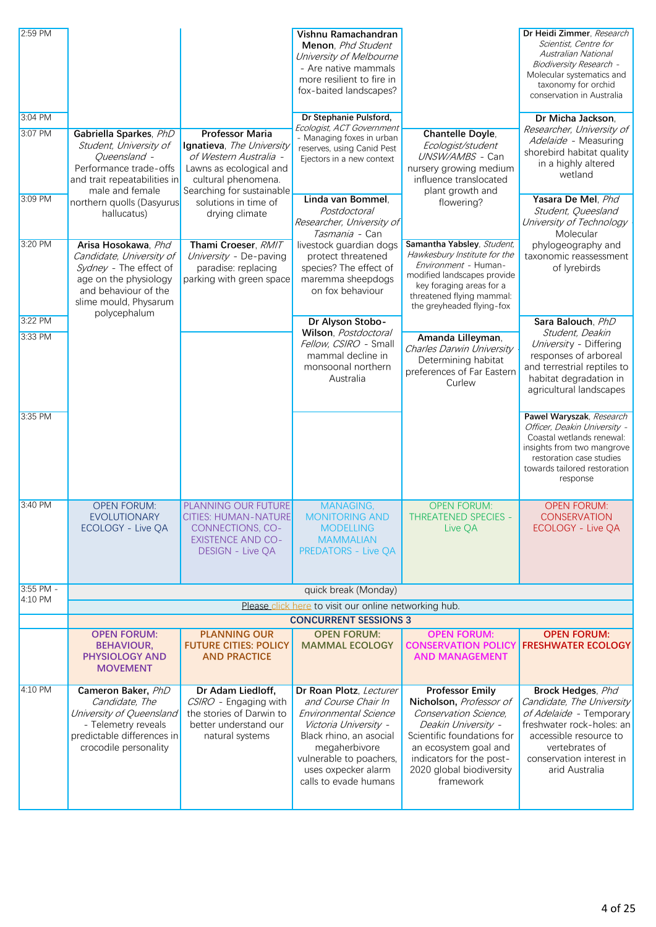| 2:59 PM     |                                                                                                                                                                     |                                                                                                                                                              | Vishnu Ramachandran<br>Menon, Phd Student<br>University of Melbourne                                                                                                                                                           |                                                                                                                                                                                                                               | Dr Heidi Zimmer, Research<br>Scientist, Centre for<br>Australian National                                                                                                                        |
|-------------|---------------------------------------------------------------------------------------------------------------------------------------------------------------------|--------------------------------------------------------------------------------------------------------------------------------------------------------------|--------------------------------------------------------------------------------------------------------------------------------------------------------------------------------------------------------------------------------|-------------------------------------------------------------------------------------------------------------------------------------------------------------------------------------------------------------------------------|--------------------------------------------------------------------------------------------------------------------------------------------------------------------------------------------------|
|             |                                                                                                                                                                     |                                                                                                                                                              | - Are native mammals<br>more resilient to fire in<br>fox-baited landscapes?                                                                                                                                                    |                                                                                                                                                                                                                               | <b>Biodiversity Research -</b><br>Molecular systematics and<br>taxonomy for orchid<br>conservation in Australia                                                                                  |
| 3:04 PM     |                                                                                                                                                                     |                                                                                                                                                              | Dr Stephanie Pulsford,                                                                                                                                                                                                         |                                                                                                                                                                                                                               | Dr Micha Jackson,                                                                                                                                                                                |
| 3:07 PM     | Gabriella Sparkes, PhD<br>Student, University of<br>Queensland -<br>Performance trade-offs<br>and trait repeatabilities in<br>male and female                       | <b>Professor Maria</b><br>Ignatieva, The University<br>of Western Australia -<br>Lawns as ecological and<br>cultural phenomena.<br>Searching for sustainable | Ecologist, ACT Government<br>- Managing foxes in urban<br>reserves, using Canid Pest<br>Ejectors in a new context                                                                                                              | <b>Chantelle Doyle,</b><br>Ecologist/student<br>UNSW/AMBS - Can<br>nursery growing medium<br>influence translocated<br>plant growth and                                                                                       | Researcher, University of<br>Adelaide - Measuring<br>shorebird habitat quality<br>in a highly altered<br>wetland                                                                                 |
| 3:09 PM     | northern quolls (Dasyurus<br>hallucatus)                                                                                                                            | solutions in time of<br>drying climate                                                                                                                       | Linda van Bommel,<br>Postdoctoral<br>Researcher, University of<br>Tasmania - Can                                                                                                                                               | flowering?                                                                                                                                                                                                                    | Yasara De Mel, Phd<br>Student, Queesland<br>University of Technology<br>Molecular                                                                                                                |
| 3:20 PM     | Arisa Hosokawa, Phd<br>Candidate, University of<br>Sydney - The effect of<br>age on the physiology<br>and behaviour of the<br>slime mould, Physarum<br>polycephalum | Thami Croeser, RMIT<br>University - De-paving<br>paradise: replacing<br>parking with green space                                                             | livestock guardian dogs<br>protect threatened<br>species? The effect of<br>maremma sheepdogs<br>on fox behaviour                                                                                                               | Samantha Yabsley, Student,<br>Hawkesbury Institute for the<br>Environment - Human-<br>modified landscapes provide<br>key foraging areas for a<br>threatened flying mammal:<br>the greyheaded flying-fox                       | phylogeography and<br>taxonomic reassessment<br>of lyrebirds                                                                                                                                     |
| 3:22 PM     |                                                                                                                                                                     |                                                                                                                                                              | Dr Alyson Stobo-                                                                                                                                                                                                               |                                                                                                                                                                                                                               | Sara Balouch, PhD                                                                                                                                                                                |
| 3:33 PM     |                                                                                                                                                                     |                                                                                                                                                              | Wilson, Postdoctoral<br>Fellow, CSIRO - Small<br>mammal decline in<br>monsoonal northern<br>Australia                                                                                                                          | Amanda Lilleyman,<br>Charles Darwin University<br>Determining habitat<br>preferences of Far Eastern<br>Curlew                                                                                                                 | Student, Deakin<br>University - Differing<br>responses of arboreal<br>and terrestrial reptiles to<br>habitat degradation in<br>agricultural landscapes                                           |
| 3:35 PM     |                                                                                                                                                                     |                                                                                                                                                              |                                                                                                                                                                                                                                |                                                                                                                                                                                                                               | Pawel Waryszak, Research<br>Officer, Deakin University -<br>Coastal wetlands renewal:<br>insights from two mangrove<br>restoration case studies<br>towards tailored restoration<br>response      |
| 3:40 PM     | <b>OPEN FORUM:</b><br><b>EVOLUTIONARY</b><br>ECOLOGY - Live QA                                                                                                      | <b>PLANNING OUR FUTURE</b><br><b>CITIES: HUMAN-NATURE</b><br><b>CONNECTIONS, CO-</b><br><b>EXISTENCE AND CO-</b><br><b>DESIGN - Live QA</b>                  | <b>MANAGING,</b><br><b>MONITORING AND</b><br><b>MODELLING</b><br><b>MAMMALIAN</b><br>PREDATORS - Live QA                                                                                                                       | <b>OPEN FORUM:</b><br><b>THREATENED SPECIES</b><br>Live QA                                                                                                                                                                    | <b>OPEN FORUM:</b><br><b>CONSERVATION</b><br>ECOLOGY - Live QA                                                                                                                                   |
| $3:55$ PM - |                                                                                                                                                                     |                                                                                                                                                              | quick break (Monday)                                                                                                                                                                                                           |                                                                                                                                                                                                                               |                                                                                                                                                                                                  |
| 4:10 PM     |                                                                                                                                                                     |                                                                                                                                                              | Please click here to visit our online networking hub.                                                                                                                                                                          |                                                                                                                                                                                                                               |                                                                                                                                                                                                  |
|             |                                                                                                                                                                     |                                                                                                                                                              | <b>CONCURRENT SESSIONS 3</b>                                                                                                                                                                                                   |                                                                                                                                                                                                                               |                                                                                                                                                                                                  |
|             | <b>OPEN FORUM:</b><br><b>BEHAVIOUR,</b><br><b>PHYSIOLOGY AND</b><br><b>MOVEMENT</b>                                                                                 | <b>PLANNING OUR</b><br><b>FUTURE CITIES: POLICY</b><br><b>AND PRACTICE</b>                                                                                   | <b>OPEN FORUM:</b><br><b>MAMMAL ECOLOGY</b>                                                                                                                                                                                    | <b>OPEN FORUM:</b><br><b>CONSERVATION POLICY</b><br><b>AND MANAGEMENT</b>                                                                                                                                                     | <b>OPEN FORUM:</b><br><b>FRESHWATER ECOLOGY</b>                                                                                                                                                  |
| 4:10 PM     | Cameron Baker, PhD<br>Candidate, The<br>University of Queensland<br>- Telemetry reveals<br>predictable differences in<br>crocodile personality                      | Dr Adam Liedloff,<br>CSIRO - Engaging with<br>the stories of Darwin to<br>better understand our<br>natural systems                                           | Dr Roan Plotz, Lecturer<br>and Course Chair In<br><b>Environmental Science</b><br>Victoria University -<br>Black rhino, an asocial<br>megaherbivore<br>vulnerable to poachers,<br>uses oxpecker alarm<br>calls to evade humans | <b>Professor Emily</b><br>Nicholson, Professor of<br>Conservation Science,<br>Deakin University -<br>Scientific foundations for<br>an ecosystem goal and<br>indicators for the post-<br>2020 global biodiversity<br>framework | Brock Hedges, Phd<br>Candidate, The University<br>of Adelaide - Temporary<br>freshwater rock-holes: an<br>accessible resource to<br>vertebrates of<br>conservation interest in<br>arid Australia |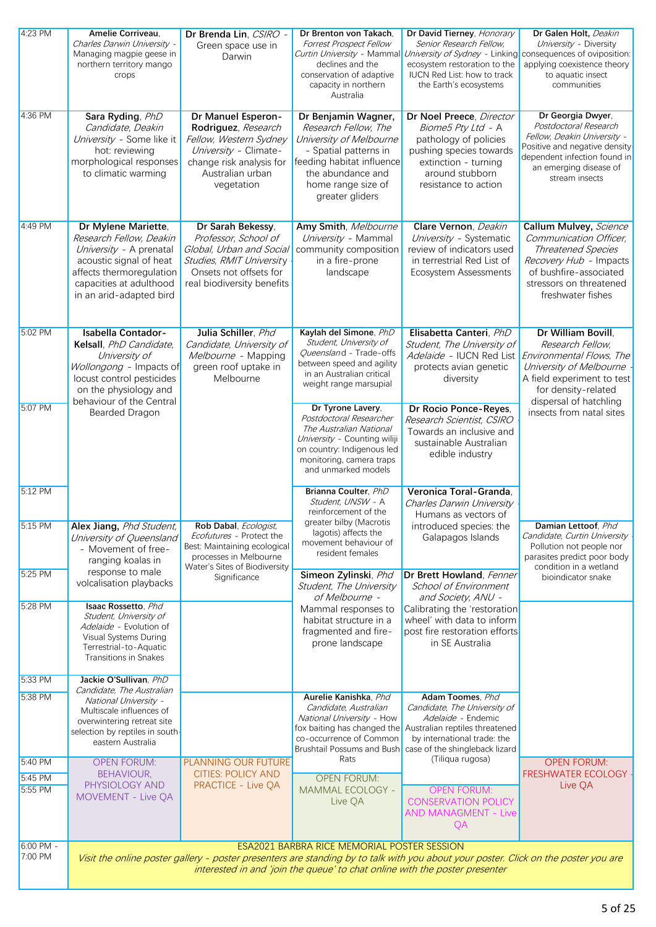| 4:23 PM            | Amelie Corriveau.                                                                                                                                                                      | Dr Brenda Lin, CSIRO -                                                                                                                                            | Dr Brenton von Takach,                                                                                                                                                                     | Dr David Tierney, Honorary                                                                                                                                                                                 | Dr Galen Holt, Deakin                                                                                                                                                                    |
|--------------------|----------------------------------------------------------------------------------------------------------------------------------------------------------------------------------------|-------------------------------------------------------------------------------------------------------------------------------------------------------------------|--------------------------------------------------------------------------------------------------------------------------------------------------------------------------------------------|------------------------------------------------------------------------------------------------------------------------------------------------------------------------------------------------------------|------------------------------------------------------------------------------------------------------------------------------------------------------------------------------------------|
|                    | Charles Darwin University -<br>Managing magpie geese in<br>northern territory mango<br>crops                                                                                           | Green space use in<br>Darwin                                                                                                                                      | <b>Forrest Prospect Fellow</b><br>declines and the<br>conservation of adaptive<br>capacity in northern<br>Australia                                                                        | Senior Research Fellow.<br>Curtin University - Mammal University of Sydney - Linking consequences of oviposition:<br>ecosystem restoration to the<br>IUCN Red List: how to track<br>the Earth's ecosystems | University - Diversity<br>applying coexistence theory<br>to aquatic insect<br>communities                                                                                                |
| 4:36 PM            | Sara Ryding, PhD<br>Candidate, Deakin<br>University - Some like it<br>hot: reviewing<br>morphological responses<br>to climatic warming                                                 | <b>Dr Manuel Esperon-</b><br>Rodriguez, Research<br>Fellow, Western Sydney<br>University - Climate-<br>change risk analysis for<br>Australian urban<br>vegetation | Dr Benjamin Wagner,<br>Research Fellow, The<br>University of Melbourne<br>- Spatial patterns in<br>feeding habitat influence<br>the abundance and<br>home range size of<br>greater gliders | Dr Noel Preece, Director<br>Biome5 Pty Ltd - A<br>pathology of policies<br>pushing species towards<br>extinction - turning<br>around stubborn<br>resistance to action                                      | Dr Georgia Dwyer,<br>Postdoctoral Research<br>Fellow, Deakin University -<br>Positive and negative density<br>dependent infection found in<br>an emerging disease of<br>stream insects   |
| 4:49 PM            | Dr Mylene Mariette,<br>Research Fellow, Deakin<br>University - A prenatal<br>acoustic signal of heat<br>affects thermoregulation<br>capacities at adulthood<br>in an arid-adapted bird | Dr Sarah Bekessy,<br>Professor, School of<br>Global, Urban and Social<br>Studies, RMIT University<br>Onsets not offsets for<br>real biodiversity benefits         | Amy Smith, Melbourne<br>University - Mammal<br>community composition<br>in a fire-prone<br>landscape                                                                                       | Clare Vernon, Deakin<br>University - Systematic<br>review of indicators used<br>in terrestrial Red List of<br>Ecosystem Assessments                                                                        | Callum Mulvey, Science<br><b>Communication Officer.</b><br><b>Threatened Species</b><br>Recovery Hub - Impacts<br>of bushfire-associated<br>stressors on threatened<br>freshwater fishes |
| 5:02 PM            | <b>Isabella Contador-</b><br>Kelsall, PhD Candidate,<br>University of<br>Wollongong - Impacts of<br>locust control pesticides<br>on the physiology and                                 | Julia Schiller, Phd<br>Candidate, University of<br>Melbourne - Mapping<br>green roof uptake in<br>Melbourne                                                       | Kaylah del Simone, PhD<br>Student, University of<br>Queensland - Trade-offs<br>between speed and agility<br>in an Australian critical<br>weight range marsupial                            | Elisabetta Canteri, PhD<br>Student, The University of<br>Adelaide - IUCN Red List<br>protects avian genetic<br>diversity                                                                                   | Dr William Bovill,<br>Research Fellow,<br><b>Environmental Flows</b> , The<br>University of Melbourne<br>A field experiment to test<br>for density-related                               |
| 5:07 PM            | behaviour of the Central<br>Bearded Dragon                                                                                                                                             |                                                                                                                                                                   | Dr Tyrone Lavery,<br>Postdoctoral Researcher<br>The Australian National<br>University - Counting wiliji<br>on country: Indigenous led<br>monitoring, camera traps<br>and unmarked models   | Dr Rocio Ponce-Reyes,<br>Research Scientist, CSIRO<br>Towards an inclusive and<br>sustainable Australian<br>edible industry                                                                                | dispersal of hatchling<br>insects from natal sites                                                                                                                                       |
| 5:12 PM            |                                                                                                                                                                                        |                                                                                                                                                                   | Brianna Coulter, PhD<br>Student, UNSW - A<br>reinforcement of the                                                                                                                          | Veronica Toral-Granda,<br>Charles Darwin University<br>Humans as vectors of                                                                                                                                |                                                                                                                                                                                          |
| 5:15 PM            | Alex Jiang, Phd Student,<br>University of Queensland<br>- Movement of free-<br>ranging koalas in                                                                                       | Rob Dabal, Ecologist,<br>Ecofutures - Protect the<br>Best: Maintaining ecological<br>processes in Melbourne<br>Water's Sites of Biodiversity                      | greater bilby (Macrotis<br>lagotis) affects the<br>movement behaviour of<br>resident females                                                                                               | introduced species: the<br>Galapagos Islands                                                                                                                                                               | Damian Lettoof, Phd<br>Candidate, Curtin University<br>Pollution not people nor<br>parasites predict poor body<br>condition in a wetland                                                 |
| 5:25 PM            | response to male<br>volcalisation playbacks                                                                                                                                            | Significance                                                                                                                                                      | Simeon Zylinski, Phd<br>Student, The University<br>of Melbourne -                                                                                                                          | Dr Brett Howland, Fenner<br><b>School of Environment</b><br>and Society, ANU -                                                                                                                             | bioindicator snake                                                                                                                                                                       |
| 5:28 PM            | Isaac Rossetto, Phd<br>Student, University of<br>Adelaide - Evolution of<br>Visual Systems During<br>Terrestrial-to-Aquatic<br><b>Transitions in Snakes</b>                            |                                                                                                                                                                   | Mammal responses to<br>habitat structure in a<br>fragmented and fire-<br>prone landscape                                                                                                   | Calibrating the 'restoration<br>wheel' with data to inform<br>post fire restoration efforts<br>in SE Australia                                                                                             |                                                                                                                                                                                          |
| 5:33 PM            | Jackie O'Sullivan, PhD                                                                                                                                                                 |                                                                                                                                                                   |                                                                                                                                                                                            |                                                                                                                                                                                                            |                                                                                                                                                                                          |
| 5:38 PM            | Candidate, The Australian<br>National University -<br>Multiscale influences of<br>overwintering retreat site<br>selection by reptiles in south-<br>eastern Australia                   |                                                                                                                                                                   | Aurelie Kanishka, Phd<br>Candidate, Australian<br>National University - How<br>fox baiting has changed the<br>co-occurrence of Common<br>Brushtail Possums and Bush                        | Adam Toomes, Phd<br>Candidate, The University of<br>Adelaide - Endemic<br>Australian reptiles threatened<br>by international trade: the<br>case of the shingleback lizard                                  |                                                                                                                                                                                          |
| 5:40 PM            | <b>OPEN FORUM:</b>                                                                                                                                                                     | <b>PLANNING OUR FUTURE</b>                                                                                                                                        | Rats                                                                                                                                                                                       | (Tiliqua rugosa)                                                                                                                                                                                           | <b>OPEN FORUM:</b>                                                                                                                                                                       |
| 5:45 PM<br>5:55 PM | BEHAVIOUR,<br>PHYSIOLOGY AND<br>MOVEMENT - Live QA                                                                                                                                     | <b>CITIES: POLICY AND</b><br><b>PRACTICE - Live QA</b>                                                                                                            | <b>OPEN FORUM:</b><br>MAMMAL ECOLOGY -<br>Live QA                                                                                                                                          | <b>OPEN FORUM:</b><br><b>CONSERVATION POLICY</b><br><b>AND MANAGMENT - Live</b><br>QA                                                                                                                      | FRESHWATER ECOLOGY<br>Live QA                                                                                                                                                            |
| $6:00$ PM -        |                                                                                                                                                                                        |                                                                                                                                                                   | ESA2021 BARBRA RICE MEMORIAL POSTER SESSION                                                                                                                                                |                                                                                                                                                                                                            |                                                                                                                                                                                          |
| 7:00 PM            |                                                                                                                                                                                        |                                                                                                                                                                   | interested in and 'join the queue' to chat online with the poster presenter                                                                                                                | Visit the online poster gallery - poster presenters are standing by to talk with you about your poster. Click on the poster you are                                                                        |                                                                                                                                                                                          |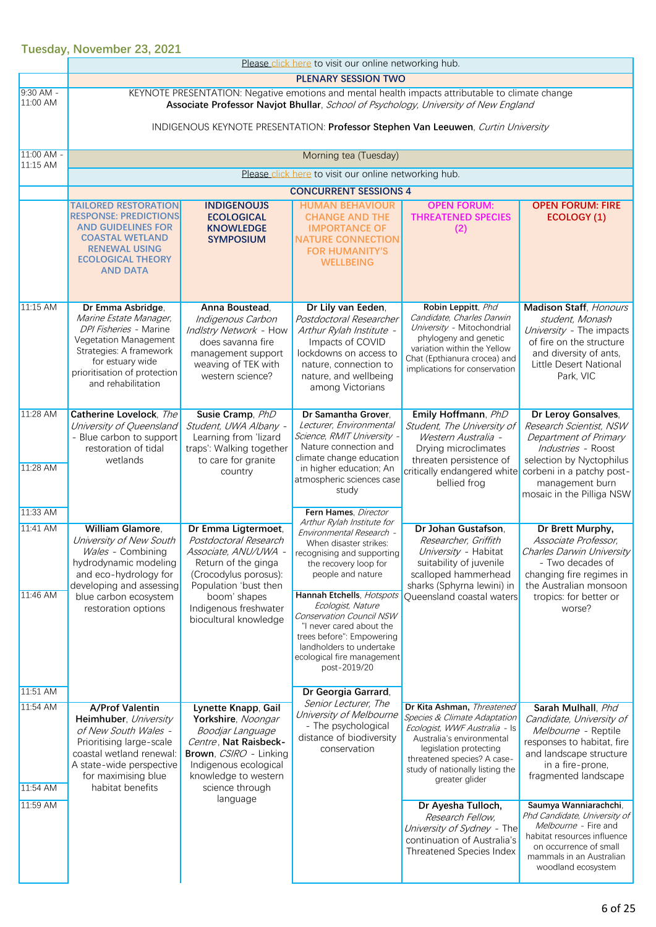|                         | Please click here to visit our online networking hub.                                                                                                                                           |                                                                                                                                                                                                                                                                              |                                                                                                                                                                                                               |                                                                                                                                                                                                                                        |                                                                                                                                                                                          |  |  |
|-------------------------|-------------------------------------------------------------------------------------------------------------------------------------------------------------------------------------------------|------------------------------------------------------------------------------------------------------------------------------------------------------------------------------------------------------------------------------------------------------------------------------|---------------------------------------------------------------------------------------------------------------------------------------------------------------------------------------------------------------|----------------------------------------------------------------------------------------------------------------------------------------------------------------------------------------------------------------------------------------|------------------------------------------------------------------------------------------------------------------------------------------------------------------------------------------|--|--|
|                         | <b>PLENARY SESSION TWO</b>                                                                                                                                                                      |                                                                                                                                                                                                                                                                              |                                                                                                                                                                                                               |                                                                                                                                                                                                                                        |                                                                                                                                                                                          |  |  |
| $9:30$ AM -<br>11:00 AM |                                                                                                                                                                                                 | KEYNOTE PRESENTATION: Negative emotions and mental health impacts attributable to climate change<br>Associate Professor Navjot Bhullar, School of Psychology, University of New England<br>INDIGENOUS KEYNOTE PRESENTATION: Professor Stephen Van Leeuwen, Curtin University |                                                                                                                                                                                                               |                                                                                                                                                                                                                                        |                                                                                                                                                                                          |  |  |
| 11:00 AM -              |                                                                                                                                                                                                 |                                                                                                                                                                                                                                                                              | Morning tea (Tuesday)                                                                                                                                                                                         |                                                                                                                                                                                                                                        |                                                                                                                                                                                          |  |  |
| 11:15 AM                |                                                                                                                                                                                                 |                                                                                                                                                                                                                                                                              | Please click here to visit our online networking hub.                                                                                                                                                         |                                                                                                                                                                                                                                        |                                                                                                                                                                                          |  |  |
|                         |                                                                                                                                                                                                 |                                                                                                                                                                                                                                                                              | <b>CONCURRENT SESSIONS 4</b>                                                                                                                                                                                  |                                                                                                                                                                                                                                        |                                                                                                                                                                                          |  |  |
|                         | <b>TAILORED RESTORATION</b>                                                                                                                                                                     | <b>INDIGENOUJS</b>                                                                                                                                                                                                                                                           | <b>HUMAN BEHAVIOUR</b>                                                                                                                                                                                        | <b>OPEN FORUM:</b>                                                                                                                                                                                                                     | <b>OPEN FORUM: FIRE</b>                                                                                                                                                                  |  |  |
|                         | <b>RESPONSE: PREDICTIONS</b><br><b>AND GUIDELINES FOR</b><br><b>COASTAL WETLAND</b><br><b>RENEWAL USING</b><br><b>ECOLOGICAL THEORY</b><br><b>AND DATA</b>                                      | <b>ECOLOGICAL</b><br><b>KNOWLEDGE</b><br><b>SYMPOSIUM</b>                                                                                                                                                                                                                    | <b>CHANGE AND THE</b><br><b>IMPORTANCE OF</b><br><b>NATURE CONNECTION</b><br><b>FOR HUMANITY'S</b><br><b>WELLBEING</b>                                                                                        | <b>THREATENED SPECIES</b><br>(2)                                                                                                                                                                                                       | <b>ECOLOGY (1)</b>                                                                                                                                                                       |  |  |
| 11:15 AM                | Dr Emma Asbridge,<br>Marine Estate Manager.                                                                                                                                                     | Anna Boustead,                                                                                                                                                                                                                                                               | Dr Lily van Eeden,                                                                                                                                                                                            | Robin Leppitt, Phd<br>Candidate, Charles Darwin                                                                                                                                                                                        | <b>Madison Staff, Honours</b>                                                                                                                                                            |  |  |
|                         | DPI Fisheries - Marine<br>Vegetation Management<br>Strategies: A framework<br>for estuary wide<br>prioritisation of protection<br>and rehabilitation                                            | Indigenous Carbon<br>Indlstry Network - How<br>does savanna fire<br>management support<br>weaving of TEK with<br>western science?                                                                                                                                            | Postdoctoral Researcher<br>Arthur Rylah Institute -<br>Impacts of COVID<br>lockdowns on access to<br>nature, connection to<br>nature, and wellbeing<br>among Victorians                                       | University - Mitochondrial<br>phylogeny and genetic<br>variation within the Yellow<br>Chat (Epthianura crocea) and<br>implications for conservation                                                                                    | student. Monash<br>University - The impacts<br>of fire on the structure<br>and diversity of ants,<br>Little Desert National<br>Park, VIC                                                 |  |  |
| 11:28 AM                | Catherine Lovelock, The                                                                                                                                                                         | Susie Cramp, PhD                                                                                                                                                                                                                                                             | Dr Samantha Grover,                                                                                                                                                                                           | Emily Hoffmann, PhD                                                                                                                                                                                                                    | Dr Leroy Gonsalves,                                                                                                                                                                      |  |  |
| 11:28 AM                | University of Queensland<br>- Blue carbon to support<br>restoration of tidal<br>wetlands                                                                                                        | Student, UWA Albany -<br>Learning from 'lizard<br>traps': Walking together<br>to care for granite<br>country                                                                                                                                                                 | Lecturer, Environmental<br>Science, RMIT University -<br>Nature connection and<br>climate change education<br>in higher education; An<br>atmospheric sciences case<br>study                                   | Student, The University of<br>Western Australia -<br>Drying microclimates<br>threaten persistence of<br>critically endangered white<br>bellied frog                                                                                    | Research Scientist, NSW<br>Department of Primary<br>Industries - Roost<br>selection by Nyctophilus<br>corbeni in a patchy post-<br>management burn<br>mosaic in the Pilliga NSW          |  |  |
| 11:33 AM                |                                                                                                                                                                                                 |                                                                                                                                                                                                                                                                              | Fern Hames, Director<br>Arthur Rylah Institute for                                                                                                                                                            |                                                                                                                                                                                                                                        |                                                                                                                                                                                          |  |  |
| 11:41 AM                | <b>William Glamore,</b><br>University of New South<br>Wales - Combining<br>hydrodynamic modeling<br>and eco-hydrology for<br>developing and assessing                                           | Dr Emma Ligtermoet,<br>Postdoctoral Research<br>Associate, ANU/UWA -<br>Return of the ginga<br>(Crocodylus porosus):<br>Population 'bust then<br>boom' shapes<br>Indigenous freshwater<br>biocultural knowledge                                                              | Environmental Research -<br>When disaster strikes:<br>recognising and supporting<br>the recovery loop for<br>people and nature                                                                                | Dr Johan Gustafson,<br>Researcher, Griffith<br>University - Habitat<br>suitability of juvenile<br>scalloped hammerhead<br>sharks (Sphyrna lewini) in<br>Queensland coastal waters                                                      | Dr Brett Murphy,<br>Associate Professor,<br>Charles Darwin University<br>- Two decades of<br>changing fire regimes in<br>the Australian monsoon<br>tropics: for better or<br>worse?      |  |  |
| 11:46 AM                | blue carbon ecosystem<br>restoration options                                                                                                                                                    |                                                                                                                                                                                                                                                                              | Hannah Etchells, Hotspots<br>Ecologist, Nature<br>Conservation Council NSW<br>"I never cared about the<br>trees before": Empowering<br>landholders to undertake<br>ecological fire management<br>post-2019/20 |                                                                                                                                                                                                                                        |                                                                                                                                                                                          |  |  |
| 11:51 AM                |                                                                                                                                                                                                 |                                                                                                                                                                                                                                                                              | Dr Georgia Garrard,                                                                                                                                                                                           |                                                                                                                                                                                                                                        |                                                                                                                                                                                          |  |  |
| 11:54 AM<br>11:54 AM    | A/Prof Valentin<br>Heimhuber, University<br>of New South Wales -<br>Prioritising large-scale<br>coastal wetland renewal:<br>A state-wide perspective<br>for maximising blue<br>habitat benefits | Lynette Knapp, Gail<br>Yorkshire, Noongar<br>Boodjar Language<br>Centre, Nat Raisbeck-<br>Brown, CSIRO - Linking<br>Indigenous ecological<br>knowledge to western<br>science through<br>language                                                                             | Senior Lecturer, The<br>University of Melbourne<br>- The psychological<br>distance of biodiversity<br>conservation                                                                                            | Dr Kita Ashman, Threatened<br>Species & Climate Adaptation<br>Ecologist, WWF Australia - Is<br>Australia's environmental<br>legislation protecting<br>threatened species? A case-<br>study of nationally listing the<br>greater glider | Sarah Mulhall, Phd<br>Candidate, University of<br>Melbourne - Reptile<br>responses to habitat, fire<br>and landscape structure<br>in a fire-prone,<br>fragmented landscape               |  |  |
| 11:59 AM                |                                                                                                                                                                                                 |                                                                                                                                                                                                                                                                              |                                                                                                                                                                                                               | Dr Ayesha Tulloch,<br>Research Fellow.<br>University of Sydney - The<br>continuation of Australia's<br>Threatened Species Index                                                                                                        | Saumya Wanniarachchi,<br>Phd Candidate, University of<br>Melbourne - Fire and<br>habitat resources influence<br>on occurrence of small<br>mammals in an Australian<br>woodland ecosystem |  |  |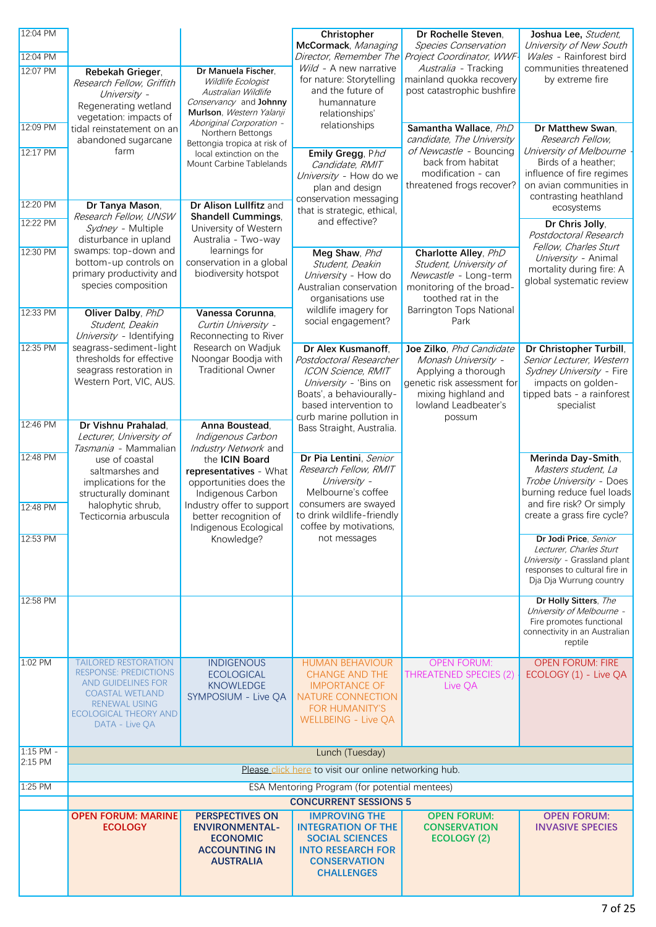| 12:04 PM    |                                                                                                                                                                                |                                                                                                                | Christopher                                                                                                                                                                          | Dr Rochelle Steven.                                                                                                                                  | Joshua Lee, Student,                                                                                                                              |
|-------------|--------------------------------------------------------------------------------------------------------------------------------------------------------------------------------|----------------------------------------------------------------------------------------------------------------|--------------------------------------------------------------------------------------------------------------------------------------------------------------------------------------|------------------------------------------------------------------------------------------------------------------------------------------------------|---------------------------------------------------------------------------------------------------------------------------------------------------|
|             |                                                                                                                                                                                |                                                                                                                | McCormack, Managing                                                                                                                                                                  | Species Conservation                                                                                                                                 | University of New South                                                                                                                           |
| 12:04 PM    |                                                                                                                                                                                |                                                                                                                | Director, Remember The<br>Wild - A new narrative                                                                                                                                     | Project Coordinator, WWF-<br>Australia - Tracking                                                                                                    | Wales - Rainforest bird<br>communities threatened                                                                                                 |
| 12:07 PM    | Rebekah Grieger,<br>Research Fellow, Griffith<br>University -<br>Regenerating wetland                                                                                          | Dr Manuela Fischer,<br>Wildlife Ecologist<br>Australian Wildlife<br>Conservancy and Johnny                     | for nature: Storytelling<br>and the future of<br>humannature                                                                                                                         | mainland quokka recovery<br>post catastrophic bushfire                                                                                               | by extreme fire                                                                                                                                   |
| 12:09 PM    | vegetation: impacts of<br>tidal reinstatement on an                                                                                                                            | Murlson, Western Yalanji<br>Aboriginal Corporation -<br>Northern Bettongs                                      | relationships'<br>relationships                                                                                                                                                      | Samantha Wallace, PhD                                                                                                                                | Dr Matthew Swan,                                                                                                                                  |
| 12:17 PM    | abandoned sugarcane<br>farm                                                                                                                                                    | Bettongia tropica at risk of                                                                                   |                                                                                                                                                                                      | candidate, The University<br>of Newcastle - Bouncing                                                                                                 | Research Fellow,<br>University of Melbourne                                                                                                       |
|             |                                                                                                                                                                                | local extinction on the<br>Mount Carbine Tablelands                                                            | Emily Gregg, Phd<br>Candidate, RMIT<br>University - How do we<br>plan and design<br>conservation messaging                                                                           | back from habitat<br>modification - can<br>threatened frogs recover?                                                                                 | Birds of a heather;<br>influence of fire regimes<br>on avian communities in<br>contrasting heathland                                              |
| 12:20 PM    | Dr Tanya Mason,<br>Research Fellow, UNSW                                                                                                                                       | Dr Alison Lullfitz and<br><b>Shandell Cummings,</b>                                                            | that is strategic, ethical,                                                                                                                                                          |                                                                                                                                                      | ecosystems                                                                                                                                        |
| 12:22 PM    | Sydney - Multiple<br>disturbance in upland                                                                                                                                     | University of Western<br>Australia - Two-way                                                                   | and effective?                                                                                                                                                                       |                                                                                                                                                      | Dr Chris Jolly,<br>Postdoctoral Research                                                                                                          |
| 12:30 PM    | swamps: top-down and<br>bottom-up controls on<br>primary productivity and<br>species composition                                                                               | learnings for<br>conservation in a global<br>biodiversity hotspot                                              | Meg Shaw, Phd<br>Student, Deakin<br>University - How do<br>Australian conservation                                                                                                   | Charlotte Alley, PhD<br>Student, University of<br>Newcastle - Long-term<br>monitoring of the broad-                                                  | Fellow, Charles Sturt<br>University - Animal<br>mortality during fire: A<br>global systematic review                                              |
| 12:33 PM    | Oliver Dalby, PhD<br>Student, Deakin<br>University - Identifying                                                                                                               | Vanessa Corunna,<br>Curtin University -<br>Reconnecting to River                                               | organisations use<br>wildlife imagery for<br>social engagement?                                                                                                                      | toothed rat in the<br><b>Barrington Tops National</b><br>Park                                                                                        |                                                                                                                                                   |
| 12:35 PM    | seagrass-sediment-light<br>thresholds for effective<br>seagrass restoration in<br>Western Port, VIC, AUS.                                                                      | Research on Wadjuk<br>Noongar Boodja with<br><b>Traditional Owner</b>                                          | Dr Alex Kusmanoff,<br>Postdoctoral Researcher<br><b>ICON Science, RMIT</b><br>University - 'Bins on<br>Boats', a behaviourally-<br>based intervention to<br>curb marine pollution in | Joe Zilko, Phd Candidate<br>Monash University -<br>Applying a thorough<br>genetic risk assessment for<br>mixing highland and<br>lowland Leadbeater's | Dr Christopher Turbill,<br>Senior Lecturer, Western<br>Sydney University - Fire<br>impacts on golden-<br>tipped bats - a rainforest<br>specialist |
| 12:46 PM    | Dr Vishnu Prahalad,<br>Lecturer, University of<br>Tasmania - Mammalian                                                                                                         | Anna Boustead,<br>Indigenous Carbon<br>Industry Network and                                                    | Bass Straight, Australia.                                                                                                                                                            | possum                                                                                                                                               |                                                                                                                                                   |
| 12:48 PM    | use of coastal<br>saltmarshes and<br>implications for the<br>structurally dominant                                                                                             | the <b>ICIN Board</b><br>representatives - What<br>opportunities does the<br>Indigenous Carbon                 | Dr Pia Lentini, Senior<br>Research Fellow, RMIT<br>University -<br>Melbourne's coffee<br>consumers are swayed                                                                        |                                                                                                                                                      | Merinda Day-Smith,<br>Masters student. La<br>Trobe University - Does<br>burning reduce fuel loads<br>and fire risk? Or simply                     |
| 12:48 PM    | halophytic shrub,<br>Tecticornia arbuscula                                                                                                                                     | Industry offer to support<br>better recognition of<br>Indigenous Ecological                                    | to drink wildlife-friendly<br>coffee by motivations,                                                                                                                                 |                                                                                                                                                      | create a grass fire cycle?                                                                                                                        |
| 12:53 PM    |                                                                                                                                                                                | Knowledge?                                                                                                     | not messages                                                                                                                                                                         |                                                                                                                                                      | Dr Jodi Price, Senior<br>Lecturer. Charles Sturt<br>University - Grassland plant<br>responses to cultural fire in<br>Dja Dja Wurrung country      |
| 12:58 PM    |                                                                                                                                                                                |                                                                                                                |                                                                                                                                                                                      |                                                                                                                                                      | Dr Holly Sitters, The<br>University of Melbourne -<br>Fire promotes functional<br>connectivity in an Australian<br>reptile                        |
| 1:02 PM     | <b>TAILORED RESTORATION</b><br><b>RESPONSE: PREDICTIONS</b><br>AND GUIDELINES FOR<br><b>COASTAL WETLAND</b><br><b>RENEWAL USING</b><br>ECOLOGICAL THEORY AND<br>DATA - Live QA | <b>INDIGENOUS</b><br><b>ECOLOGICAL</b><br><b>KNOWLEDGE</b><br>SYMPOSIUM - Live QA                              | <b>HUMAN BEHAVIOUR</b><br><b>CHANGE AND THE</b><br><b>IMPORTANCE OF</b><br>NATURE CONNECTION<br>FOR HUMANITY'S<br><b>WELLBEING - Live QA</b>                                         | <b>OPEN FORUM:</b><br><b>THREATENED SPECIES (2)</b><br>Live QA                                                                                       | <b>OPEN FORUM: FIRE</b><br>ECOLOGY (1) - Live QA                                                                                                  |
| $1:15$ PM - |                                                                                                                                                                                |                                                                                                                | Lunch (Tuesday)                                                                                                                                                                      |                                                                                                                                                      |                                                                                                                                                   |
| $2:15$ PM   |                                                                                                                                                                                |                                                                                                                | Please click here to visit our online networking hub.                                                                                                                                |                                                                                                                                                      |                                                                                                                                                   |
| 1:25 PM     |                                                                                                                                                                                |                                                                                                                | <b>ESA Mentoring Program (for potential mentees)</b>                                                                                                                                 |                                                                                                                                                      |                                                                                                                                                   |
|             |                                                                                                                                                                                |                                                                                                                | <b>CONCURRENT SESSIONS 5</b>                                                                                                                                                         |                                                                                                                                                      |                                                                                                                                                   |
|             | <b>OPEN FORUM: MARINE</b><br><b>ECOLOGY</b>                                                                                                                                    | <b>PERSPECTIVES ON</b><br><b>ENVIRONMENTAL-</b><br><b>ECONOMIC</b><br><b>ACCOUNTING IN</b><br><b>AUSTRALIA</b> | <b>IMPROVING THE</b><br><b>INTEGRATION OF THE</b><br><b>SOCIAL SCIENCES</b><br><b>INTO RESEARCH FOR</b><br><b>CONSERVATION</b><br><b>CHALLENGES</b>                                  | <b>OPEN FORUM:</b><br><b>CONSERVATION</b><br>ECOLOGY (2)                                                                                             | <b>OPEN FORUM:</b><br><b>INVASIVE SPECIES</b>                                                                                                     |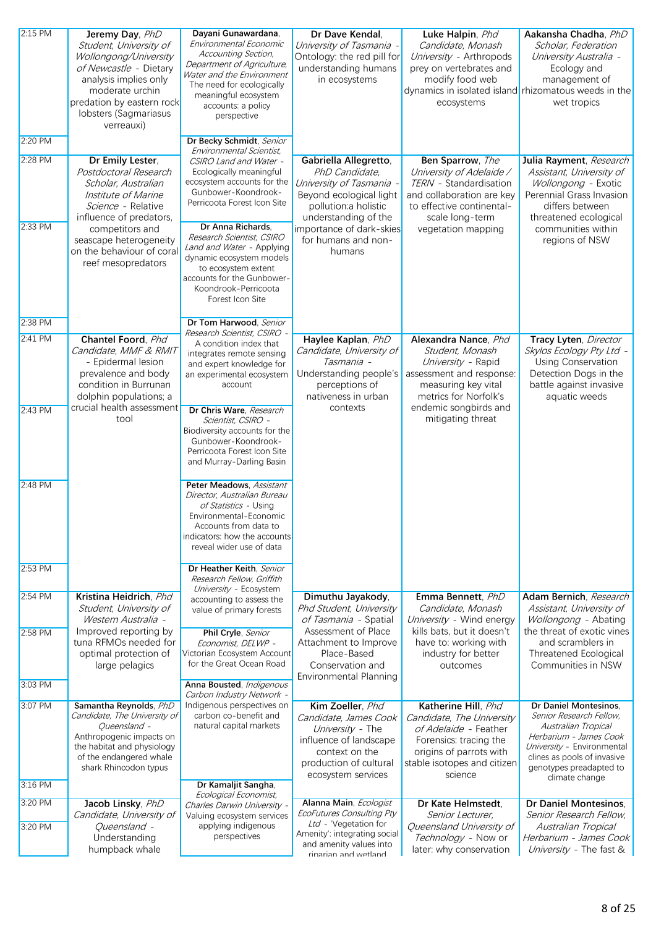| 2:15 PM | Jeremy Day, PhD                                        | Dayani Gunawardana,                                       | Dr Dave Kendal,                                            | Luke Halpin, <i>Phd</i>                              | Aakansha Chadha, PhD                                      |
|---------|--------------------------------------------------------|-----------------------------------------------------------|------------------------------------------------------------|------------------------------------------------------|-----------------------------------------------------------|
|         | Student, University of                                 | Environmental Economic<br>Accounting Section,             | University of Tasmania -                                   | Candidate, Monash                                    | Scholar, Federation                                       |
|         | Wollongong/University<br>of Newcastle - Dietary        | Department of Agriculture,                                | Ontology: the red pill for<br>understanding humans         | University - Arthropods                              | University Australia -                                    |
|         | analysis implies only                                  | Water and the Environment                                 | in ecosystems                                              | prey on vertebrates and<br>modify food web           | Ecology and<br>management of                              |
|         | moderate urchin                                        | The need for ecologically                                 |                                                            | dynamics in isolated island rhizomatous weeds in the |                                                           |
|         | predation by eastern rock                              | meaningful ecosystem<br>accounts: a policy                |                                                            | ecosystems                                           | wet tropics                                               |
|         | lobsters (Sagmariasus                                  | perspective                                               |                                                            |                                                      |                                                           |
|         | verreauxi)                                             |                                                           |                                                            |                                                      |                                                           |
| 2:20 PM |                                                        | Dr Becky Schmidt, Senior                                  |                                                            |                                                      |                                                           |
| 2:28 PM | Dr Emily Lester,                                       | Environmental Scientist.<br>CSIRO Land and Water -        | Gabriella Allegretto,                                      | Ben Sparrow, The                                     | Julia Rayment, Research                                   |
|         | Postdoctoral Research                                  | Ecologically meaningful                                   | PhD Candidate,                                             | University of Adelaide /                             | Assistant, University of                                  |
|         | Scholar, Australian                                    | ecosystem accounts for the<br>Gunbower-Koondrook-         | University of Tasmania -                                   | TERN - Standardisation                               | Wollongong - Exotic                                       |
|         | Institute of Marine<br>Science - Relative              | Perricoota Forest Icon Site                               | Beyond ecological light                                    | and collaboration are key                            | Perennial Grass Invasion<br>differs between               |
|         | influence of predators,                                |                                                           | pollution:a holistic<br>understanding of the               | to effective continental-<br>scale long-term         | threatened ecological                                     |
| 2:33 PM | competitors and                                        | Dr Anna Richards,                                         | importance of dark-skies                                   | vegetation mapping                                   | communities within                                        |
|         | seascape heterogeneity                                 | Research Scientist, CSIRO<br>Land and Water - Applying    | for humans and non-                                        |                                                      | regions of NSW                                            |
|         | on the behaviour of coral                              | dynamic ecosystem models                                  | humans                                                     |                                                      |                                                           |
|         | reef mesopredators                                     | to ecosystem extent                                       |                                                            |                                                      |                                                           |
|         |                                                        | accounts for the Gunbower-<br>Koondrook-Perricoota        |                                                            |                                                      |                                                           |
|         |                                                        | Forest Icon Site                                          |                                                            |                                                      |                                                           |
|         |                                                        |                                                           |                                                            |                                                      |                                                           |
| 2:38 PM |                                                        | Dr Tom Harwood, Senior<br>Research Scientist, CSIRO -     |                                                            |                                                      |                                                           |
| 2:41 PM | Chantel Foord, Phd                                     | A condition index that                                    | Haylee Kaplan, PhD                                         | Alexandra Nance, Phd                                 | Tracy Lyten, Director                                     |
|         | Candidate, MMF & RMIT                                  | integrates remote sensing                                 | Candidate, University of<br>Tasmania -                     | Student, Monash                                      | Skylos Ecology Pty Ltd -                                  |
|         | - Epidermal lesion<br>prevalence and body              | and expert knowledge for<br>an experimental ecosystem     | Understanding people's                                     | University - Rapid<br>assessment and response:       | Using Conservation<br>Detection Dogs in the               |
|         | condition in Burrunan                                  | account                                                   | perceptions of                                             | measuring key vital                                  | battle against invasive                                   |
|         | dolphin populations; a                                 |                                                           | nativeness in urban                                        | metrics for Norfolk's                                | aquatic weeds                                             |
| 2:43 PM | crucial health assessment                              | Dr Chris Ware, Research                                   | contexts                                                   | endemic songbirds and                                |                                                           |
|         | tool                                                   | Scientist, CSIRO -<br>Biodiversity accounts for the       |                                                            | mitigating threat                                    |                                                           |
|         |                                                        | Gunbower-Koondrook-                                       |                                                            |                                                      |                                                           |
|         |                                                        | Perricoota Forest Icon Site                               |                                                            |                                                      |                                                           |
|         |                                                        | and Murray-Darling Basin                                  |                                                            |                                                      |                                                           |
| 2:48 PM |                                                        | Peter Meadows, Assistant                                  |                                                            |                                                      |                                                           |
|         |                                                        | Director, Australian Bureau                               |                                                            |                                                      |                                                           |
|         |                                                        | <i>of Statistics -</i> Using<br>Environmental-Economic    |                                                            |                                                      |                                                           |
|         |                                                        | Accounts from data to                                     |                                                            |                                                      |                                                           |
|         |                                                        | indicators: how the accounts                              |                                                            |                                                      |                                                           |
|         |                                                        | reveal wider use of data                                  |                                                            |                                                      |                                                           |
| 2:53 PM |                                                        | Dr Heather Keith, Senior                                  |                                                            |                                                      |                                                           |
|         |                                                        | Research Fellow, Griffith                                 |                                                            |                                                      |                                                           |
| 2:54 PM | Kristina Heidrich, Phd                                 | University - Ecosystem<br>accounting to assess the        | Dimuthu Jayakody,                                          | Emma Bennett, PhD                                    | Adam Bernich, Research                                    |
|         | Student, University of                                 | value of primary forests                                  | Phd Student, University                                    | Candidate, Monash                                    | Assistant, University of                                  |
|         | Western Australia -                                    |                                                           | of Tasmania - Spatial                                      | University - Wind energy                             | Wollongong - Abating                                      |
| 2:58 PM | Improved reporting by<br>tuna RFMOs needed for         | Phil Cryle, Senior<br>Economist. DELWP -                  | Assessment of Place<br>Attachment to Improve               | kills bats, but it doesn't<br>have to: working with  | the threat of exotic vines<br>and scramblers in           |
|         | optimal protection of                                  | Victorian Ecosystem Account                               | Place-Based                                                | industry for better                                  | <b>Threatened Ecological</b>                              |
|         | large pelagics                                         | for the Great Ocean Road                                  | Conservation and                                           | outcomes                                             | Communities in NSW                                        |
| 3:03 PM |                                                        | Anna Bousted, Indigenous                                  | Environmental Planning                                     |                                                      |                                                           |
|         |                                                        | Carbon Industry Network -                                 |                                                            |                                                      |                                                           |
| 3:07 PM | Samantha Reynolds, PhD<br>Candidate, The University of | Indigenous perspectives on<br>carbon co-benefit and       | Kim Zoeller, Phd                                           | Katherine Hill, Phd                                  | <b>Dr Daniel Montesinos.</b><br>Senior Research Fellow.   |
|         | Oueensland -                                           | natural capital markets                                   | Candidate, James Cook<br>University - The                  | Candidate, The University<br>of Adelaide - Feather   | Australian Tropical                                       |
|         | Anthropogenic impacts on                               |                                                           | influence of landscape                                     | Forensics: tracing the                               | Herbarium - James Cook                                    |
|         | the habitat and physiology<br>of the endangered whale  |                                                           | context on the                                             | origins of parrots with                              | University - Environmental<br>clines as pools of invasive |
|         | shark Rhincodon typus                                  |                                                           | production of cultural                                     | stable isotopes and citizen                          | genotypes preadapted to                                   |
| 3:16 PM |                                                        | Dr Kamaljit Sangha,                                       | ecosystem services                                         | science                                              | climate change                                            |
|         |                                                        | Ecological Economist,                                     |                                                            |                                                      |                                                           |
| 3:20 PM | Jacob Linsky, PhD<br>Candidate, University of          | Charles Darwin University -<br>Valuing ecosystem services | Alanna Main, Ecologist<br><b>EcoFutures Consulting Pty</b> | Dr Kate Helmstedt,<br>Senior Lecturer,               | <b>Dr Daniel Montesinos,</b><br>Senior Research Fellow,   |
| 3:20 PM | Queensland -                                           | applying indigenous                                       | Ltd - 'Vegetation for                                      | Queensland University of                             | Australian Tropical                                       |
|         | Understanding                                          | perspectives                                              | Amenity': integrating social<br>and amenity values into    | Technology - Now or                                  | Herbarium - James Cook                                    |
|         | humpback whale                                         |                                                           | rinarian and wetland                                       | later: why conservation                              | University - The fast &                                   |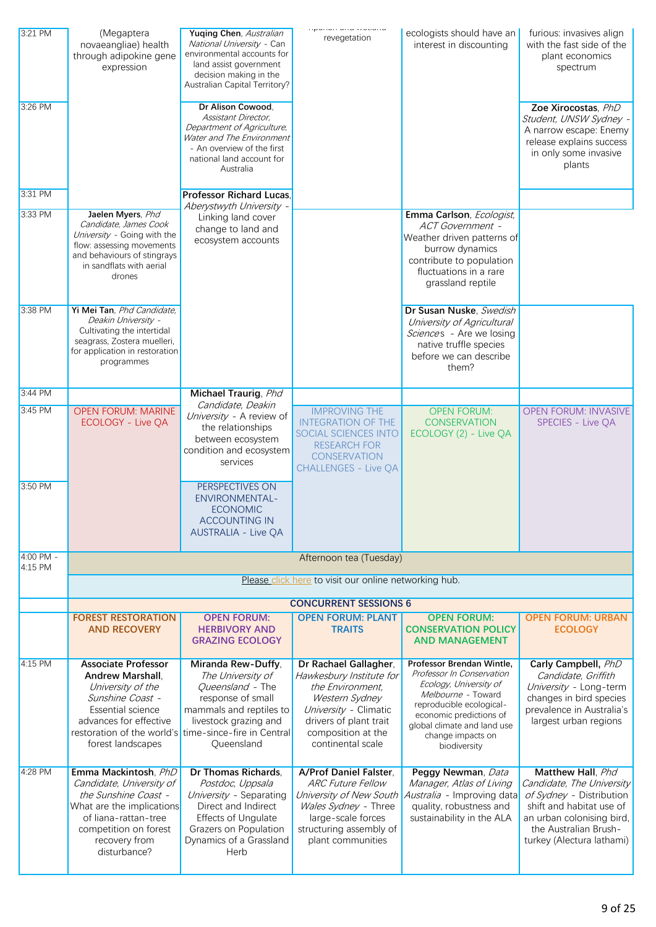| 3:21 PM                | (Megaptera<br>novaeangliae) health<br>through adipokine gene<br>expression                                                                                                              | Yuqing Chen, Australian<br>National University - Can<br>environmental accounts for<br>land assist government<br>decision making in the<br>Australian Capital Territory?                                     | inpurion and wouund<br>revegetation                                                                                                                                                   | ecologists should have an<br>interest in discounting                                                                                                                                                                              | furious: invasives align<br>with the fast side of the<br>plant economics<br>spectrum                                                                                                      |
|------------------------|-----------------------------------------------------------------------------------------------------------------------------------------------------------------------------------------|-------------------------------------------------------------------------------------------------------------------------------------------------------------------------------------------------------------|---------------------------------------------------------------------------------------------------------------------------------------------------------------------------------------|-----------------------------------------------------------------------------------------------------------------------------------------------------------------------------------------------------------------------------------|-------------------------------------------------------------------------------------------------------------------------------------------------------------------------------------------|
| 3:26 PM                |                                                                                                                                                                                         | Dr Alison Cowood,<br>Assistant Director.<br>Department of Agriculture,<br>Water and The Environment<br>- An overview of the first<br>national land account for<br>Australia                                 |                                                                                                                                                                                       |                                                                                                                                                                                                                                   | Zoe Xirocostas, PhD<br>Student, UNSW Sydney -<br>A narrow escape: Enemy<br>release explains success<br>in only some invasive<br>plants                                                    |
| 3:31 PM                |                                                                                                                                                                                         | <b>Professor Richard Lucas.</b><br>Aberystwyth University -                                                                                                                                                 |                                                                                                                                                                                       |                                                                                                                                                                                                                                   |                                                                                                                                                                                           |
| 3:33 PM                | Jaelen Myers, Phd<br>Candidate, James Cook<br>University - Going with the<br>flow: assessing movements<br>and behaviours of stingrays<br>in sandflats with aerial<br>drones             | Linking land cover<br>change to land and<br>ecosystem accounts                                                                                                                                              |                                                                                                                                                                                       | Emma Carlson, Ecologist,<br>ACT Government -<br>Weather driven patterns of<br>burrow dynamics<br>contribute to population<br>fluctuations in a rare<br>grassland reptile                                                          |                                                                                                                                                                                           |
| 3:38 PM                | Yi Mei Tan, Phd Candidate,<br>Deakin University -<br>Cultivating the intertidal<br>seagrass, Zostera muelleri,<br>for application in restoration<br>programmes                          |                                                                                                                                                                                                             |                                                                                                                                                                                       | Dr Susan Nuske, Swedish<br>University of Agricultural<br>Sciences - Are we losing<br>native truffle species<br>before we can describe<br>them?                                                                                    |                                                                                                                                                                                           |
| 3:44 PM                |                                                                                                                                                                                         | Michael Traurig, Phd<br>Candidate, Deakin                                                                                                                                                                   |                                                                                                                                                                                       |                                                                                                                                                                                                                                   |                                                                                                                                                                                           |
| 3:45 PM                | <b>OPEN FORUM: MARINE</b><br>ECOLOGY - Live QA                                                                                                                                          | University - A review of<br>the relationships<br>between ecosystem<br>condition and ecosystem<br>services                                                                                                   | <b>IMPROVING THE</b><br><b>INTEGRATION OF THE</b><br>SOCIAL SCIENCES INTO<br><b>RESEARCH FOR</b><br><b>CONSERVATION</b><br><b>CHALLENGES - Live QA</b>                                | <b>OPEN FORUM:</b><br><b>CONSERVATION</b><br>ECOLOGY (2) - Live QA                                                                                                                                                                | <b>OPEN FORUM: INVASIVE</b><br>SPECIES - Live QA                                                                                                                                          |
| 3:50 PM                |                                                                                                                                                                                         | PERSPECTIVES ON<br><b>ENVIRONMENTAL-</b><br><b>ECONOMIC</b><br><b>ACCOUNTING IN</b><br><b>AUSTRALIA - Live QA</b>                                                                                           |                                                                                                                                                                                       |                                                                                                                                                                                                                                   |                                                                                                                                                                                           |
| $4:00$ PM -<br>4:15 PM |                                                                                                                                                                                         |                                                                                                                                                                                                             | Afternoon tea (Tuesday)                                                                                                                                                               |                                                                                                                                                                                                                                   |                                                                                                                                                                                           |
|                        |                                                                                                                                                                                         |                                                                                                                                                                                                             | Please click here to visit our online networking hub.                                                                                                                                 |                                                                                                                                                                                                                                   |                                                                                                                                                                                           |
|                        |                                                                                                                                                                                         |                                                                                                                                                                                                             | <b>CONCURRENT SESSIONS 6</b>                                                                                                                                                          |                                                                                                                                                                                                                                   |                                                                                                                                                                                           |
|                        | <b>FOREST RESTORATION</b><br><b>AND RECOVERY</b>                                                                                                                                        | <b>OPEN FORUM:</b><br><b>HERBIVORY AND</b><br><b>GRAZING ECOLOGY</b>                                                                                                                                        | <b>OPEN FORUM: PLANT</b><br><b>TRAITS</b>                                                                                                                                             | <b>OPEN FORUM:</b><br><b>CONSERVATION POLICY</b><br><b>AND MANAGEMENT</b>                                                                                                                                                         | <b>OPEN FORUM: URBAN</b><br><b>ECOLOGY</b>                                                                                                                                                |
| 4:15 PM                | <b>Associate Professor</b><br>Andrew Marshall,<br>University of the<br>Sunshine Coast -<br>Essential science<br>advances for effective<br>forest landscapes                             | Miranda Rew-Duffy,<br>The University of<br>Queensland - The<br>response of small<br>mammals and reptiles to<br>livestock grazing and<br>restoration of the world's time-since-fire in Central<br>Queensland | Dr Rachael Gallagher,<br>Hawkesbury Institute for<br>the Environment,<br>Western Sydney<br>University - Climatic<br>drivers of plant trait<br>composition at the<br>continental scale | Professor Brendan Wintle,<br>Professor In Conservation<br>Ecology, University of<br>Melbourne - Toward<br>reproducible ecological-<br>economic predictions of<br>global climate and land use<br>change impacts on<br>biodiversity | Carly Campbell, PhD<br>Candidate, Griffith<br>University - Long-term<br>changes in bird species<br>prevalence in Australia's<br>largest urban regions                                     |
| 4:28 PM                | Emma Mackintosh, PhD<br>Candidate, University of<br>the Sunshine Coast -<br>What are the implications<br>of liana-rattan-tree<br>competition on forest<br>recovery from<br>disturbance? | Dr Thomas Richards,<br>Postdoc, Uppsala<br>University - Separating<br>Direct and Indirect<br><b>Effects of Ungulate</b><br>Grazers on Population<br>Dynamics of a Grassland<br>Herb                         | <b>A/Prof Daniel Falster,</b><br><b>ARC Future Fellow</b><br>Wales Sydney - Three<br>large-scale forces<br>structuring assembly of<br>plant communities                               | Peggy Newman, Data<br>Manager, Atlas of Living<br>University of New South Australia - Improving data<br>quality, robustness and<br>sustainability in the ALA                                                                      | Matthew Hall, Phd<br>Candidate, The University<br>of Sydney - Distribution<br>shift and habitat use of<br>an urban colonising bird,<br>the Australian Brush-<br>turkey (Alectura lathami) |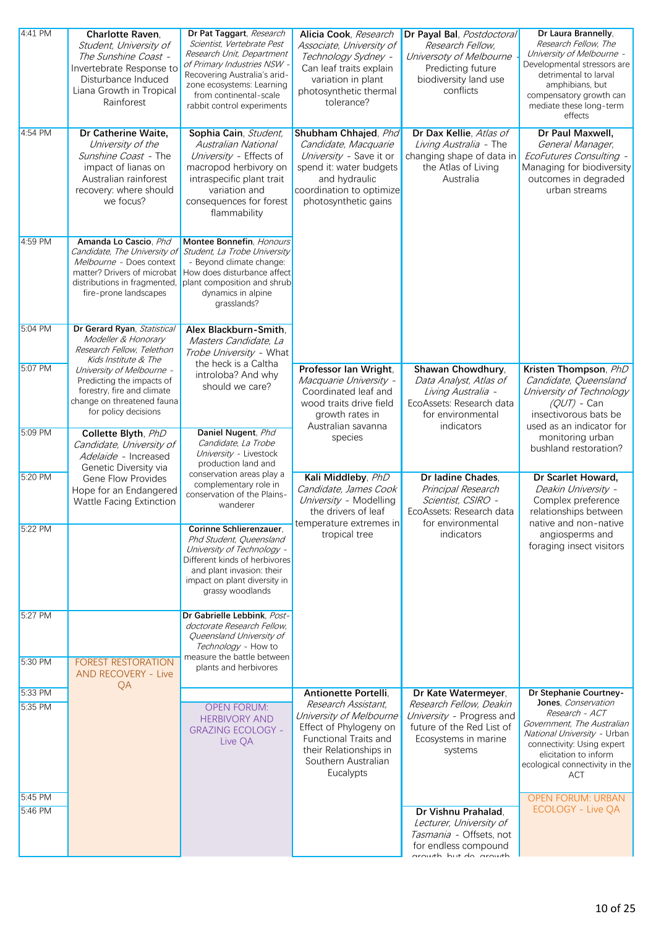| 4:41 PM | Charlotte Raven,                                  | Dr Pat Taggart, Research                                                       | Alicia Cook, Research                           | Dr Payal Bal, Postdoctoral               | Dr Laura Brannelly,                                  |
|---------|---------------------------------------------------|--------------------------------------------------------------------------------|-------------------------------------------------|------------------------------------------|------------------------------------------------------|
|         | Student, University of                            | Scientist, Vertebrate Pest                                                     | Associate, University of                        | Research Fellow,                         | Research Fellow, The                                 |
|         | The Sunshine Coast -                              | Research Unit, Department                                                      | Technology Sydney -                             | Universoty of Melbourne                  | University of Melbourne -                            |
|         | Invertebrate Response to                          | of Primary Industries NSW -<br>Recovering Australia's arid-                    | Can leaf traits explain                         | Predicting future                        | Developmental stressors are<br>detrimental to larval |
|         | Disturbance Induced                               | zone ecosystems: Learning                                                      | variation in plant                              | biodiversity land use                    | amphibians, but                                      |
|         | Liana Growth in Tropical                          | from continental-scale                                                         | photosynthetic thermal                          | conflicts                                | compensatory growth can                              |
|         | Rainforest                                        | rabbit control experiments                                                     | tolerance?                                      |                                          | mediate these long-term                              |
|         |                                                   |                                                                                |                                                 |                                          | effects                                              |
| 4:54 PM | Dr Catherine Waite,                               | Sophia Cain, Student,                                                          | Shubham Chhajed, Phd                            | Dr Dax Kellie, Atlas of                  | Dr Paul Maxwell,                                     |
|         | University of the                                 | <b>Australian National</b>                                                     | Candidate, Macquarie                            | Living Australia - The                   | General Manager,                                     |
|         | Sunshine Coast - The                              | University - Effects of                                                        | University - Save it or                         | changing shape of data in                | EcoFutures Consulting -                              |
|         | impact of lianas on                               | macropod herbivory on                                                          | spend it: water budgets                         | the Atlas of Living                      | Managing for biodiversity                            |
|         | Australian rainforest<br>recovery: where should   | intraspecific plant trait<br>variation and                                     | and hydraulic<br>coordination to optimize       | Australia                                | outcomes in degraded<br>urban streams                |
|         | we focus?                                         | consequences for forest                                                        | photosynthetic gains                            |                                          |                                                      |
|         |                                                   | flammability                                                                   |                                                 |                                          |                                                      |
|         |                                                   |                                                                                |                                                 |                                          |                                                      |
| 4:59 PM | Amanda Lo Cascio, Phd                             | Montee Bonnefin, Honours                                                       |                                                 |                                          |                                                      |
|         | Candidate, The University of                      | Student, La Trobe University                                                   |                                                 |                                          |                                                      |
|         | Melbourne - Does context                          | - Beyond climate change:                                                       |                                                 |                                          |                                                      |
|         | matter? Drivers of microbat                       | How does disturbance affect                                                    |                                                 |                                          |                                                      |
|         | fire-prone landscapes                             | distributions in fragmented, plant composition and shrub<br>dynamics in alpine |                                                 |                                          |                                                      |
|         |                                                   | grasslands?                                                                    |                                                 |                                          |                                                      |
|         |                                                   |                                                                                |                                                 |                                          |                                                      |
| 5:04 PM | Dr Gerard Ryan, Statistical                       | Alex Blackburn-Smith,                                                          |                                                 |                                          |                                                      |
|         | Modeller & Honorary                               | Masters Candidate, La                                                          |                                                 |                                          |                                                      |
|         | Research Fellow, Telethon                         | Trobe University - What                                                        |                                                 |                                          |                                                      |
| 5:07 PM | Kids Institute & The<br>University of Melbourne - | the heck is a Caltha                                                           | Professor Ian Wright,                           | Shawan Chowdhury,                        | Kristen Thompson, PhD                                |
|         | Predicting the impacts of                         | introloba? And why                                                             | Macquarie University -                          | Data Analyst, Atlas of                   | Candidate, Queensland                                |
|         | forestry, fire and climate                        | should we care?                                                                | Coordinated leaf and                            | Living Australia -                       | University of Technology                             |
|         | change on threatened fauna                        |                                                                                | wood traits drive field                         | EcoAssets: Research data                 | $(QUT)$ - Can                                        |
|         | for policy decisions                              |                                                                                | growth rates in                                 | for environmental                        | insectivorous bats be                                |
| 5:09 PM | Collette Blyth, PhD                               | Daniel Nugent, Phd                                                             | Australian savanna                              | indicators                               | used as an indicator for                             |
|         | Candidate, University of                          | Candidate, La Trobe                                                            | species                                         |                                          | monitoring urban<br>bushland restoration?            |
|         | Adelaide - Increased                              | University - Livestock                                                         |                                                 |                                          |                                                      |
|         | Genetic Diversity via                             | production land and<br>conservation areas play a                               |                                                 |                                          |                                                      |
| 5:20 PM | <b>Gene Flow Provides</b>                         | complementary role in                                                          | Kali Middleby, PhD                              | Dr ladine Chades,                        | Dr Scarlet Howard,                                   |
|         | Hope for an Endangered                            | conservation of the Plains-                                                    | Candidate, James Cook<br>University - Modelling | Principal Research<br>Scientist, CSIRO - | Deakin University -<br>Complex preference            |
|         | Wattle Facing Extinction                          | wanderer                                                                       | the drivers of leaf                             | EcoAssets: Research data                 | relationships between                                |
|         |                                                   |                                                                                | temperature extremes in                         | for environmental                        | native and non-native                                |
| 5:22 PM |                                                   | Corinne Schlierenzauer,<br>Phd Student, Queensland                             | tropical tree                                   | indicators                               | angiosperms and                                      |
|         |                                                   | University of Technology -                                                     |                                                 |                                          | foraging insect visitors                             |
|         |                                                   | Different kinds of herbivores                                                  |                                                 |                                          |                                                      |
|         |                                                   | and plant invasion: their                                                      |                                                 |                                          |                                                      |
|         |                                                   | impact on plant diversity in<br>grassy woodlands                               |                                                 |                                          |                                                      |
|         |                                                   |                                                                                |                                                 |                                          |                                                      |
| 5:27 PM |                                                   | Dr Gabrielle Lebbink. Post-                                                    |                                                 |                                          |                                                      |
|         |                                                   | doctorate Research Fellow.                                                     |                                                 |                                          |                                                      |
|         |                                                   | Queensland University of                                                       |                                                 |                                          |                                                      |
|         |                                                   | Technology - How to<br>measure the battle between                              |                                                 |                                          |                                                      |
| 5:30 PM | <b>FOREST RESTORATION</b>                         | plants and herbivores                                                          |                                                 |                                          |                                                      |
|         | AND RECOVERY - Live                               |                                                                                |                                                 |                                          |                                                      |
| 5:33 PM | QA                                                |                                                                                | Antionette Portelli,                            | Dr Kate Watermeyer,                      | Dr Stephanie Courtney-                               |
| 5:35 PM |                                                   | <b>OPEN FORUM:</b>                                                             | Research Assistant,                             | Research Fellow, Deakin                  | Jones, Conservation                                  |
|         |                                                   | <b>HERBIVORY AND</b>                                                           | University of Melbourne.                        | University - Progress and                | Research - ACT<br>Government, The Australian         |
|         |                                                   | <b>GRAZING ECOLOGY -</b>                                                       | Effect of Phylogeny on                          | future of the Red List of                | National University - Urban                          |
|         |                                                   | Live QA                                                                        | Functional Traits and                           | Ecosystems in marine                     | connectivity: Using expert                           |
|         |                                                   |                                                                                | their Relationships in<br>Southern Australian   | systems                                  | elicitation to inform                                |
|         |                                                   |                                                                                | Eucalypts                                       |                                          | ecological connectivity in the                       |
|         |                                                   |                                                                                |                                                 |                                          | ACT                                                  |
| 5:45 PM |                                                   |                                                                                |                                                 |                                          | <b>OPEN FORUM: URBAN</b>                             |
| 5:46 PM |                                                   |                                                                                |                                                 | Dr Vishnu Prahalad,                      | ECOLOGY - Live QA                                    |
|         |                                                   |                                                                                |                                                 | Lecturer, University of                  |                                                      |
|         |                                                   |                                                                                |                                                 | Tasmania - Offsets, not                  |                                                      |
|         |                                                   |                                                                                |                                                 | for endless compound                     |                                                      |
|         |                                                   |                                                                                |                                                 | arouth but do arouth                     |                                                      |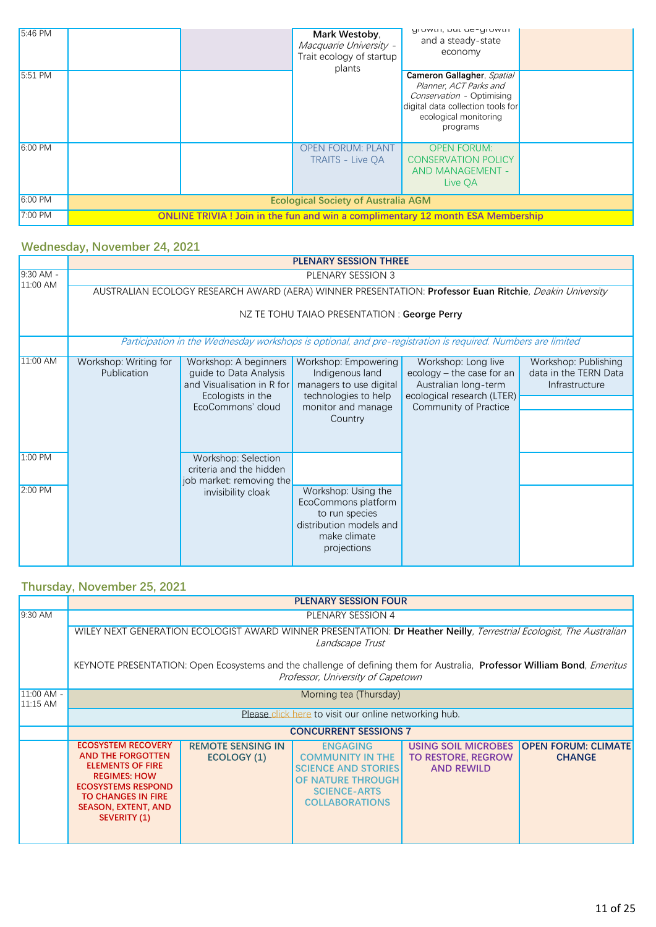| 5:46 PM |                                                                                       | Mark Westoby,<br>Macquarie University -<br>Trait ecology of startup | growth, but de-growth<br>and a steady-state<br>economy                                                                                                      |  |
|---------|---------------------------------------------------------------------------------------|---------------------------------------------------------------------|-------------------------------------------------------------------------------------------------------------------------------------------------------------|--|
| 5:51 PM |                                                                                       | plants                                                              | Cameron Gallagher, Spatial<br>Planner, ACT Parks and<br>Conservation - Optimising<br>digital data collection tools for<br>ecological monitoring<br>programs |  |
| 6:00 PM |                                                                                       | <b>OPEN FORUM: PLANT</b><br><b>TRAITS - Live OA</b>                 | <b>OPEN FORUM:</b><br><b>CONSERVATION POLICY</b><br>AND MANAGEMENT -<br>Live OA                                                                             |  |
| 6:00 PM |                                                                                       | <b>Ecological Society of Australia AGM</b>                          |                                                                                                                                                             |  |
| 7:00 PM | <b>ONLINE TRIVIA! Join in the fun and win a complimentary 12 month ESA Membership</b> |                                                                     |                                                                                                                                                             |  |

### **Wednesday, November 24, 2021**

|                         |                                              |                                                                                                                         | <b>PLENARY SESSION THREE</b>                                                                                                |                                                                                                                                   |                                                                 |  |
|-------------------------|----------------------------------------------|-------------------------------------------------------------------------------------------------------------------------|-----------------------------------------------------------------------------------------------------------------------------|-----------------------------------------------------------------------------------------------------------------------------------|-----------------------------------------------------------------|--|
| $9:30$ AM -<br>11:00 AM |                                              |                                                                                                                         | PLENARY SESSION 3                                                                                                           |                                                                                                                                   |                                                                 |  |
|                         |                                              |                                                                                                                         |                                                                                                                             | AUSTRALIAN ECOLOGY RESEARCH AWARD (AERA) WINNER PRESENTATION: Professor Euan Ritchie, Deakin University                           |                                                                 |  |
|                         | NZ TE TOHU TAIAO PRESENTATION : George Perry |                                                                                                                         |                                                                                                                             |                                                                                                                                   |                                                                 |  |
|                         |                                              |                                                                                                                         |                                                                                                                             | Participation in the Wednesday workshops is optional, and pre-registration is required. Numbers are limited                       |                                                                 |  |
| 11:00 AM                | Workshop: Writing for<br>Publication         | Workshop: A beginners<br>guide to Data Analysis<br>and Visualisation in R for<br>Ecologists in the<br>EcoCommons' cloud | Workshop: Empowering<br>Indigenous land<br>managers to use digital<br>technologies to help<br>monitor and manage<br>Country | Workshop: Long live<br>$ecology$ – the case for an<br>Australian long-term<br>ecological research (LTER)<br>Community of Practice | Workshop: Publishing<br>data in the TERN Data<br>Infrastructure |  |
| 1:00 PM                 |                                              | Workshop: Selection<br>criteria and the hidden<br>job market: removing the                                              |                                                                                                                             |                                                                                                                                   |                                                                 |  |
| 2:00 PM                 |                                              | invisibility cloak                                                                                                      | Workshop: Using the<br>EcoCommons platform<br>to run species<br>distribution models and<br>make climate<br>projections      |                                                                                                                                   |                                                                 |  |

## **Thursday, November 25, 2021**

|                          |                                                                                                                                                                                                                        |                                         | <b>PLENARY SESSION FOUR</b>                                                                                                                   |                                                                                                                            |                                             |  |
|--------------------------|------------------------------------------------------------------------------------------------------------------------------------------------------------------------------------------------------------------------|-----------------------------------------|-----------------------------------------------------------------------------------------------------------------------------------------------|----------------------------------------------------------------------------------------------------------------------------|---------------------------------------------|--|
| 9:30 AM                  |                                                                                                                                                                                                                        |                                         | PLENARY SESSION 4                                                                                                                             |                                                                                                                            |                                             |  |
|                          |                                                                                                                                                                                                                        |                                         | Landscape Trust                                                                                                                               | WILEY NEXT GENERATION ECOLOGIST AWARD WINNER PRESENTATION: Dr Heather Neilly, <i>Terrestrial Ecologist, The Australian</i> |                                             |  |
|                          | KEYNOTE PRESENTATION: Open Ecosystems and the challenge of defining them for Australia, <b>Professor William Bond</b> , <i>Emeritus</i><br>Professor, University of Capetown                                           |                                         |                                                                                                                                               |                                                                                                                            |                                             |  |
| $11:00$ AM -<br>11:15 AM |                                                                                                                                                                                                                        |                                         | Morning tea (Thursday)                                                                                                                        |                                                                                                                            |                                             |  |
|                          |                                                                                                                                                                                                                        |                                         | Please click here to visit our online networking hub.                                                                                         |                                                                                                                            |                                             |  |
|                          |                                                                                                                                                                                                                        |                                         | <b>CONCURRENT SESSIONS 7</b>                                                                                                                  |                                                                                                                            |                                             |  |
|                          | <b>ECOSYSTEM RECOVERY</b><br><b>AND THE FORGOTTEN</b><br><b>ELEMENTS OF FIRE</b><br><b>REGIMES: HOW</b><br><b>ECOSYSTEMS RESPOND</b><br><b>TO CHANGES IN FIRE</b><br><b>SEASON, EXTENT, AND</b><br><b>SEVERITY (1)</b> | <b>REMOTE SENSING IN</b><br>ECOLOGY (1) | <b>ENGAGING</b><br><b>COMMUNITY IN THE</b><br><b>SCIENCE AND STORIES</b><br>OF NATURE THROUGH<br><b>SCIENCE-ARTS</b><br><b>COLLABORATIONS</b> | <b>USING SOIL MICROBES</b><br><b>TO RESTORE, REGROW</b><br><b>AND REWILD</b>                                               | <b>OPEN FORUM: CLIMATE</b><br><b>CHANGE</b> |  |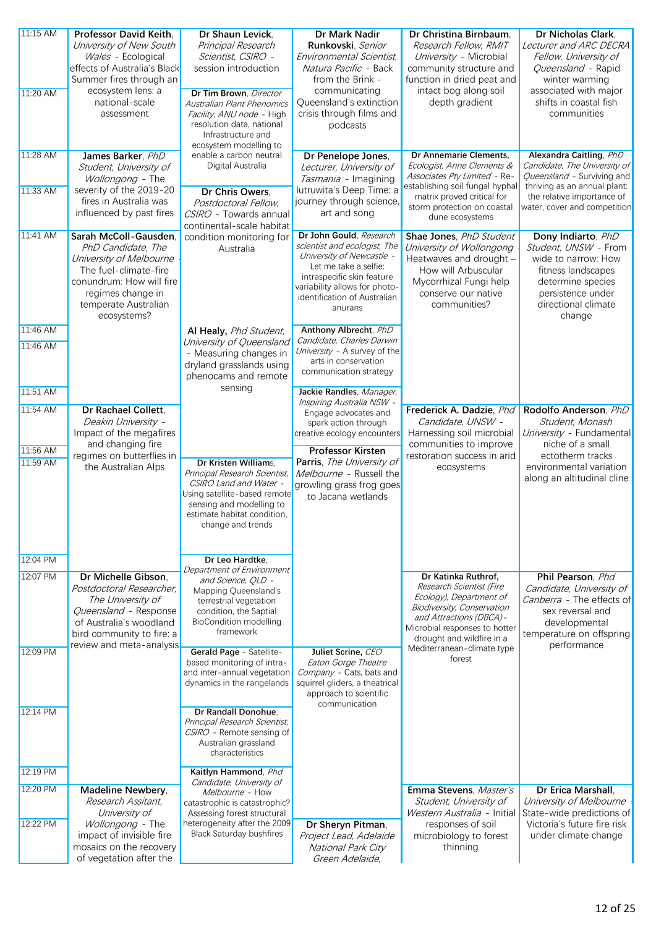| 11:15 AM | <b>Professor David Keith.</b>                       | Dr Shaun Levick,                                        | Dr Mark Nadir                                             | Dr Christina Birnbaum,                                        | Dr Nicholas Clark,                                         |
|----------|-----------------------------------------------------|---------------------------------------------------------|-----------------------------------------------------------|---------------------------------------------------------------|------------------------------------------------------------|
|          | University of New South                             | Principal Research                                      | Runkovski, Senior                                         | Research Fellow, RMIT                                         | Lecturer and ARC DECRA                                     |
|          | Wales - Ecological                                  | Scientist, CSIRO -                                      | Environmental Scientist,                                  | University - Microbial                                        | Fellow, University of                                      |
|          | effects of Australia's Black                        | session introduction                                    | Natura Pacific - Back<br>from the Brink -                 | community structure and<br>function in dried peat and         | Queensland - Rapid                                         |
|          | Summer fires through an<br>ecosystem lens: a        |                                                         | communicating                                             | intact bog along soil                                         | winter warming<br>associated with major                    |
| 11:20 AM | national-scale                                      | Dr Tim Brown, Director<br>Australian Plant Phenomics    | Queensland's extinction                                   | depth gradient                                                | shifts in coastal fish                                     |
|          | assessment                                          | Facility, ANU node - High                               | crisis through films and                                  |                                                               | communities                                                |
|          |                                                     | resolution data, national                               | podcasts                                                  |                                                               |                                                            |
|          |                                                     | Infrastructure and<br>ecosystem modelling to            |                                                           |                                                               |                                                            |
| 11:28 AM | James Barker, PhD                                   | enable a carbon neutral                                 | Dr Penelope Jones,                                        | <b>Dr Annemarie Clements,</b>                                 | Alexandra Caitling, PhD                                    |
|          | Student, University of                              | Digital Australia                                       | Lecturer, University of                                   | Ecologist, Anne Clements &                                    | Candidate, The University of                               |
|          | Wollongong - The                                    |                                                         | Tasmania - Imagining                                      | Associates Pty Limited - Re-                                  | Queensland - Surviving and<br>thriving as an annual plant: |
| 11:33 AM | severity of the 2019-20                             | Dr Chris Owers,                                         | lutruwita's Deep Time: a                                  | establishing soil fungal hyphal<br>matrix proved critical for | the relative importance of                                 |
|          | fires in Australia was<br>influenced by past fires  | Postdoctoral Fellow,<br>CSIRO - Towards annual          | journey through science<br>art and song                   | storm protection on coastal                                   | water, cover and competition                               |
|          |                                                     | continental-scale habitat                               |                                                           | dune ecosystems                                               |                                                            |
| 11:41 AM | Sarah McColl-Gausden,                               | condition monitoring for                                | Dr John Gould, Research                                   | Shae Jones, PhD Student                                       | Dony Indiarto, PhD                                         |
|          | PhD Candidate, The                                  | Australia                                               | scientist and ecologist, The                              | University of Wollongong                                      | Student, UNSW - From                                       |
|          | University of Melbourne                             |                                                         | University of Newcastle -<br>Let me take a selfie:        | Heatwaves and drought -                                       | wide to narrow: How                                        |
|          | The fuel-climate-fire<br>conundrum: How will fire   |                                                         | intraspecific skin feature                                | How will Arbuscular<br>Mycorrhizal Fungi help                 | fitness landscapes<br>determine species                    |
|          | regimes change in                                   |                                                         | variability allows for photo-                             | conserve our native                                           | persistence under                                          |
|          | temperate Australian                                |                                                         | identification of Australian<br>anurans                   | communities?                                                  | directional climate                                        |
|          | ecosystems?                                         |                                                         |                                                           |                                                               | change                                                     |
| 11:46 AM |                                                     | Al Healy, Phd Student,                                  | Anthony Albrecht, PhD                                     |                                                               |                                                            |
| 11:46 AM |                                                     | University of Queensland                                | Candidate, Charles Darwin<br>University - A survey of the |                                                               |                                                            |
|          |                                                     | - Measuring changes in<br>dryland grasslands using      | arts in conservation                                      |                                                               |                                                            |
|          |                                                     | phenocams and remote                                    | communication strategy                                    |                                                               |                                                            |
| 11:51 AM |                                                     | sensing                                                 | Jackie Randles, Manager,                                  |                                                               |                                                            |
|          |                                                     |                                                         | Inspiring Australia NSW -                                 |                                                               |                                                            |
| 11:54 AM | Dr Rachael Collett,                                 |                                                         | Engage advocates and                                      | Frederick A. Dadzie, Phd                                      | Rodolfo Anderson, PhD                                      |
|          | Deakin University -<br>Impact of the megafires      |                                                         | spark action through<br>creative ecology encounters       | Candidate, UNSW -<br>Harnessing soil microbial                | Student, Monash<br>University - Fundamental                |
|          | and changing fire                                   |                                                         |                                                           | communities to improve                                        | niche of a small                                           |
| 11:56 AM | regimes on butterflies in                           |                                                         | Professor Kirsten                                         | restoration success in arid                                   | ectotherm tracks                                           |
| 11:59 AM | the Australian Alps                                 | Dr Kristen Williams,<br>Principal Research Scientist.   | Parris, The University of<br>Melbourne - Russell the      | ecosystems                                                    | environmental variation                                    |
|          |                                                     | CSIRO Land and Water -                                  | growling grass frog goes                                  |                                                               | along an altitudinal cline                                 |
|          |                                                     | Using satellite-based remote                            | to Jacana wetlands                                        |                                                               |                                                            |
|          |                                                     | sensing and modelling to<br>estimate habitat condition, |                                                           |                                                               |                                                            |
|          |                                                     | change and trends                                       |                                                           |                                                               |                                                            |
|          |                                                     |                                                         |                                                           |                                                               |                                                            |
|          |                                                     |                                                         |                                                           |                                                               |                                                            |
| 12:04 PM |                                                     | Dr Leo Hardtke.<br>Department of Environment            |                                                           |                                                               |                                                            |
| 12:07 PM | Dr Michelle Gibson.                                 | and Science, OLD -                                      |                                                           | Dr Katinka Ruthrof,                                           | Phil Pearson, Phd                                          |
|          | Postdoctoral Researcher,                            | Mapping Queensland's                                    |                                                           | Research Scientist (Fire<br>Ecology), Department of           | Candidate, University of                                   |
|          | The University of<br>Queensland - Response          | terrestrial vegetation<br>condition, the Saptial        |                                                           | Biodiversity, Conservation                                    | Canberra - The effects of<br>sex reversal and              |
|          | of Australia's woodland                             | <b>BioCondition modelling</b>                           |                                                           | and Attractions (DBCA) -                                      | developmental                                              |
|          | bird community to fire: a                           | framework                                               |                                                           | Microbial responses to hotter<br>drought and wildfire in a    | temperature on offspring                                   |
| 12:09 PM | review and meta-analysis                            | Gerald Page - Satellite-                                | Juliet Scrine, CEO                                        | Mediterranean-climate type                                    | performance                                                |
|          |                                                     | based monitoring of intra-                              | Eaton Gorge Theatre                                       | forest                                                        |                                                            |
|          |                                                     | and inter-annual vegetation                             | Company - Cats, bats and                                  |                                                               |                                                            |
|          |                                                     | dynamics in the rangelands                              | squirrel gliders, a theatrical<br>approach to scientific  |                                                               |                                                            |
|          |                                                     |                                                         | communication                                             |                                                               |                                                            |
| 12:14 PM |                                                     | Dr Randall Donohue.<br>Principal Research Scientist,    |                                                           |                                                               |                                                            |
|          |                                                     | CSIRO - Remote sensing of                               |                                                           |                                                               |                                                            |
|          |                                                     | Australian grassland                                    |                                                           |                                                               |                                                            |
|          |                                                     | characteristics                                         |                                                           |                                                               |                                                            |
| 12:19 PM |                                                     | Kaitlyn Hammond, Phd                                    |                                                           |                                                               |                                                            |
| 12:20 PM | <b>Madeline Newbery,</b>                            | Candidate, University of<br>Melbourne - How             |                                                           | Emma Stevens, Master's                                        | Dr Erica Marshall,                                         |
|          | Research Assitant.                                  | catastrophic is catastrophic?                           |                                                           | Student, University of                                        | University of Melbourne                                    |
|          | University of                                       | Assessing forest structural                             |                                                           | Western Australia - Initial                                   | State-wide predictions of                                  |
| 12:22 PM | Wollongong - The                                    | heterogeneity after the 2009                            | Dr Sheryn Pitman,                                         | responses of soil                                             | Victoria's future fire risk                                |
|          | impact of invisible fire<br>mosaics on the recovery | Black Saturday bushfires                                | Project Lead, Adelaide<br>National Park City              | microbiology to forest<br>thinning                            | under climate change                                       |
|          | of vegetation after the                             |                                                         | Green Adelaide,                                           |                                                               |                                                            |
|          |                                                     |                                                         |                                                           |                                                               |                                                            |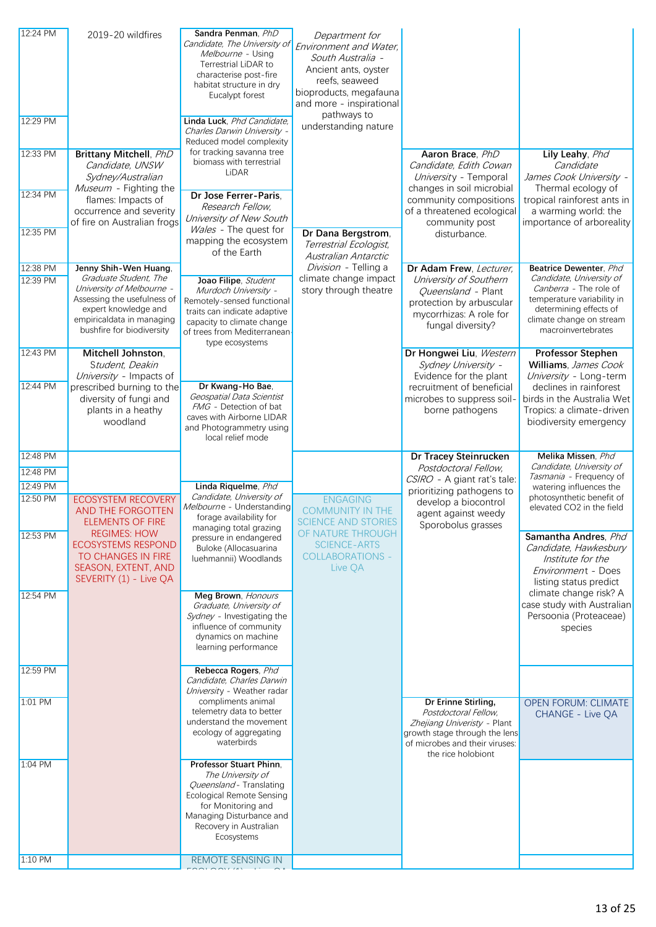| 12:24 PM           | 2019-20 wildfires                                                                                                                                                   | Sandra Penman, PhD<br>Candidate, The University of<br>Melbourne - Using<br>Terrestrial LiDAR to<br>characterise post-fire<br>habitat structure in dry                                           | Department for<br>Environment and Water.<br>South Australia -<br>Ancient ants, oyster<br>reefs, seaweed |                                                                                                                                                                     |                                                                                                                                                              |
|--------------------|---------------------------------------------------------------------------------------------------------------------------------------------------------------------|-------------------------------------------------------------------------------------------------------------------------------------------------------------------------------------------------|---------------------------------------------------------------------------------------------------------|---------------------------------------------------------------------------------------------------------------------------------------------------------------------|--------------------------------------------------------------------------------------------------------------------------------------------------------------|
|                    |                                                                                                                                                                     | Eucalypt forest                                                                                                                                                                                 | bioproducts, megafauna<br>and more - inspirational<br>pathways to                                       |                                                                                                                                                                     |                                                                                                                                                              |
| 12:29 PM           |                                                                                                                                                                     | Linda Luck, Phd Candidate.<br>Charles Darwin University -<br>Reduced model complexity                                                                                                           | understanding nature                                                                                    |                                                                                                                                                                     |                                                                                                                                                              |
| 12:33 PM           | <b>Brittany Mitchell</b> , <i>PhD</i><br>Candidate, UNSW<br>Sydney/Australian                                                                                       | for tracking savanna tree<br>biomass with terrestrial<br>LiDAR                                                                                                                                  |                                                                                                         | Aaron Brace, PhD<br>Candidate, Edith Cowan<br>University - Temporal                                                                                                 | Lily Leahy, Phd<br>Candidate<br>James Cook University -                                                                                                      |
| 12:34 PM           | Museum - Fighting the<br>flames: Impacts of<br>occurrence and severity                                                                                              | Dr Jose Ferrer-Paris,<br>Research Fellow.                                                                                                                                                       |                                                                                                         | changes in soil microbial<br>community compositions<br>of a threatened ecological                                                                                   | Thermal ecology of<br>tropical rainforest ants in<br>a warming world: the                                                                                    |
| 12:35 PM           | of fire on Australian frogs                                                                                                                                         | University of New South<br>Wales - The quest for<br>mapping the ecosystem<br>of the Earth                                                                                                       | Dr Dana Bergstrom,<br>Terrestrial Ecologist,<br>Australian Antarctic                                    | community post<br>disturbance.                                                                                                                                      | importance of arboreality                                                                                                                                    |
| 12:38 PM           | Jenny Shih-Wen Huang,                                                                                                                                               |                                                                                                                                                                                                 | Division - Telling a                                                                                    | Dr Adam Frew, Lecturer,                                                                                                                                             | Beatrice Dewenter, Phd                                                                                                                                       |
| 12:39 PM           | Graduate Student, The<br>University of Melbourne -<br>Assessing the usefulness of<br>expert knowledge and<br>empiricaldata in managing<br>bushfire for biodiversity | Joao Filipe, Student<br>Murdoch University -<br>Remotely-sensed functional<br>traits can indicate adaptive<br>capacity to climate change<br>of trees from Mediterranean<br>type ecosystems      | climate change impact<br>story through theatre                                                          | University of Southern<br>Queensland - Plant<br>protection by arbuscular<br>mycorrhizas: A role for<br>fungal diversity?                                            | Candidate, University of<br>Canberra - The role of<br>temperature variability in<br>determining effects of<br>climate change on stream<br>macroinvertebrates |
| 12:43 PM           | Mitchell Johnston,<br>Student, Deakin<br>University - Impacts of                                                                                                    |                                                                                                                                                                                                 |                                                                                                         | Dr Hongwei Liu, Western<br>Sydney University -<br>Evidence for the plant                                                                                            | <b>Professor Stephen</b><br>Williams, James Cook<br>University - Long-term                                                                                   |
| 12:44 PM           | prescribed burning to the<br>diversity of fungi and<br>plants in a heathy<br>woodland                                                                               | Dr Kwang-Ho Bae,<br>Geospatial Data Scientist<br>FMG - Detection of bat<br>caves with Airborne LIDAR<br>and Photogrammetry using<br>local relief mode                                           |                                                                                                         | recruitment of beneficial<br>microbes to suppress soil-<br>borne pathogens                                                                                          | declines in rainforest<br>birds in the Australia Wet<br>Tropics: a climate-driven<br>biodiversity emergency                                                  |
| 12:48 PM           |                                                                                                                                                                     |                                                                                                                                                                                                 |                                                                                                         | Dr Tracey Steinrucken                                                                                                                                               | Melika Missen, Phd                                                                                                                                           |
| 12:48 PM           |                                                                                                                                                                     |                                                                                                                                                                                                 |                                                                                                         | Postdoctoral Fellow,                                                                                                                                                | Candidate, University of<br>Tasmania - Frequency of                                                                                                          |
| 12:49 PM           |                                                                                                                                                                     | Linda Riquelme, Phd                                                                                                                                                                             |                                                                                                         | CSIRO - A giant rat's tale:<br>prioritizing pathogens to                                                                                                            | watering influences the                                                                                                                                      |
| 12:50 PM           | <b>ECOSYSTEM RECOVERY</b><br>AND THE FORGOTTEN<br><b>ELEMENTS OF FIRE</b>                                                                                           | Candidate, University of<br>Melbourne - Understanding<br>forage availability for<br>managing total grazing                                                                                      | <b>ENGAGING</b><br><b>COMMUNITY IN THE</b><br><b>SCIENCE AND STORIES</b>                                | develop a biocontrol<br>agent against weedy<br>Sporobolus grasses                                                                                                   | photosynthetic benefit of<br>elevated CO2 in the field                                                                                                       |
| 12:53 PM           | <b>REGIMES: HOW</b><br><b>ECOSYSTEMS RESPOND</b><br>TO CHANGES IN FIRE<br>SEASON, EXTENT, AND<br>SEVERITY (1) - Live QA                                             | pressure in endangered<br>Buloke (Allocasuarina<br>luehmannii) Woodlands                                                                                                                        | OF NATURE THROUGH<br><b>SCIENCE-ARTS</b><br><b>COLLABORATIONS -</b><br>Live QA                          |                                                                                                                                                                     | Samantha Andres, Phd<br>Candidate, Hawkesbury<br>Institute for the<br>Environment - Does<br>listing status predict                                           |
| 12:54 PM           |                                                                                                                                                                     | Meg Brown, Honours<br>Graduate, University of<br>Sydney - Investigating the<br>influence of community<br>dynamics on machine<br>learning performance                                            |                                                                                                         |                                                                                                                                                                     | climate change risk? A<br>case study with Australian<br>Persoonia (Proteaceae)<br>species                                                                    |
| 12:59 PM           |                                                                                                                                                                     | Rebecca Rogers, Phd<br>Candidate, Charles Darwin<br>University - Weather radar                                                                                                                  |                                                                                                         |                                                                                                                                                                     |                                                                                                                                                              |
| 1:01 PM            |                                                                                                                                                                     | compliments animal<br>telemetry data to better<br>understand the movement<br>ecology of aggregating<br>waterbirds                                                                               |                                                                                                         | Dr Erinne Stirling,<br>Postdoctoral Fellow.<br>Zhejiang Univeristy - Plant<br>growth stage through the lens<br>of microbes and their viruses:<br>the rice holobiont | <b>OPEN FORUM: CLIMATE</b><br>CHANGE - Live QA                                                                                                               |
| 1:04 PM<br>1:10 PM |                                                                                                                                                                     | Professor Stuart Phinn,<br>The University of<br>Queensland - Translating<br>Ecological Remote Sensing<br>for Monitoring and<br>Managing Disturbance and<br>Recovery in Australian<br>Ecosystems |                                                                                                         |                                                                                                                                                                     |                                                                                                                                                              |
|                    |                                                                                                                                                                     | REMOTE SENSING IN                                                                                                                                                                               |                                                                                                         |                                                                                                                                                                     |                                                                                                                                                              |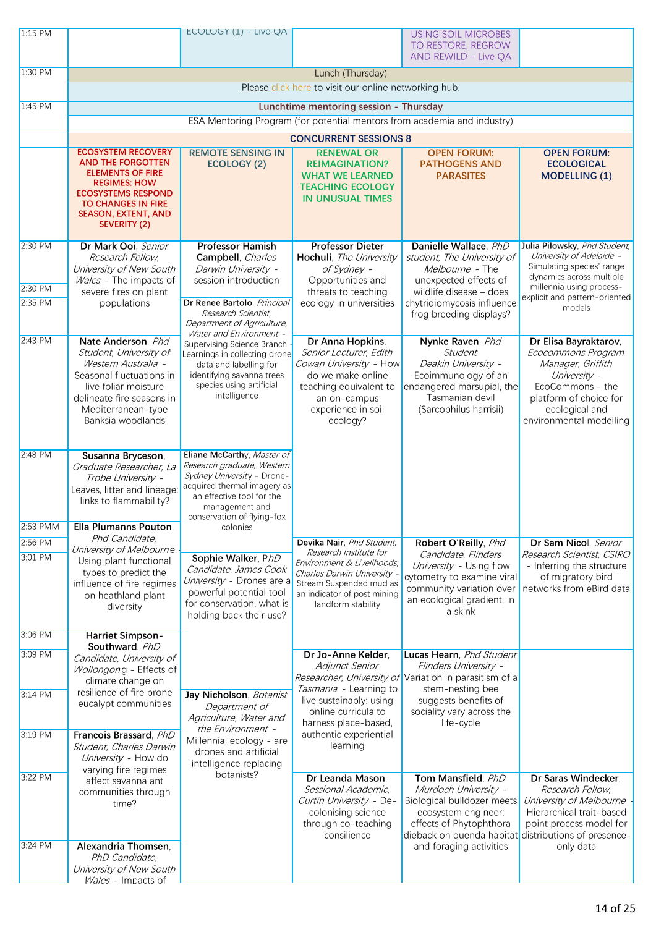| $1:15$ PM |                                                         | ECOLOGY (1) - Live QA                                       |                                                        | <b>USING SOIL MICROBES</b>                                               |                                                           |  |
|-----------|---------------------------------------------------------|-------------------------------------------------------------|--------------------------------------------------------|--------------------------------------------------------------------------|-----------------------------------------------------------|--|
|           |                                                         |                                                             |                                                        | TO RESTORE, REGROW                                                       |                                                           |  |
|           |                                                         |                                                             |                                                        | AND REWILD - Live QA                                                     |                                                           |  |
| 1:30 PM   |                                                         |                                                             | Lunch (Thursday)                                       |                                                                          |                                                           |  |
|           |                                                         |                                                             | Please click here to visit our online networking hub.  |                                                                          |                                                           |  |
|           |                                                         |                                                             |                                                        |                                                                          |                                                           |  |
| 1:45 PM   | Lunchtime mentoring session - Thursday                  |                                                             |                                                        |                                                                          |                                                           |  |
|           |                                                         |                                                             |                                                        | ESA Mentoring Program (for potential mentors from academia and industry) |                                                           |  |
|           |                                                         |                                                             | <b>CONCURRENT SESSIONS 8</b>                           |                                                                          |                                                           |  |
|           | <b>ECOSYSTEM RECOVERY</b>                               | <b>REMOTE SENSING IN</b>                                    | <b>RENEWAL OR</b>                                      | <b>OPEN FORUM:</b>                                                       | <b>OPEN FORUM:</b>                                        |  |
|           | <b>AND THE FORGOTTEN</b><br><b>ELEMENTS OF FIRE</b>     | <b>ECOLOGY (2)</b>                                          | <b>REIMAGINATION?</b>                                  | <b>PATHOGENS AND</b>                                                     | <b>ECOLOGICAL</b>                                         |  |
|           | <b>REGIMES: HOW</b>                                     |                                                             | <b>WHAT WE LEARNED</b><br><b>TEACHING ECOLOGY</b>      | <b>PARASITES</b>                                                         | <b>MODELLING (1)</b>                                      |  |
|           | <b>ECOSYSTEMS RESPOND</b>                               |                                                             | <b>IN UNUSUAL TIMES</b>                                |                                                                          |                                                           |  |
|           | <b>TO CHANGES IN FIRE</b><br><b>SEASON, EXTENT, AND</b> |                                                             |                                                        |                                                                          |                                                           |  |
|           | <b>SEVERITY (2)</b>                                     |                                                             |                                                        |                                                                          |                                                           |  |
|           |                                                         |                                                             |                                                        |                                                                          |                                                           |  |
| 2:30 PM   | Dr Mark Ooi, Senior                                     | <b>Professor Hamish</b>                                     | <b>Professor Dieter</b>                                | Danielle Wallace, PhD                                                    | Julia Pilowsky, Phd Student,<br>University of Adelaide -  |  |
|           | Research Fellow,<br>University of New South             | Campbell, Charles<br>Darwin University -                    | Hochuli, The University<br>of Sydney -                 | student, The University of<br>Melbourne - The                            | Simulating species' range                                 |  |
|           | Wales - The impacts of                                  | session introduction                                        | Opportunities and                                      | unexpected effects of                                                    | dynamics across multiple                                  |  |
| 2:30 PM   | severe fires on plant                                   |                                                             | threats to teaching                                    | wildlife disease - does                                                  | millennia using process-<br>explicit and pattern-oriented |  |
| 2:35 PM   | populations                                             | Dr Renee Bartolo, Principal<br>Research Scientist.          | ecology in universities                                | chytridiomycosis influence<br>frog breeding displays?                    | models                                                    |  |
|           |                                                         | Department of Agriculture.                                  |                                                        |                                                                          |                                                           |  |
| 2:43 PM   | Nate Anderson, Phd                                      | Water and Environment -                                     | Dr Anna Hopkins,                                       | Nynke Raven, Phd                                                         | Dr Elisa Bayraktarov,                                     |  |
|           | Student, University of                                  | Supervising Science Branch<br>Learnings in collecting drone | Senior Lecturer, Edith                                 | Student                                                                  | Ecocommons Program                                        |  |
|           | Western Australia -                                     | data and labelling for                                      | Cowan University - How                                 | Deakin University -                                                      | Manager, Griffith                                         |  |
|           | Seasonal fluctuations in                                | identifying savanna trees                                   | do we make online                                      | Ecoimmunology of an                                                      | University -                                              |  |
|           | live foliar moisture<br>delineate fire seasons in       | species using artificial<br>intelligence                    | teaching equivalent to<br>an on-campus                 | endangered marsupial, the<br>Tasmanian devil                             | EcoCommons - the<br>platform of choice for                |  |
|           | Mediterranean-type                                      |                                                             | experience in soil                                     | (Sarcophilus harrisii)                                                   | ecological and                                            |  |
|           | Banksia woodlands                                       |                                                             | ecology?                                               |                                                                          | environmental modelling                                   |  |
|           |                                                         |                                                             |                                                        |                                                                          |                                                           |  |
| 2:48 PM   | Susanna Bryceson,                                       | Eliane McCarthy, Master of                                  |                                                        |                                                                          |                                                           |  |
|           | Graduate Researcher, La                                 | Research graduate, Western                                  |                                                        |                                                                          |                                                           |  |
|           | Trobe University -                                      | Sydney University - Drone-                                  |                                                        |                                                                          |                                                           |  |
|           | Leaves, litter and lineage:                             | acquired thermal imagery as<br>an effective tool for the    |                                                        |                                                                          |                                                           |  |
|           | links to flammability?                                  | management and                                              |                                                        |                                                                          |                                                           |  |
| 2:53 PMM  | Ella Plumanns Pouton,                                   | conservation of flying-fox<br>colonies                      |                                                        |                                                                          |                                                           |  |
| 2:56 PM   | Phd Candidate.                                          |                                                             | Devika Nair, Phd Student,                              |                                                                          | Dr Sam Nicol, Senior                                      |  |
|           | University of Melbourne                                 |                                                             | Research Institute for                                 | Robert O'Reilly, Phd<br>Candidate, Flinders                              | Research Scientist, CSIRO                                 |  |
| 3:01 PM   | Using plant functional                                  | Sophie Walker, PhD<br>Candidate, James Cook                 | Environment & Livelihoods,                             | University - Using flow                                                  | - Inferring the structure                                 |  |
|           | types to predict the<br>influence of fire regimes       | University - Drones are a                                   | Charles Darwin University -<br>Stream Suspended mud as | cytometry to examine viral                                               | of migratory bird                                         |  |
|           | on heathland plant                                      | powerful potential tool                                     | an indicator of post mining                            | community variation over                                                 | networks from eBird data                                  |  |
|           | diversity                                               | for conservation, what is                                   | landform stability                                     | an ecological gradient, in<br>a skink                                    |                                                           |  |
|           |                                                         | holding back their use?                                     |                                                        |                                                                          |                                                           |  |
| 3:06 PM   | <b>Harriet Simpson-</b>                                 |                                                             |                                                        |                                                                          |                                                           |  |
| 3:09 PM   | Southward, PhD<br>Candidate, University of              |                                                             | Dr Jo-Anne Kelder.                                     | Lucas Hearn, Phd Student                                                 |                                                           |  |
|           | Wollongong - Effects of                                 |                                                             | Adjunct Senior                                         | Flinders University -                                                    |                                                           |  |
|           | climate change on                                       |                                                             | Researcher, University of                              | Variation in parasitism of a                                             |                                                           |  |
| 3:14 PM   | resilience of fire prone                                | Jay Nicholson, Botanist                                     | Tasmania - Learning to<br>live sustainably: using      | stem-nesting bee<br>suggests benefits of                                 |                                                           |  |
|           | eucalypt communities                                    | Department of                                               | online curricula to                                    | sociality vary across the                                                |                                                           |  |
|           |                                                         | Agriculture, Water and<br>the Environment -                 | harness place-based,                                   | life-cycle                                                               |                                                           |  |
| 3:19 PM   | Francois Brassard, PhD                                  | Millennial ecology - are                                    | authentic experiential                                 |                                                                          |                                                           |  |
|           | Student, Charles Darwin<br>University - How do          | drones and artificial                                       | learning                                               |                                                                          |                                                           |  |
|           | varying fire regimes                                    | intelligence replacing                                      |                                                        |                                                                          |                                                           |  |
| 3:22 PM   | affect savanna ant                                      | botanists?                                                  | Dr Leanda Mason,                                       | Tom Mansfield, PhD                                                       | Dr Saras Windecker,                                       |  |
|           | communities through                                     |                                                             | Sessional Academic,                                    | Murdoch University -                                                     | Research Fellow,                                          |  |
|           | time?                                                   |                                                             | Curtin University - De-<br>colonising science          | Biological bulldozer meets<br>ecosystem engineer:                        | University of Melbourne<br>Hierarchical trait-based       |  |
|           |                                                         |                                                             | through co-teaching                                    | effects of Phytophthora                                                  | point process model for                                   |  |
|           |                                                         |                                                             | consilience                                            | dieback on quenda habitat distributions of presence-                     |                                                           |  |
| 3:24 PM   | Alexandria Thomsen,                                     |                                                             |                                                        | and foraging activities                                                  | only data                                                 |  |
|           | PhD Candidate.<br>University of New South               |                                                             |                                                        |                                                                          |                                                           |  |
|           | Wales - Impacts of                                      |                                                             |                                                        |                                                                          |                                                           |  |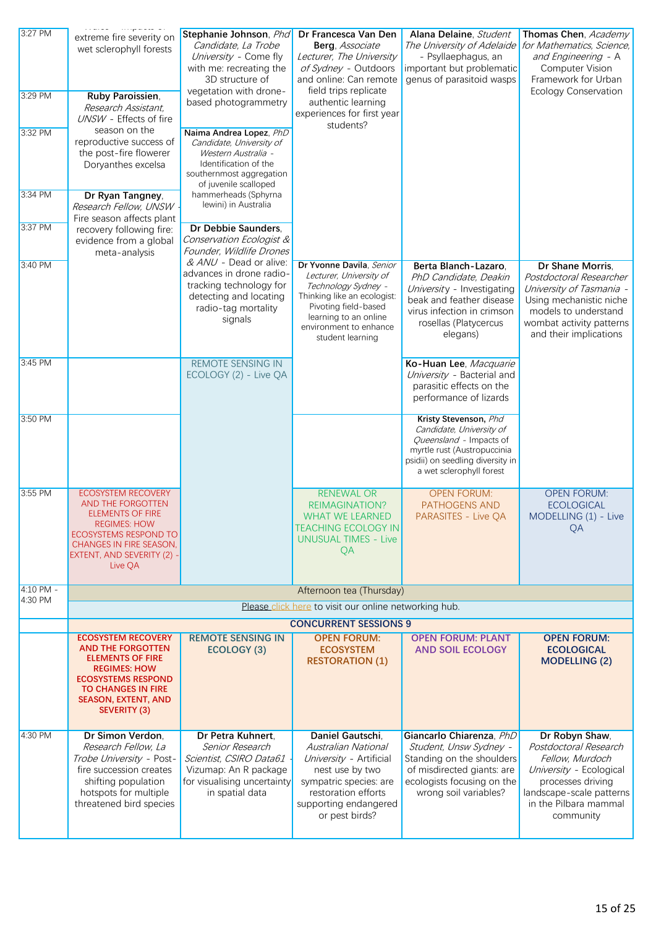| 3:27 PM     | extreme fire severity on<br>wet sclerophyll forests                                                                                                                                                                    | Stephanie Johnson, Phd<br>Candidate, La Trobe<br>University - Come fly<br>with me: recreating the<br>3D structure of                                     | Dr Francesca Van Den<br>Berg, Associate<br>Lecturer, The University<br>of Sydney - Outdoors<br>and online: Can remote                                                             | Alana Delaine, Student<br>The University of Adelaide for Mathematics, Science,<br>- Psyllaephagus, an<br>important but problematic<br>genus of parasitoid wasps             | Thomas Chen, Academy<br>and Engineering - A<br><b>Computer Vision</b><br>Framework for Urban                                                                                 |
|-------------|------------------------------------------------------------------------------------------------------------------------------------------------------------------------------------------------------------------------|----------------------------------------------------------------------------------------------------------------------------------------------------------|-----------------------------------------------------------------------------------------------------------------------------------------------------------------------------------|-----------------------------------------------------------------------------------------------------------------------------------------------------------------------------|------------------------------------------------------------------------------------------------------------------------------------------------------------------------------|
| 3:29 PM     | Ruby Paroissien,<br>Research Assistant.<br>UNSW - Effects of fire                                                                                                                                                      | vegetation with drone-<br>based photogrammetry                                                                                                           | field trips replicate<br>authentic learning<br>experiences for first year                                                                                                         |                                                                                                                                                                             | <b>Ecology Conservation</b>                                                                                                                                                  |
| 3:32 PM     | season on the<br>reproductive success of<br>the post-fire flowerer<br>Doryanthes excelsa                                                                                                                               | Naima Andrea Lopez, PhD<br>Candidate, University of<br>Western Australia -<br>Identification of the<br>southernmost aggregation<br>of juvenile scalloped | students?                                                                                                                                                                         |                                                                                                                                                                             |                                                                                                                                                                              |
| 3:34 PM     | Dr Ryan Tangney,<br>Research Fellow, UNSW -<br>Fire season affects plant                                                                                                                                               | hammerheads (Sphyrna<br>lewini) in Australia                                                                                                             |                                                                                                                                                                                   |                                                                                                                                                                             |                                                                                                                                                                              |
| 3:37 PM     | recovery following fire:<br>evidence from a global<br>meta-analysis                                                                                                                                                    | Dr Debbie Saunders,<br>Conservation Ecologist &<br>Founder, Wildlife Drones                                                                              |                                                                                                                                                                                   |                                                                                                                                                                             |                                                                                                                                                                              |
| 3:40 PM     |                                                                                                                                                                                                                        | & ANU - Dead or alive:                                                                                                                                   | Dr Yvonne Davila, Senior                                                                                                                                                          | Berta Blanch-Lazaro,                                                                                                                                                        | Dr Shane Morris,                                                                                                                                                             |
|             |                                                                                                                                                                                                                        | advances in drone radio-<br>tracking technology for<br>detecting and locating<br>radio-tag mortality<br>signals                                          | Lecturer, University of<br>Technology Sydney -<br>Thinking like an ecologist:<br>Pivoting field-based<br>learning to an online<br>environment to enhance<br>student learning      | PhD Candidate, Deakin<br>University - Investigating<br>beak and feather disease<br>virus infection in crimson<br>rosellas (Platycercus<br>elegans)                          | Postdoctoral Researcher<br>University of Tasmania -<br>Using mechanistic niche<br>models to understand<br>wombat activity patterns<br>and their implications                 |
| 3:45 PM     |                                                                                                                                                                                                                        | <b>REMOTE SENSING IN</b><br>ECOLOGY (2) - Live QA                                                                                                        |                                                                                                                                                                                   | Ko-Huan Lee, Macquarie<br>University - Bacterial and<br>parasitic effects on the<br>performance of lizards                                                                  |                                                                                                                                                                              |
| 3:50 PM     |                                                                                                                                                                                                                        |                                                                                                                                                          |                                                                                                                                                                                   | Kristy Stevenson, Phd<br>Candidate, University of<br>Queensland - Impacts of<br>myrtle rust (Austropuccinia<br>psidii) on seedling diversity in<br>a wet sclerophyll forest |                                                                                                                                                                              |
| 3:55 PM     | <b>ECOSYSTEM RECOVERY</b><br>AND THE FORGOTTEN<br><b>ELEMENTS OF FIRE</b><br><b>REGIMES: HOW</b><br><b>ECOSYSTEMS RESPOND TO</b><br>CHANGES IN FIRE SEASON.<br>EXTENT, AND SEVERITY (2) -<br>Live QA                   |                                                                                                                                                          | <b>RENEWAL OR</b><br><b>REIMAGINATION?</b><br><b>WHAT WE LEARNED</b><br><b>TEACHING ECOLOGY IN</b><br><b>UNUSUAL TIMES - Live</b><br>QA                                           | <b>OPEN FORUM:</b><br><b>PATHOGENS AND</b><br>PARASITES - Live QA                                                                                                           | <b>OPEN FORUM:</b><br><b>ECOLOGICAL</b><br>MODELLING (1) - Live<br><b>OA</b>                                                                                                 |
| $4:10$ PM - |                                                                                                                                                                                                                        |                                                                                                                                                          | Afternoon tea (Thursday)                                                                                                                                                          |                                                                                                                                                                             |                                                                                                                                                                              |
| 4:30 PM     |                                                                                                                                                                                                                        |                                                                                                                                                          | Please click here to visit our online networking hub.                                                                                                                             |                                                                                                                                                                             |                                                                                                                                                                              |
|             |                                                                                                                                                                                                                        |                                                                                                                                                          | <b>CONCURRENT SESSIONS 9</b>                                                                                                                                                      |                                                                                                                                                                             |                                                                                                                                                                              |
|             | <b>ECOSYSTEM RECOVERY</b><br><b>AND THE FORGOTTEN</b><br><b>ELEMENTS OF FIRE</b><br><b>REGIMES: HOW</b><br><b>ECOSYSTEMS RESPOND</b><br><b>TO CHANGES IN FIRE</b><br><b>SEASON, EXTENT, AND</b><br><b>SEVERITY (3)</b> | <b>REMOTE SENSING IN</b><br>ECOLOGY (3)                                                                                                                  | <b>OPEN FORUM:</b><br><b>ECOSYSTEM</b><br><b>RESTORATION (1)</b>                                                                                                                  | <b>OPEN FORUM: PLANT</b><br><b>AND SOIL ECOLOGY</b>                                                                                                                         | <b>OPEN FORUM:</b><br><b>ECOLOGICAL</b><br><b>MODELLING (2)</b>                                                                                                              |
| 4:30 PM     | Dr Simon Verdon,<br>Research Fellow, La<br>Trobe University - Post-<br>fire succession creates<br>shifting population<br>hotspots for multiple<br>threatened bird species                                              | Dr Petra Kuhnert,<br>Senior Research<br>Scientist, CSIRO Data61<br>Vizumap: An R package<br>for visualising uncertainty<br>in spatial data               | Daniel Gautschi,<br>Australian National<br>University - Artificial<br>nest use by two<br>sympatric species: are<br>restoration efforts<br>supporting endangered<br>or pest birds? | Giancarlo Chiarenza, PhD<br>Student, Unsw Sydney -<br>Standing on the shoulders<br>of misdirected giants: are<br>ecologists focusing on the<br>wrong soil variables?        | Dr Robyn Shaw,<br>Postdoctoral Research<br>Fellow, Murdoch<br>University - Ecological<br>processes driving<br>landscape-scale patterns<br>in the Pilbara mammal<br>community |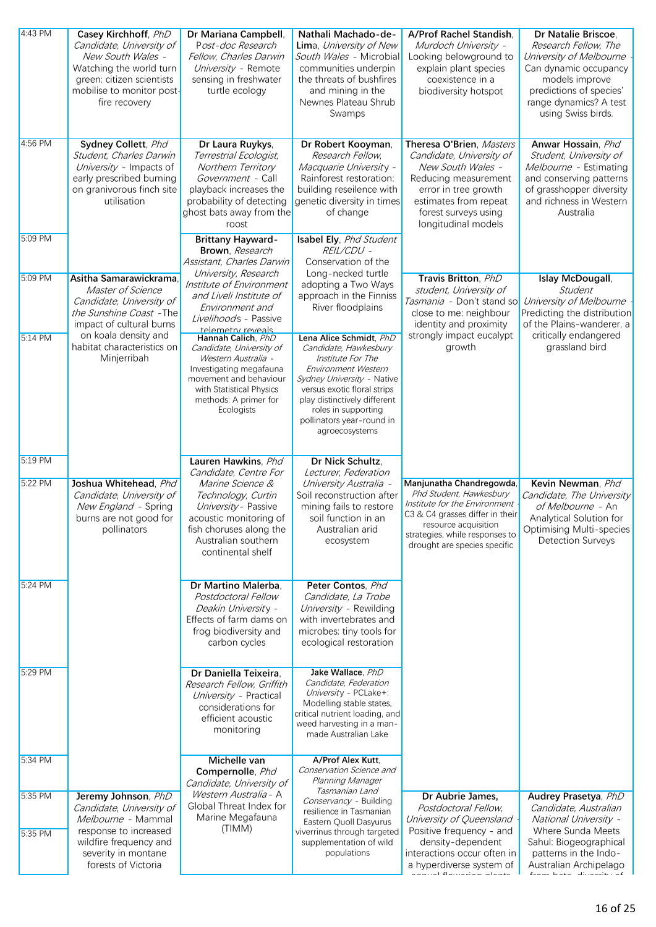| 4:43 PM | Casey Kirchhoff, PhD                                 | Dr Mariana Campbell,                                 | Nathali Machado-de-                                         | A/Prof Rachel Standish.                                 | Dr Natalie Briscoe.                             |
|---------|------------------------------------------------------|------------------------------------------------------|-------------------------------------------------------------|---------------------------------------------------------|-------------------------------------------------|
|         | Candidate, University of                             | Post-doc Research                                    | Lima, University of New                                     | Murdoch University -                                    | Research Fellow, The                            |
|         | New South Wales -                                    | Fellow, Charles Darwin                               | South Wales - Microbial                                     | Looking belowground to                                  | University of Melbourne                         |
|         | Watching the world turn<br>green: citizen scientists | University - Remote<br>sensing in freshwater         | communities underpin<br>the threats of bushfires            | explain plant species<br>coexistence in a               | Can dynamic occupancy<br>models improve         |
|         | mobilise to monitor post-                            | turtle ecology                                       | and mining in the                                           | biodiversity hotspot                                    | predictions of species'                         |
|         | fire recovery                                        |                                                      | Newnes Plateau Shrub                                        |                                                         | range dynamics? A test                          |
|         |                                                      |                                                      | Swamps                                                      |                                                         | using Swiss birds.                              |
|         |                                                      |                                                      |                                                             |                                                         |                                                 |
| 4:56 PM | Sydney Collett, Phd                                  | Dr Laura Ruykys,                                     | Dr Robert Kooyman,                                          | Theresa O'Brien, Masters                                | Anwar Hossain, Phd                              |
|         | Student, Charles Darwin                              | Terrestrial Ecologist,                               | Research Fellow,                                            | Candidate, University of                                | Student, University of                          |
|         | University - Impacts of                              | Northern Territory                                   | Macquarie University -                                      | New South Wales -                                       | Melbourne - Estimating                          |
|         | early prescribed burning                             | Government - Call                                    | Rainforest restoration:                                     | Reducing measurement                                    | and conserving patterns                         |
|         | on granivorous finch site                            | playback increases the                               | building reseilence with                                    | error in tree growth                                    | of grasshopper diversity                        |
|         | utilisation                                          | probability of detecting<br>ghost bats away from the | genetic diversity in times<br>of change                     | estimates from repeat<br>forest surveys using           | and richness in Western<br>Australia            |
|         |                                                      | roost                                                |                                                             | longitudinal models                                     |                                                 |
| 5:09 PM |                                                      | <b>Brittany Hayward-</b>                             | Isabel Ely, Phd Student                                     |                                                         |                                                 |
|         |                                                      | Brown, Research                                      | REIL/CDU -                                                  |                                                         |                                                 |
|         |                                                      | Assistant, Charles Darwin                            | Conservation of the                                         |                                                         |                                                 |
| 5:09 PM | Asitha Samarawickrama,                               | University, Research                                 | Long-necked turtle                                          | Travis Britton, PhD                                     | Islay McDougall,                                |
|         | Master of Science                                    | Institute of Environment                             | adopting a Two Ways                                         | student, University of                                  | Student                                         |
|         | Candidate, University of                             | and Liveli Institute of<br>Environment and           | approach in the Finniss<br>River floodplains                | Tasmania - Don't stand so                               | University of Melbourne                         |
|         | the Sunshine Coast - The                             | Livelihoods - Passive                                |                                                             | close to me: neighbour                                  | Predicting the distribution                     |
|         | impact of cultural burns                             | telemetry reveals                                    |                                                             | identity and proximity                                  | of the Plains-wanderer, a                       |
| 5:14 PM | on koala density and<br>habitat characteristics on   | Hannah Calich, PhD<br>Candidate, University of       | Lena Alice Schmidt, PhD<br>Candidate, Hawkesbury            | strongly impact eucalypt<br>growth                      | critically endangered<br>grassland bird         |
|         | Minjerribah                                          | Western Australia -                                  | Institute For The                                           |                                                         |                                                 |
|         |                                                      | Investigating megafauna                              | <b>Environment Western</b>                                  |                                                         |                                                 |
|         |                                                      | movement and behaviour                               | Sydney University - Native                                  |                                                         |                                                 |
|         |                                                      | with Statistical Physics<br>methods: A primer for    | versus exotic floral strips<br>play distinctively different |                                                         |                                                 |
|         |                                                      | Ecologists                                           | roles in supporting                                         |                                                         |                                                 |
|         |                                                      |                                                      | pollinators year-round in                                   |                                                         |                                                 |
|         |                                                      |                                                      | agroecosystems                                              |                                                         |                                                 |
|         |                                                      |                                                      |                                                             |                                                         |                                                 |
| 5:19 PM |                                                      | Lauren Hawkins, Phd                                  | Dr Nick Schultz,                                            |                                                         |                                                 |
| 5:22 PM | Joshua Whitehead, Phd                                | Candidate, Centre For<br>Marine Science &            | Lecturer, Federation                                        | Manjunatha Chandregowda,                                | Kevin Newman, Phd                               |
|         | Candidate, University of                             | Technology, Curtin                                   | University Australia -<br>Soil reconstruction after         | Phd Student, Hawkesbury                                 | Candidate, The University                       |
|         | New England - Spring                                 | University - Passive                                 | mining fails to restore                                     | Institute for the Environment                           | of Melbourne - An                               |
|         | burns are not good for                               | acoustic monitoring of                               | soil function in an                                         | C3 & C4 grasses differ in their                         | Analytical Solution for                         |
|         | pollinators                                          | fish choruses along the                              | Australian arid                                             | resource acquisition<br>strategies, while responses to  | <b>Optimising Multi-species</b>                 |
|         |                                                      | Australian southern<br>continental shelf             | ecosystem                                                   | drought are species specific                            | <b>Detection Surveys</b>                        |
|         |                                                      |                                                      |                                                             |                                                         |                                                 |
|         |                                                      |                                                      |                                                             |                                                         |                                                 |
| 5:24 PM |                                                      | Dr Martino Malerba,                                  | Peter Contos, Phd                                           |                                                         |                                                 |
|         |                                                      | Postdoctoral Fellow                                  | Candidate, La Trobe                                         |                                                         |                                                 |
|         |                                                      | Deakin University -<br>Effects of farm dams on       | University - Rewilding<br>with invertebrates and            |                                                         |                                                 |
|         |                                                      | frog biodiversity and                                | microbes: tiny tools for                                    |                                                         |                                                 |
|         |                                                      | carbon cycles                                        | ecological restoration                                      |                                                         |                                                 |
|         |                                                      |                                                      |                                                             |                                                         |                                                 |
| 5:29 PM |                                                      | Dr Daniella Teixeira,                                | Jake Wallace, PhD                                           |                                                         |                                                 |
|         |                                                      | Research Fellow, Griffith                            | Candidate, Federation                                       |                                                         |                                                 |
|         |                                                      | University - Practical                               | University - PCLake+:                                       |                                                         |                                                 |
|         |                                                      | considerations for                                   | Modelling stable states,<br>critical nutrient loading, and  |                                                         |                                                 |
|         |                                                      | efficient acoustic<br>monitoring                     | weed harvesting in a man-                                   |                                                         |                                                 |
|         |                                                      |                                                      | made Australian Lake                                        |                                                         |                                                 |
|         |                                                      |                                                      |                                                             |                                                         |                                                 |
| 5:34 PM |                                                      | Michelle van                                         | A/Prof Alex Kutt.<br>Conservation Science and               |                                                         |                                                 |
|         |                                                      | Compernolle, Phd<br>Candidate, University of         | Planning Manager                                            |                                                         |                                                 |
| 5:35 PM | Jeremy Johnson, PhD                                  | Western Australia - A                                | Tasmanian Land                                              | Dr Aubrie James,                                        | Audrey Prasetya, PhD                            |
|         | Candidate, University of                             | Global Threat Index for                              | Conservancy - Building<br>resilience in Tasmanian           | Postdoctoral Fellow,                                    | Candidate, Australian                           |
|         | Melbourne - Mammal                                   | Marine Megafauna                                     | Eastern Quoll Dasyurus                                      | University of Queensland                                | National University -                           |
| 5:35 PM | response to increased                                | (TIMM)                                               | viverrinus through targeted                                 | Positive frequency - and                                | Where Sunda Meets                               |
|         | wildfire frequency and                               |                                                      | supplementation of wild                                     | density-dependent                                       | Sahul: Biogeographical                          |
|         | severity in montane<br>forests of Victoria           |                                                      | populations                                                 | interactions occur often in<br>a hyperdiverse system of | patterns in the Indo-<br>Australian Archipelago |
|         |                                                      |                                                      |                                                             |                                                         | فكالمتعدد والتناس ولتحامل وعرضه                 |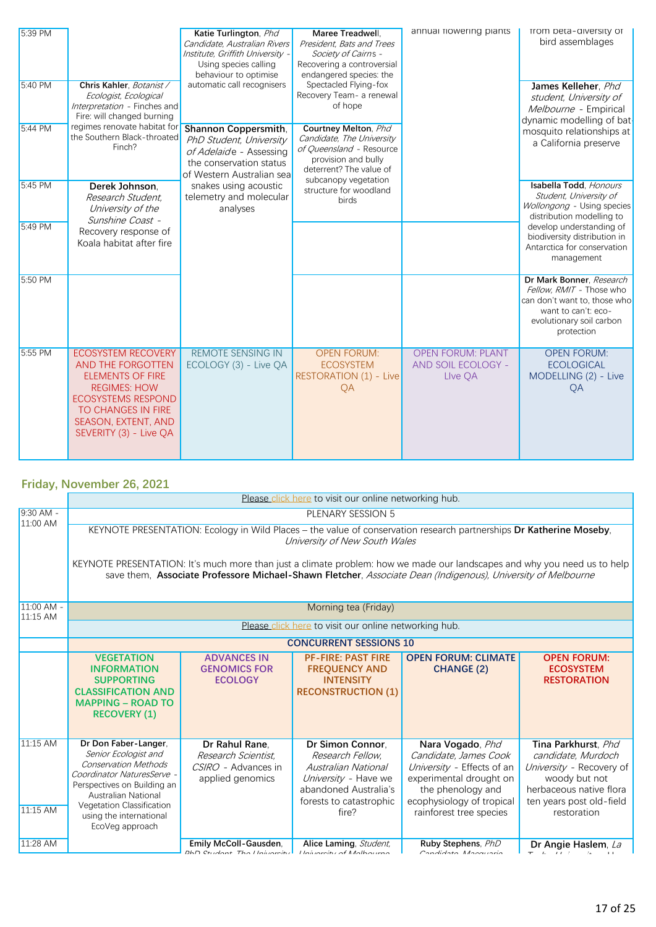| 5:39 PM<br>5:40 PM | Chris Kahler, Botanist /<br>Ecologist, Ecological<br>Interpretation - Finches and<br>Fire: will changed burning                                                                                      | Katie Turlington, Phd<br>Candidate, Australian Rivers<br>Institute, Griffith University -<br>Using species calling<br>behaviour to optimise<br>automatic call recognisers | Maree Treadwell.<br>President, Bats and Trees<br>Society of Cairns -<br>Recovering a controversial<br>endangered species: the<br>Spectacled Flying-fox<br>Recovery Team- a renewal<br>of hope | annual flowering plants                                   | from peta-diversity of<br>bird assemblages<br>James Kelleher, Phd<br>student, University of<br>Melbourne - Empirical<br>dynamic modelling of bat      |
|--------------------|------------------------------------------------------------------------------------------------------------------------------------------------------------------------------------------------------|---------------------------------------------------------------------------------------------------------------------------------------------------------------------------|-----------------------------------------------------------------------------------------------------------------------------------------------------------------------------------------------|-----------------------------------------------------------|-------------------------------------------------------------------------------------------------------------------------------------------------------|
| 5:44 PM            | regimes renovate habitat for<br>the Southern Black-throated<br>Finch?                                                                                                                                | Shannon Coppersmith,<br>PhD Student, University<br>of Adelaide - Assessing<br>the conservation status<br>of Western Australian sea                                        | Courtney Melton, Phd<br>Candidate, The University<br>of Queensland - Resource<br>provision and bully<br>deterrent? The value of<br>subcanopy vegetation                                       |                                                           | mosquito relationships at<br>a California preserve                                                                                                    |
| 5:45 PM            | Derek Johnson,<br>Research Student,<br>University of the                                                                                                                                             | snakes using acoustic<br>telemetry and molecular<br>analyses                                                                                                              | structure for woodland<br>birds                                                                                                                                                               |                                                           | Isabella Todd, Honours<br>Student, University of<br>Wollongong - Using species<br>distribution modelling to                                           |
| 5:49 PM            | Sunshine Coast -<br>Recovery response of<br>Koala habitat after fire                                                                                                                                 |                                                                                                                                                                           |                                                                                                                                                                                               |                                                           | develop understanding of<br>biodiversity distribution in<br>Antarctica for conservation<br>management                                                 |
| 5:50 PM            |                                                                                                                                                                                                      |                                                                                                                                                                           |                                                                                                                                                                                               |                                                           | Dr Mark Bonner, Research<br>Fellow, RMIT - Those who<br>can don't want to, those who<br>want to can't: eco-<br>evolutionary soil carbon<br>protection |
| 5:55 PM            | <b>ECOSYSTEM RECOVERY</b><br>AND THE FORGOTTEN<br><b>ELEMENTS OF FIRE</b><br><b>REGIMES: HOW</b><br><b>ECOSYSTEMS RESPOND</b><br>TO CHANGES IN FIRE<br>SEASON, EXTENT, AND<br>SEVERITY (3) - Live QA | <b>REMOTE SENSING IN</b><br>ECOLOGY (3) - Live QA                                                                                                                         | <b>OPEN FORUM:</b><br><b>ECOSYSTEM</b><br><b>RESTORATION (1) - Live</b><br>QA                                                                                                                 | <b>OPEN FORUM: PLANT</b><br>AND SOIL ECOLOGY -<br>Live OA | <b>OPEN FORUM:</b><br><b>ECOLOGICAL</b><br>MODELLING (2) - Live<br><b>OA</b>                                                                          |

### **Friday, November 26, 2021**

|                          | Please click here to visit our online networking hub.                                                                                                                                                                                                                                                                                                                                            |                                                                                    |                                                                                                                                                  |                                                                                                                                                                                 |                                                                                                                                                              |  |  |
|--------------------------|--------------------------------------------------------------------------------------------------------------------------------------------------------------------------------------------------------------------------------------------------------------------------------------------------------------------------------------------------------------------------------------------------|------------------------------------------------------------------------------------|--------------------------------------------------------------------------------------------------------------------------------------------------|---------------------------------------------------------------------------------------------------------------------------------------------------------------------------------|--------------------------------------------------------------------------------------------------------------------------------------------------------------|--|--|
| $9:30$ AM -<br>11:00 AM  |                                                                                                                                                                                                                                                                                                                                                                                                  |                                                                                    | PLENARY SESSION 5                                                                                                                                |                                                                                                                                                                                 |                                                                                                                                                              |  |  |
|                          | KEYNOTE PRESENTATION: Ecology in Wild Places - the value of conservation research partnerships Dr Katherine Moseby,<br>University of New South Wales<br>KEYNOTE PRESENTATION: It's much more than just a climate problem: how we made our landscapes and why you need us to help<br>save them, Associate Professore Michael-Shawn Fletcher, Associate Dean (Indigenous), University of Melbourne |                                                                                    |                                                                                                                                                  |                                                                                                                                                                                 |                                                                                                                                                              |  |  |
| $11:00$ AM -<br>11:15 AM |                                                                                                                                                                                                                                                                                                                                                                                                  |                                                                                    | Morning tea (Friday)                                                                                                                             |                                                                                                                                                                                 |                                                                                                                                                              |  |  |
|                          | Please click here to visit our online networking hub.                                                                                                                                                                                                                                                                                                                                            |                                                                                    |                                                                                                                                                  |                                                                                                                                                                                 |                                                                                                                                                              |  |  |
|                          |                                                                                                                                                                                                                                                                                                                                                                                                  |                                                                                    | <b>CONCURRENT SESSIONS 10</b>                                                                                                                    |                                                                                                                                                                                 |                                                                                                                                                              |  |  |
|                          | <b>VEGETATION</b><br><b>INFORMATION</b><br><b>SUPPORTING</b><br><b>CLASSIFICATION AND</b><br><b>MAPPING - ROAD TO</b><br><b>RECOVERY (1)</b>                                                                                                                                                                                                                                                     | <b>ADVANCES IN</b><br><b>GENOMICS FOR</b><br><b>ECOLOGY</b>                        | <b>PF-FIRE: PAST FIRE</b><br><b>FREQUENCY AND</b><br><b>INTENSITY</b><br><b>RECONSTRUCTION (1)</b>                                               | <b>OPEN FORUM: CLIMATE</b><br><b>CHANGE (2)</b>                                                                                                                                 | <b>OPEN FORUM:</b><br><b>ECOSYSTEM</b><br><b>RESTORATION</b>                                                                                                 |  |  |
| 11:15 AM<br>11:15 AM     | Dr Don Faber-Langer,<br>Senior Ecologist and<br><b>Conservation Methods</b><br>Coordinator NaturesServe -<br>Perspectives on Building an<br><b>Australian National</b><br>Vegetation Classification<br>using the international<br>EcoVeg approach                                                                                                                                                | Dr Rahul Rane,<br>Research Scientist,<br>$CS(RO - Advances in$<br>applied genomics | Dr Simon Connor,<br>Research Fellow.<br>Australian National<br>University - Have we<br>abandoned Australia's<br>forests to catastrophic<br>fire? | Nara Vogado, Phd<br>Candidate, James Cook<br>University - Effects of an<br>experimental drought on<br>the phenology and<br>ecophysiology of tropical<br>rainforest tree species | Tina Parkhurst, Phd<br>candidate, Murdoch<br>University - Recovery of<br>woody but not<br>herbaceous native flora<br>ten years post old-field<br>restoration |  |  |
| 11:28 AM                 |                                                                                                                                                                                                                                                                                                                                                                                                  | Emily McColl-Gausden,<br>$DhD$ $C + uA \rightarrow + ThA$ University               | Alice Laming, Student,<br>Ilahamitu of Malhouma                                                                                                  | Ruby Stephens, PhD<br>Condidato Monduccio                                                                                                                                       | Dr Angie Haslem, La<br>$\mathbf{r} = \mathbf{r} \mathbf{r} + \mathbf{r}$<br>$\mathbf{r}_{\mathbf{r}}$                                                        |  |  |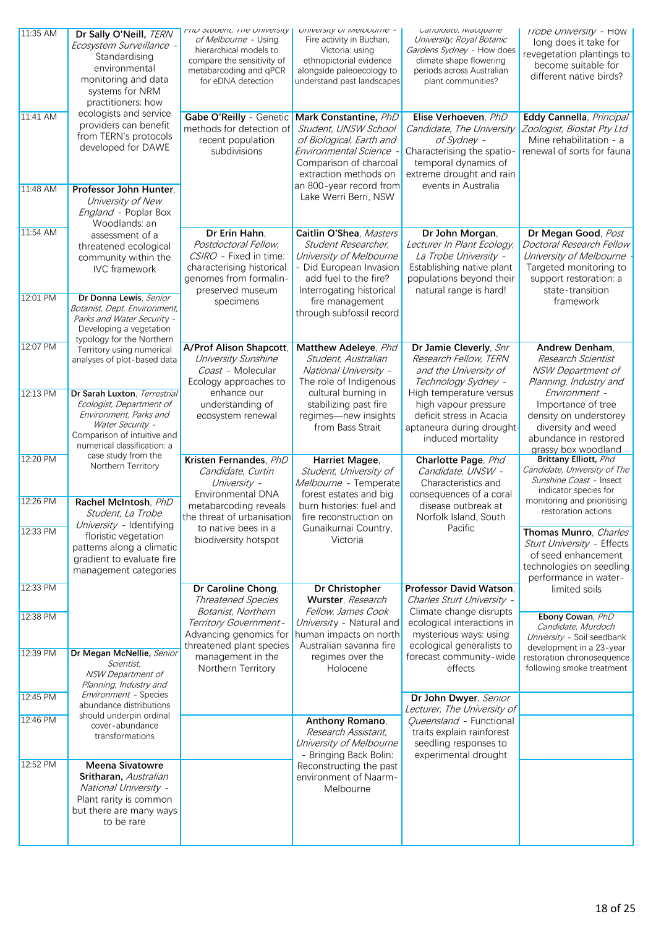| 11:35 AM<br>11:41 AM | Dr Sally O'Neill, TERN<br>Ecosystem Surveillance -<br>Standardising<br>environmental<br>monitoring and data<br>systems for NRM<br>practitioners: how<br>ecologists and service | rnd Student, The University<br>of Melbourne - Using<br>hierarchical models to<br>compare the sensitivity of<br>metabarcoding and qPCR<br>for eDNA detection<br><b>Gabe O'Reilly - Genetic</b> | UTIIVEISILY UI IVIEIDUUITIE -<br>Fire activity in Buchan,<br>Victoria: using<br>ethnopictorial evidence<br>alongside paleoecology to<br>understand past landscapes<br>Mark Constantine, PhD | Carloldate, Iviacquarie<br>University; Royal Botanic<br>Gardens Sydney - How does<br>climate shape flowering<br>periods across Australian<br>plant communities?<br>Elise Verhoeven, PhD | <i>Irobe University - How</i><br>long does it take for<br>revegetation plantings to<br>become suitable for<br>different native birds?<br>Eddy Cannella, Principal |
|----------------------|--------------------------------------------------------------------------------------------------------------------------------------------------------------------------------|-----------------------------------------------------------------------------------------------------------------------------------------------------------------------------------------------|---------------------------------------------------------------------------------------------------------------------------------------------------------------------------------------------|-----------------------------------------------------------------------------------------------------------------------------------------------------------------------------------------|-------------------------------------------------------------------------------------------------------------------------------------------------------------------|
|                      | providers can benefit<br>from TERN's protocols<br>developed for DAWE                                                                                                           | methods for detection of<br>recent population<br>subdivisions                                                                                                                                 | Student, UNSW School<br>of Biological, Earth and<br>Environmental Science -<br>Comparison of charcoal<br>extraction methods on                                                              | Candidate, The University<br>of Sydney -<br>Characterising the spatio-<br>temporal dynamics of<br>extreme drought and rain                                                              | Zoologist, Biostat Pty Ltd<br>Mine rehabilitation - a<br>renewal of sorts for fauna                                                                               |
| 11:48 AM             | Professor John Hunter,<br>University of New<br>England - Poplar Box<br>Woodlands: an                                                                                           |                                                                                                                                                                                               | an 800-year record from<br>Lake Werri Berri, NSW                                                                                                                                            | events in Australia                                                                                                                                                                     |                                                                                                                                                                   |
| 11:54 AM             | assessment of a<br>threatened ecological<br>community within the<br><b>IVC</b> framework                                                                                       | Dr Erin Hahn,<br>Postdoctoral Fellow.<br>CSIRO - Fixed in time:<br>characterising historical<br>genomes from formalin-<br>preserved museum                                                    | Caitlin O'Shea, Masters<br>Student Researcher,<br>University of Melbourne<br>- Did European Invasion<br>add fuel to the fire?<br>Interrogating historical                                   | Dr John Morgan,<br>Lecturer In Plant Ecology,<br>La Trobe University -<br>Establishing native plant<br>populations beyond their<br>natural range is hard!                               | Dr Megan Good, Post<br>Doctoral Research Fellow<br>University of Melbourne<br>Targeted monitoring to<br>support restoration: a<br>state-transition                |
| 12:01 PM             | Dr Donna Lewis, Senior<br>Botanist, Dept. Environment,<br>Parks and Water Security -<br>Developing a vegetation<br>typology for the Northern                                   | specimens                                                                                                                                                                                     | fire management<br>through subfossil record                                                                                                                                                 |                                                                                                                                                                                         | framework                                                                                                                                                         |
| 12:07 PM             | Territory using numerical<br>analyses of plot-based data                                                                                                                       | A/Prof Alison Shapcott,<br>University Sunshine<br>Coast - Molecular<br>Ecology approaches to                                                                                                  | Matthew Adeleye, Phd<br>Student, Australian<br>National University -<br>The role of Indigenous                                                                                              | Dr Jamie Cleverly, Snr<br>Research Fellow, TERN<br>and the University of<br>Technology Sydney -                                                                                         | Andrew Denham,<br>Research Scientist<br>NSW Department of<br>Planning, Industry and                                                                               |
| 12:13 PM             | Dr Sarah Luxton, Terrestrial<br>Ecologist, Department of<br>Environment, Parks and<br>Water Security -<br>Comparison of intuitive and<br>numerical classification: a           | enhance our<br>understanding of<br>ecosystem renewal                                                                                                                                          | cultural burning in<br>stabilizing past fire<br>regimes-new insights<br>from Bass Strait                                                                                                    | High temperature versus<br>high vapour pressure<br>deficit stress in Acacia<br>aptaneura during drought-<br>induced mortality                                                           | Environment -<br>Importance of tree<br>density on understorey<br>diversity and weed<br>abundance in restored<br>grassy box woodland                               |
| 12:20 PM             | case study from the<br>Northern Territory                                                                                                                                      | Kristen Fernandes, PhD<br>Candidate, Curtin<br>University -<br><b>Environmental DNA</b>                                                                                                       | <b>Harriet Magee,</b><br>Student, University of<br>Melbourne - Temperate<br>forest estates and big                                                                                          | Charlotte Page, Phd<br>Candidate, UNSW -<br>Characteristics and<br>consequences of a coral                                                                                              | <b>Brittany Elliott, Phd</b><br>Candidate, University of The<br>Sunshine Coast - Insect<br>indicator species for                                                  |
| 12:26 PM<br>12:33 PM | Rachel McIntosh, PhD<br>Student, La Trobe<br>University - Identifying<br>floristic vegetation                                                                                  | metabarcoding reveals<br>the threat of urbanisation<br>to native bees in a<br>biodiversity hotspot                                                                                            | burn histories: fuel and<br>fire reconstruction on<br>Gunaikurnai Country,<br>Victoria                                                                                                      | disease outbreak at<br>Norfolk Island, South<br>Pacific                                                                                                                                 | monitoring and prioritising<br>restoration actions<br>Thomas Munro, Charles<br><b>Sturt University - Effects</b>                                                  |
|                      | patterns along a climatic<br>gradient to evaluate fire<br>management categories                                                                                                |                                                                                                                                                                                               |                                                                                                                                                                                             |                                                                                                                                                                                         | of seed enhancement<br>technologies on seedling<br>performance in water-                                                                                          |
| 12:33 PM<br>12:38 PM |                                                                                                                                                                                | Dr Caroline Chong,<br><b>Threatened Species</b><br>Botanist, Northern                                                                                                                         | Dr Christopher<br>Wurster, Research<br>Fellow, James Cook                                                                                                                                   | Professor David Watson,<br>Charles Sturt University -<br>Climate change disrupts                                                                                                        | limited soils<br>Ebony Cowan, PhD                                                                                                                                 |
|                      |                                                                                                                                                                                | Territory Government-<br>Advancing genomics for<br>threatened plant species                                                                                                                   | University - Natural and<br>human impacts on north<br>Australian savanna fire                                                                                                               | ecological interactions in<br>mysterious ways: using<br>ecological generalists to                                                                                                       | Candidate, Murdoch<br>University - Soil seedbank<br>development in a 23-year                                                                                      |
| 12:39 PM             | Dr Megan McNellie, Senior<br>Scientist.<br>NSW Department of<br>Planning, Industry and                                                                                         | management in the<br>Northern Territory                                                                                                                                                       | regimes over the<br>Holocene                                                                                                                                                                | forecast community-wide<br>effects                                                                                                                                                      | restoration chronosequence<br>following smoke treatment                                                                                                           |
| 12:45 PM             | Environment - Species<br>abundance distributions                                                                                                                               |                                                                                                                                                                                               |                                                                                                                                                                                             | Dr John Dwyer, Senior<br>Lecturer, The University of                                                                                                                                    |                                                                                                                                                                   |
| 12:46 PM             | should underpin ordinal<br>cover-abundance<br>transformations                                                                                                                  |                                                                                                                                                                                               | Anthony Romano,<br>Research Assistant,<br>University of Melbourne<br>- Bringing Back Bolin:                                                                                                 | Queensland - Functional<br>traits explain rainforest<br>seedling responses to<br>experimental drought                                                                                   |                                                                                                                                                                   |
| 12:52 PM             | <b>Meena Sivatowre</b><br>Sritharan, Australian<br>National University -<br>Plant rarity is common<br>but there are many ways<br>to be rare                                    |                                                                                                                                                                                               | Reconstructing the past<br>environment of Naarm-<br>Melbourne                                                                                                                               |                                                                                                                                                                                         |                                                                                                                                                                   |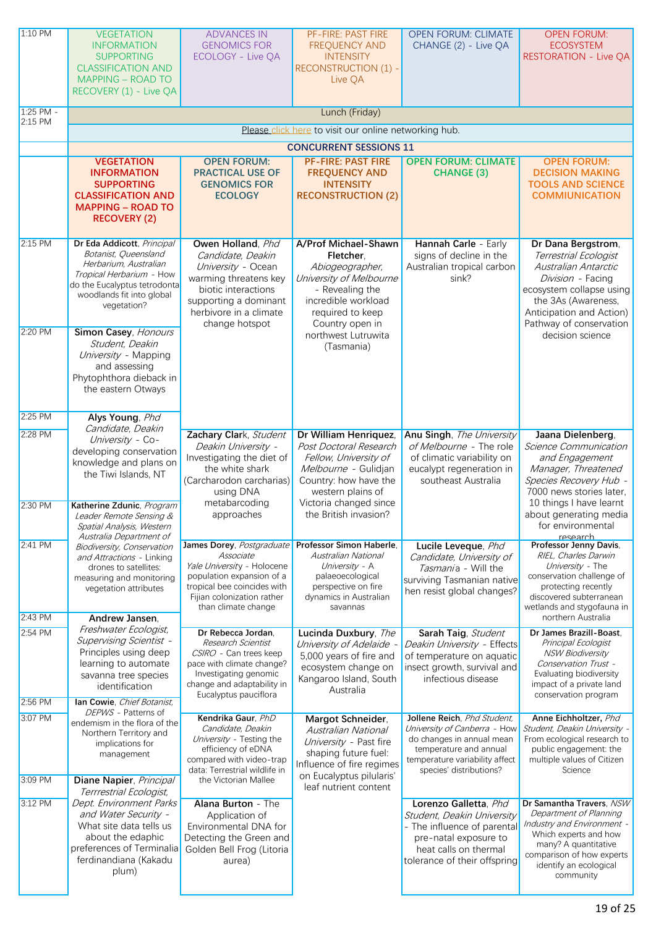| 1:10 PM     | <b>VEGETATION</b>                                              | <b>ADVANCES IN</b>                                       | <b>PF-FIRE: PAST FIRE</b>                             | <b>OPEN FORUM: CLIMATE</b>                               | <b>OPEN FORUM:</b>                                    |
|-------------|----------------------------------------------------------------|----------------------------------------------------------|-------------------------------------------------------|----------------------------------------------------------|-------------------------------------------------------|
|             | <b>INFORMATION</b>                                             | <b>GENOMICS FOR</b>                                      | <b>FREQUENCY AND</b>                                  | CHANGE (2) - Live QA                                     | <b>ECOSYSTEM</b>                                      |
|             | <b>SUPPORTING</b>                                              | ECOLOGY - Live QA                                        | <b>INTENSITY</b>                                      |                                                          | <b>RESTORATION - Live QA</b>                          |
|             | <b>CLASSIFICATION AND</b>                                      |                                                          | RECONSTRUCTION (1) -                                  |                                                          |                                                       |
|             | <b>MAPPING - ROAD TO</b>                                       |                                                          | Live QA                                               |                                                          |                                                       |
|             | RECOVERY (1) - Live QA                                         |                                                          |                                                       |                                                          |                                                       |
| $1:25$ PM - |                                                                |                                                          | Lunch (Friday)                                        |                                                          |                                                       |
| 2:15 PM     |                                                                |                                                          | Please click here to visit our online networking hub. |                                                          |                                                       |
|             |                                                                |                                                          |                                                       |                                                          |                                                       |
|             |                                                                |                                                          | <b>CONCURRENT SESSIONS 11</b>                         |                                                          |                                                       |
|             | <b>VEGETATION</b>                                              | <b>OPEN FORUM:</b>                                       | <b>PF-FIRE: PAST FIRE</b>                             | <b>OPEN FORUM: CLIMATE</b>                               | <b>OPEN FORUM:</b>                                    |
|             | <b>INFORMATION</b><br><b>SUPPORTING</b>                        | <b>PRACTICAL USE OF</b><br><b>GENOMICS FOR</b>           | <b>FREQUENCY AND</b><br><b>INTENSITY</b>              | <b>CHANGE (3)</b>                                        | <b>DECISION MAKING</b><br><b>TOOLS AND SCIENCE</b>    |
|             | <b>CLASSIFICATION AND</b>                                      | <b>ECOLOGY</b>                                           | <b>RECONSTRUCTION (2)</b>                             |                                                          | <b>COMMIUNICATION</b>                                 |
|             | <b>MAPPING - ROAD TO</b>                                       |                                                          |                                                       |                                                          |                                                       |
|             | <b>RECOVERY (2)</b>                                            |                                                          |                                                       |                                                          |                                                       |
|             |                                                                |                                                          |                                                       |                                                          |                                                       |
| 2:15 PM     | Dr Eda Addicott, Principal                                     | Owen Holland, Phd                                        | A/Prof Michael-Shawn                                  | Hannah Carle - Early                                     | Dr Dana Bergstrom,                                    |
|             | Botanist, Queensland<br>Herbarium, Australian                  | Candidate, Deakin                                        | Fletcher,                                             | signs of decline in the                                  | Terrestrial Ecologist                                 |
|             | Tropical Herbarium - How                                       | University - Ocean                                       | Abiogeographer,                                       | Australian tropical carbon<br>sink?                      | Australian Antarctic                                  |
|             | do the Eucalyptus tetrodonta                                   | warming threatens key<br>biotic interactions             | University of Melbourne<br>- Revealing the            |                                                          | Division - Facing<br>ecosystem collapse using         |
|             | woodlands fit into global                                      | supporting a dominant                                    | incredible workload                                   |                                                          | the 3As (Awareness,                                   |
|             | vegetation?                                                    | herbivore in a climate                                   | required to keep                                      |                                                          | Anticipation and Action)                              |
| 2:20 PM     |                                                                | change hotspot                                           | Country open in                                       |                                                          | Pathway of conservation                               |
|             | Simon Casey, Honours<br>Student, Deakin                        |                                                          | northwest Lutruwita                                   |                                                          | decision science                                      |
|             | University - Mapping                                           |                                                          | (Tasmania)                                            |                                                          |                                                       |
|             | and assessing                                                  |                                                          |                                                       |                                                          |                                                       |
|             | Phytophthora dieback in                                        |                                                          |                                                       |                                                          |                                                       |
|             | the eastern Otways                                             |                                                          |                                                       |                                                          |                                                       |
|             |                                                                |                                                          |                                                       |                                                          |                                                       |
| 2:25 PM     | Alys Young, Phd                                                |                                                          |                                                       |                                                          |                                                       |
| 2:28 PM     | Candidate, Deakin                                              | Zachary Clark, Student                                   | Dr William Henriquez,                                 | Anu Singh, The University                                | Jaana Dielenberg,                                     |
|             | University - Co-<br>developing conservation                    | Deakin University -                                      | Post Doctoral Research                                | of Melbourne - The role                                  | Science Communication                                 |
|             | knowledge and plans on                                         | Investigating the diet of                                | Fellow, University of                                 | of climatic variability on                               | and Engagement                                        |
|             | the Tiwi Islands, NT                                           | the white shark                                          | Melbourne - Gulidjan                                  | eucalypt regeneration in                                 | Manager, Threatened                                   |
|             |                                                                | (Carcharodon carcharias)<br>using DNA                    | Country: how have the<br>western plains of            | southeast Australia                                      | Species Recovery Hub -<br>7000 news stories later,    |
| 2:30 PM     | Katherine Zdunic, Program                                      | metabarcoding                                            | Victoria changed since                                |                                                          | 10 things I have learnt                               |
|             | Leader Remote Sensing &                                        | approaches                                               | the British invasion?                                 |                                                          | about generating media                                |
|             | Spatial Analysis, Western                                      |                                                          |                                                       |                                                          | for environmental                                     |
| 2:41 PM     | Australia Department of                                        | James Dorey, Postgraduate                                | Professor Simon Haberle.                              | Lucile Leveque, Phd                                      | research<br>Professor Jenny Davis,                    |
|             | <b>Biodiversity, Conservation</b><br>and Attractions - Linking | Associate                                                | Australian National                                   | Candidate, University of                                 | RIEL, Charles Darwin                                  |
|             | drones to satellites:                                          | Yale University - Holocene                               | University - A                                        | Tasmania - Will the                                      | University - The                                      |
|             | measuring and monitoring                                       | population expansion of a<br>tropical bee coincides with | palaeoecological<br>perspective on fire               | surviving Tasmanian native                               | conservation challenge of<br>protecting recently      |
|             | vegetation attributes                                          | Fijian colonization rather                               | dynamics in Australian                                | hen resist global changes?                               | discovered subterranean                               |
|             |                                                                | than climate change                                      | savannas                                              |                                                          | wetlands and stygofauna in                            |
| 2:43 PM     | Andrew Jansen,                                                 |                                                          |                                                       |                                                          | northern Australia                                    |
| 2:54 PM     | Freshwater Ecologist,<br><b>Supervising Scientist -</b>        | Dr Rebecca Jordan.                                       | Lucinda Duxbury, The                                  | Sarah Taig, Student                                      | Dr James Brazill-Boast.                               |
|             | Principles using deep                                          | Research Scientist<br>CSIRO - Can trees keep             | University of Adelaide -                              | Deakin University - Effects                              | Principal Ecologist<br><b>NSW Biodiversity</b>        |
|             | learning to automate                                           | pace with climate change?                                | 5,000 years of fire and<br>ecosystem change on        | of temperature on aquatic<br>insect growth, survival and | Conservation Trust -                                  |
|             | savanna tree species                                           | Investigating genomic                                    | Kangaroo Island, South                                | infectious disease                                       | Evaluating biodiversity                               |
|             | identification                                                 | change and adaptability in<br>Eucalyptus pauciflora      | Australia                                             |                                                          | impact of a private land<br>conservation program      |
| 2:56 PM     | Ian Cowie, Chief Botanist,                                     |                                                          |                                                       |                                                          |                                                       |
| 3:07 PM     | DEPWS - Patterns of<br>endemism in the flora of the            | Kendrika Gaur, PhD                                       | Margot Schneider,                                     | Jollene Reich, Phd Student,                              | Anne Eichholtzer, Phd                                 |
|             | Northern Territory and                                         | Candidate, Deakin                                        | <b>Australian National</b>                            | University of Canberra - How                             | Student, Deakin University -                          |
|             | implications for                                               | University - Testing the<br>efficiency of eDNA           | University - Past fire                                | do changes in annual mean<br>temperature and annual      | From ecological research to<br>public engagement: the |
|             | management                                                     | compared with video-trap                                 | shaping future fuel:                                  | temperature variability affect                           | multiple values of Citizen                            |
|             |                                                                | data: Terrestrial wildlife in                            | Influence of fire regimes<br>on Eucalyptus pilularis' | species' distributions?                                  | Science                                               |
| 3:09 PM     | Diane Napier, Principal                                        | the Victorian Mallee                                     | leaf nutrient content                                 |                                                          |                                                       |
| 3:12 PM     | Terrrestrial Ecologist,<br>Dept. Environment Parks             | Alana Burton - The                                       |                                                       | Lorenzo Galletta, Phd                                    | Dr Samantha Travers, NSW                              |
|             | and Water Security -                                           | Application of                                           |                                                       | Student, Deakin University                               | Department of Planning                                |
|             | What site data tells us                                        | Environmental DNA for                                    |                                                       | - The influence of parental                              | Industry and Environment -                            |
|             | about the edaphic                                              | Detecting the Green and                                  |                                                       | pre-natal exposure to                                    | Which experts and how                                 |
|             | preferences of Terminalia                                      | Golden Bell Frog (Litoria                                |                                                       | heat calls on thermal                                    | many? A quantitative<br>comparison of how experts     |
|             | ferdinandiana (Kakadu                                          | aurea)                                                   |                                                       | tolerance of their offspring                             | identify an ecological                                |
|             | plum)                                                          |                                                          |                                                       |                                                          | community                                             |
|             |                                                                |                                                          |                                                       |                                                          |                                                       |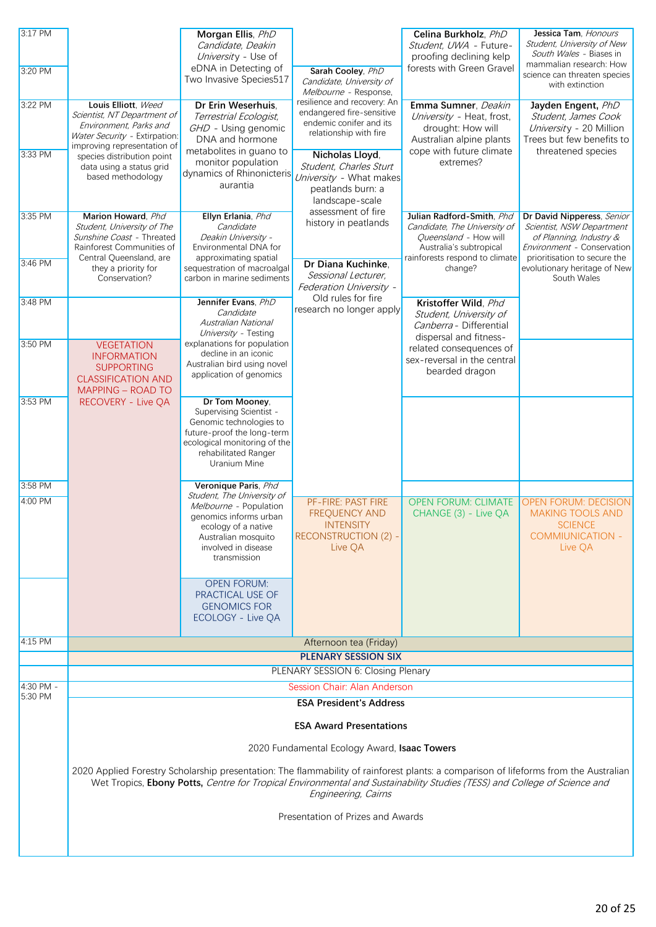| Student, University of New<br>Student, UWA - Future-<br>Candidate, Deakin<br>South Wales - Biases in<br>University - Use of<br>proofing declining kelp<br>mammalian research: How<br>eDNA in Detecting of<br>forests with Green Gravel<br>3:20 PM<br>Sarah Cooley, PhD<br>science can threaten species<br>Two Invasive Species517<br>Candidate, University of<br>with extinction<br>Melbourne - Response,<br>resilience and recovery: An<br>3:22 PM<br>Dr Erin Weserhuis,<br>Emma Sumner, Deakin<br>Louis Elliott, Weed<br>Jayden Engent, PhD<br>endangered fire-sensitive<br>Scientist, NT Department of<br>Terrestrial Ecologist,<br>University - Heat, frost,<br>Student, James Cook<br>endemic conifer and its<br>Environment, Parks and<br>GHD - Using genomic<br>University - 20 Million<br>drought: How will<br>relationship with fire<br>Water Security - Extirpation:<br>Trees but few benefits to<br>DNA and hormone<br>Australian alpine plants<br>improving representation of<br>metabolites in guano to<br>cope with future climate<br>threatened species<br>3:33 PM<br>Nicholas Lloyd,<br>species distribution point<br>monitor population<br>extremes?<br>Student, Charles Sturt<br>data using a status grid<br>dynamics of Rhinonicteris <i>University</i> - What makes<br>based methodology<br>aurantia<br>peatlands burn: a<br>landscape-scale<br>assessment of fire<br>3:35 PM<br>Marion Howard, Phd<br>Julian Radford-Smith, Phd<br>Ellyn Erlania, Phd<br>Dr David Nipperess, Senior<br>history in peatlands<br>Student, University of The<br>Candidate<br>Candidate, The University of<br>Scientist, NSW Department<br>Sunshine Coast - Threated<br>Deakin University -<br>Queensland - How will<br>of Planning, Industry &<br>Environment - Conservation<br>Rainforest Communities of<br>Environmental DNA for<br>Australia's subtropical<br>Central Queensland, are<br>approximating spatial<br>rainforests respond to climate<br>prioritisation to secure the<br>3:46 PM<br>Dr Diana Kuchinke,<br>they a priority for<br>sequestration of macroalgal<br>evolutionary heritage of New<br>change?<br>Sessional Lecturer,<br>Conservation?<br>carbon in marine sediments<br>South Wales<br>Federation University -<br>Old rules for fire<br>3:48 PM<br>Jennifer Evans, PhD<br>Kristoffer Wild, Phd<br>research no longer apply<br>Candidate<br>Student, University of<br>Australian National<br>Canberra - Differential<br>University - Testing<br>dispersal and fitness-<br>3:50 PM<br>explanations for population<br><b>VEGETATION</b><br>related consequences of<br>decline in an iconic<br><b>INFORMATION</b><br>sex-reversal in the central<br>Australian bird using novel<br><b>SUPPORTING</b><br>bearded dragon<br>application of genomics<br><b>CLASSIFICATION AND</b><br><b>MAPPING - ROAD TO</b><br>3:53 PM<br>Dr Tom Mooney,<br>RECOVERY - Live QA<br>Supervising Scientist -<br>Genomic technologies to<br>future-proof the long-term<br>ecological monitoring of the<br>rehabilitated Ranger<br>Uranium Mine<br>3:58 PM<br>Veronique Paris, Phd<br>Student, The University of<br>4:00 PM<br>PF-FIRE: PAST FIRE<br><b>OPEN FORUM: CLIMATE</b><br><b>OPEN FORUM: DECISION</b><br>Melbourne - Population<br>CHANGE (3) - Live QA<br><b>MAKING TOOLS AND</b><br><b>FREQUENCY AND</b><br>genomics informs urban<br><b>INTENSITY</b><br><b>SCIENCE</b><br>ecology of a native<br>COMMIUNICATION -<br><b>RECONSTRUCTION (2) -</b><br>Australian mosquito<br>involved in disease<br>Live QA<br>Live QA<br>transmission<br><b>OPEN FORUM:</b><br>PRACTICAL USE OF<br><b>GENOMICS FOR</b><br>ECOLOGY - Live QA<br>4:15 PM<br>Afternoon tea (Friday)<br><b>PLENARY SESSION SIX</b><br>PLENARY SESSION 6: Closing Plenary<br>4:30 PM -<br>Session Chair: Alan Anderson<br>5:30 PM<br><b>ESA President's Address</b><br><b>ESA Award Presentations</b><br>2020 Fundamental Ecology Award, Isaac Towers<br>2020 Applied Forestry Scholarship presentation: The flammability of rainforest plants: a comparison of lifeforms from the Australian<br>Wet Tropics, Ebony Potts, Centre for Tropical Environmental and Sustainability Studies (TESS) and College of Science and<br>Engineering, Cairns<br>Presentation of Prizes and Awards | 3:17 PM | Morgan Ellis, PhD | Celina Burkholz, PhD | Jessica Tam, Honours |
|-------------------------------------------------------------------------------------------------------------------------------------------------------------------------------------------------------------------------------------------------------------------------------------------------------------------------------------------------------------------------------------------------------------------------------------------------------------------------------------------------------------------------------------------------------------------------------------------------------------------------------------------------------------------------------------------------------------------------------------------------------------------------------------------------------------------------------------------------------------------------------------------------------------------------------------------------------------------------------------------------------------------------------------------------------------------------------------------------------------------------------------------------------------------------------------------------------------------------------------------------------------------------------------------------------------------------------------------------------------------------------------------------------------------------------------------------------------------------------------------------------------------------------------------------------------------------------------------------------------------------------------------------------------------------------------------------------------------------------------------------------------------------------------------------------------------------------------------------------------------------------------------------------------------------------------------------------------------------------------------------------------------------------------------------------------------------------------------------------------------------------------------------------------------------------------------------------------------------------------------------------------------------------------------------------------------------------------------------------------------------------------------------------------------------------------------------------------------------------------------------------------------------------------------------------------------------------------------------------------------------------------------------------------------------------------------------------------------------------------------------------------------------------------------------------------------------------------------------------------------------------------------------------------------------------------------------------------------------------------------------------------------------------------------------------------------------------------------------------------------------------------------------------------------------------------------------------------------------------------------------------------------------------------------------------------------------------------------------------------------------------------------------------------------------------------------------------------------------------------------------------------------------------------------------------------------------------------------------------------------------------------------------------------------------------------------------------------------------------------------------------------------------------------------------------------------------------------------------------------------------------------------------------------------------------------------------------------------------------------------------------------------------------------------------------------------------------------------------------------------------------------------------------------------------------------------------------------------------------------------------------------|---------|-------------------|----------------------|----------------------|
|                                                                                                                                                                                                                                                                                                                                                                                                                                                                                                                                                                                                                                                                                                                                                                                                                                                                                                                                                                                                                                                                                                                                                                                                                                                                                                                                                                                                                                                                                                                                                                                                                                                                                                                                                                                                                                                                                                                                                                                                                                                                                                                                                                                                                                                                                                                                                                                                                                                                                                                                                                                                                                                                                                                                                                                                                                                                                                                                                                                                                                                                                                                                                                                                                                                                                                                                                                                                                                                                                                                                                                                                                                                                                                                                                                                                                                                                                                                                                                                                                                                                                                                                                                                                                                                             |         |                   |                      |                      |
|                                                                                                                                                                                                                                                                                                                                                                                                                                                                                                                                                                                                                                                                                                                                                                                                                                                                                                                                                                                                                                                                                                                                                                                                                                                                                                                                                                                                                                                                                                                                                                                                                                                                                                                                                                                                                                                                                                                                                                                                                                                                                                                                                                                                                                                                                                                                                                                                                                                                                                                                                                                                                                                                                                                                                                                                                                                                                                                                                                                                                                                                                                                                                                                                                                                                                                                                                                                                                                                                                                                                                                                                                                                                                                                                                                                                                                                                                                                                                                                                                                                                                                                                                                                                                                                             |         |                   |                      |                      |
|                                                                                                                                                                                                                                                                                                                                                                                                                                                                                                                                                                                                                                                                                                                                                                                                                                                                                                                                                                                                                                                                                                                                                                                                                                                                                                                                                                                                                                                                                                                                                                                                                                                                                                                                                                                                                                                                                                                                                                                                                                                                                                                                                                                                                                                                                                                                                                                                                                                                                                                                                                                                                                                                                                                                                                                                                                                                                                                                                                                                                                                                                                                                                                                                                                                                                                                                                                                                                                                                                                                                                                                                                                                                                                                                                                                                                                                                                                                                                                                                                                                                                                                                                                                                                                                             |         |                   |                      |                      |
|                                                                                                                                                                                                                                                                                                                                                                                                                                                                                                                                                                                                                                                                                                                                                                                                                                                                                                                                                                                                                                                                                                                                                                                                                                                                                                                                                                                                                                                                                                                                                                                                                                                                                                                                                                                                                                                                                                                                                                                                                                                                                                                                                                                                                                                                                                                                                                                                                                                                                                                                                                                                                                                                                                                                                                                                                                                                                                                                                                                                                                                                                                                                                                                                                                                                                                                                                                                                                                                                                                                                                                                                                                                                                                                                                                                                                                                                                                                                                                                                                                                                                                                                                                                                                                                             |         |                   |                      |                      |
|                                                                                                                                                                                                                                                                                                                                                                                                                                                                                                                                                                                                                                                                                                                                                                                                                                                                                                                                                                                                                                                                                                                                                                                                                                                                                                                                                                                                                                                                                                                                                                                                                                                                                                                                                                                                                                                                                                                                                                                                                                                                                                                                                                                                                                                                                                                                                                                                                                                                                                                                                                                                                                                                                                                                                                                                                                                                                                                                                                                                                                                                                                                                                                                                                                                                                                                                                                                                                                                                                                                                                                                                                                                                                                                                                                                                                                                                                                                                                                                                                                                                                                                                                                                                                                                             |         |                   |                      |                      |
|                                                                                                                                                                                                                                                                                                                                                                                                                                                                                                                                                                                                                                                                                                                                                                                                                                                                                                                                                                                                                                                                                                                                                                                                                                                                                                                                                                                                                                                                                                                                                                                                                                                                                                                                                                                                                                                                                                                                                                                                                                                                                                                                                                                                                                                                                                                                                                                                                                                                                                                                                                                                                                                                                                                                                                                                                                                                                                                                                                                                                                                                                                                                                                                                                                                                                                                                                                                                                                                                                                                                                                                                                                                                                                                                                                                                                                                                                                                                                                                                                                                                                                                                                                                                                                                             |         |                   |                      |                      |
|                                                                                                                                                                                                                                                                                                                                                                                                                                                                                                                                                                                                                                                                                                                                                                                                                                                                                                                                                                                                                                                                                                                                                                                                                                                                                                                                                                                                                                                                                                                                                                                                                                                                                                                                                                                                                                                                                                                                                                                                                                                                                                                                                                                                                                                                                                                                                                                                                                                                                                                                                                                                                                                                                                                                                                                                                                                                                                                                                                                                                                                                                                                                                                                                                                                                                                                                                                                                                                                                                                                                                                                                                                                                                                                                                                                                                                                                                                                                                                                                                                                                                                                                                                                                                                                             |         |                   |                      |                      |
|                                                                                                                                                                                                                                                                                                                                                                                                                                                                                                                                                                                                                                                                                                                                                                                                                                                                                                                                                                                                                                                                                                                                                                                                                                                                                                                                                                                                                                                                                                                                                                                                                                                                                                                                                                                                                                                                                                                                                                                                                                                                                                                                                                                                                                                                                                                                                                                                                                                                                                                                                                                                                                                                                                                                                                                                                                                                                                                                                                                                                                                                                                                                                                                                                                                                                                                                                                                                                                                                                                                                                                                                                                                                                                                                                                                                                                                                                                                                                                                                                                                                                                                                                                                                                                                             |         |                   |                      |                      |
|                                                                                                                                                                                                                                                                                                                                                                                                                                                                                                                                                                                                                                                                                                                                                                                                                                                                                                                                                                                                                                                                                                                                                                                                                                                                                                                                                                                                                                                                                                                                                                                                                                                                                                                                                                                                                                                                                                                                                                                                                                                                                                                                                                                                                                                                                                                                                                                                                                                                                                                                                                                                                                                                                                                                                                                                                                                                                                                                                                                                                                                                                                                                                                                                                                                                                                                                                                                                                                                                                                                                                                                                                                                                                                                                                                                                                                                                                                                                                                                                                                                                                                                                                                                                                                                             |         |                   |                      |                      |
|                                                                                                                                                                                                                                                                                                                                                                                                                                                                                                                                                                                                                                                                                                                                                                                                                                                                                                                                                                                                                                                                                                                                                                                                                                                                                                                                                                                                                                                                                                                                                                                                                                                                                                                                                                                                                                                                                                                                                                                                                                                                                                                                                                                                                                                                                                                                                                                                                                                                                                                                                                                                                                                                                                                                                                                                                                                                                                                                                                                                                                                                                                                                                                                                                                                                                                                                                                                                                                                                                                                                                                                                                                                                                                                                                                                                                                                                                                                                                                                                                                                                                                                                                                                                                                                             |         |                   |                      |                      |
|                                                                                                                                                                                                                                                                                                                                                                                                                                                                                                                                                                                                                                                                                                                                                                                                                                                                                                                                                                                                                                                                                                                                                                                                                                                                                                                                                                                                                                                                                                                                                                                                                                                                                                                                                                                                                                                                                                                                                                                                                                                                                                                                                                                                                                                                                                                                                                                                                                                                                                                                                                                                                                                                                                                                                                                                                                                                                                                                                                                                                                                                                                                                                                                                                                                                                                                                                                                                                                                                                                                                                                                                                                                                                                                                                                                                                                                                                                                                                                                                                                                                                                                                                                                                                                                             |         |                   |                      |                      |
|                                                                                                                                                                                                                                                                                                                                                                                                                                                                                                                                                                                                                                                                                                                                                                                                                                                                                                                                                                                                                                                                                                                                                                                                                                                                                                                                                                                                                                                                                                                                                                                                                                                                                                                                                                                                                                                                                                                                                                                                                                                                                                                                                                                                                                                                                                                                                                                                                                                                                                                                                                                                                                                                                                                                                                                                                                                                                                                                                                                                                                                                                                                                                                                                                                                                                                                                                                                                                                                                                                                                                                                                                                                                                                                                                                                                                                                                                                                                                                                                                                                                                                                                                                                                                                                             |         |                   |                      |                      |
|                                                                                                                                                                                                                                                                                                                                                                                                                                                                                                                                                                                                                                                                                                                                                                                                                                                                                                                                                                                                                                                                                                                                                                                                                                                                                                                                                                                                                                                                                                                                                                                                                                                                                                                                                                                                                                                                                                                                                                                                                                                                                                                                                                                                                                                                                                                                                                                                                                                                                                                                                                                                                                                                                                                                                                                                                                                                                                                                                                                                                                                                                                                                                                                                                                                                                                                                                                                                                                                                                                                                                                                                                                                                                                                                                                                                                                                                                                                                                                                                                                                                                                                                                                                                                                                             |         |                   |                      |                      |
|                                                                                                                                                                                                                                                                                                                                                                                                                                                                                                                                                                                                                                                                                                                                                                                                                                                                                                                                                                                                                                                                                                                                                                                                                                                                                                                                                                                                                                                                                                                                                                                                                                                                                                                                                                                                                                                                                                                                                                                                                                                                                                                                                                                                                                                                                                                                                                                                                                                                                                                                                                                                                                                                                                                                                                                                                                                                                                                                                                                                                                                                                                                                                                                                                                                                                                                                                                                                                                                                                                                                                                                                                                                                                                                                                                                                                                                                                                                                                                                                                                                                                                                                                                                                                                                             |         |                   |                      |                      |
|                                                                                                                                                                                                                                                                                                                                                                                                                                                                                                                                                                                                                                                                                                                                                                                                                                                                                                                                                                                                                                                                                                                                                                                                                                                                                                                                                                                                                                                                                                                                                                                                                                                                                                                                                                                                                                                                                                                                                                                                                                                                                                                                                                                                                                                                                                                                                                                                                                                                                                                                                                                                                                                                                                                                                                                                                                                                                                                                                                                                                                                                                                                                                                                                                                                                                                                                                                                                                                                                                                                                                                                                                                                                                                                                                                                                                                                                                                                                                                                                                                                                                                                                                                                                                                                             |         |                   |                      |                      |
|                                                                                                                                                                                                                                                                                                                                                                                                                                                                                                                                                                                                                                                                                                                                                                                                                                                                                                                                                                                                                                                                                                                                                                                                                                                                                                                                                                                                                                                                                                                                                                                                                                                                                                                                                                                                                                                                                                                                                                                                                                                                                                                                                                                                                                                                                                                                                                                                                                                                                                                                                                                                                                                                                                                                                                                                                                                                                                                                                                                                                                                                                                                                                                                                                                                                                                                                                                                                                                                                                                                                                                                                                                                                                                                                                                                                                                                                                                                                                                                                                                                                                                                                                                                                                                                             |         |                   |                      |                      |
|                                                                                                                                                                                                                                                                                                                                                                                                                                                                                                                                                                                                                                                                                                                                                                                                                                                                                                                                                                                                                                                                                                                                                                                                                                                                                                                                                                                                                                                                                                                                                                                                                                                                                                                                                                                                                                                                                                                                                                                                                                                                                                                                                                                                                                                                                                                                                                                                                                                                                                                                                                                                                                                                                                                                                                                                                                                                                                                                                                                                                                                                                                                                                                                                                                                                                                                                                                                                                                                                                                                                                                                                                                                                                                                                                                                                                                                                                                                                                                                                                                                                                                                                                                                                                                                             |         |                   |                      |                      |
|                                                                                                                                                                                                                                                                                                                                                                                                                                                                                                                                                                                                                                                                                                                                                                                                                                                                                                                                                                                                                                                                                                                                                                                                                                                                                                                                                                                                                                                                                                                                                                                                                                                                                                                                                                                                                                                                                                                                                                                                                                                                                                                                                                                                                                                                                                                                                                                                                                                                                                                                                                                                                                                                                                                                                                                                                                                                                                                                                                                                                                                                                                                                                                                                                                                                                                                                                                                                                                                                                                                                                                                                                                                                                                                                                                                                                                                                                                                                                                                                                                                                                                                                                                                                                                                             |         |                   |                      |                      |
|                                                                                                                                                                                                                                                                                                                                                                                                                                                                                                                                                                                                                                                                                                                                                                                                                                                                                                                                                                                                                                                                                                                                                                                                                                                                                                                                                                                                                                                                                                                                                                                                                                                                                                                                                                                                                                                                                                                                                                                                                                                                                                                                                                                                                                                                                                                                                                                                                                                                                                                                                                                                                                                                                                                                                                                                                                                                                                                                                                                                                                                                                                                                                                                                                                                                                                                                                                                                                                                                                                                                                                                                                                                                                                                                                                                                                                                                                                                                                                                                                                                                                                                                                                                                                                                             |         |                   |                      |                      |
|                                                                                                                                                                                                                                                                                                                                                                                                                                                                                                                                                                                                                                                                                                                                                                                                                                                                                                                                                                                                                                                                                                                                                                                                                                                                                                                                                                                                                                                                                                                                                                                                                                                                                                                                                                                                                                                                                                                                                                                                                                                                                                                                                                                                                                                                                                                                                                                                                                                                                                                                                                                                                                                                                                                                                                                                                                                                                                                                                                                                                                                                                                                                                                                                                                                                                                                                                                                                                                                                                                                                                                                                                                                                                                                                                                                                                                                                                                                                                                                                                                                                                                                                                                                                                                                             |         |                   |                      |                      |
|                                                                                                                                                                                                                                                                                                                                                                                                                                                                                                                                                                                                                                                                                                                                                                                                                                                                                                                                                                                                                                                                                                                                                                                                                                                                                                                                                                                                                                                                                                                                                                                                                                                                                                                                                                                                                                                                                                                                                                                                                                                                                                                                                                                                                                                                                                                                                                                                                                                                                                                                                                                                                                                                                                                                                                                                                                                                                                                                                                                                                                                                                                                                                                                                                                                                                                                                                                                                                                                                                                                                                                                                                                                                                                                                                                                                                                                                                                                                                                                                                                                                                                                                                                                                                                                             |         |                   |                      |                      |
|                                                                                                                                                                                                                                                                                                                                                                                                                                                                                                                                                                                                                                                                                                                                                                                                                                                                                                                                                                                                                                                                                                                                                                                                                                                                                                                                                                                                                                                                                                                                                                                                                                                                                                                                                                                                                                                                                                                                                                                                                                                                                                                                                                                                                                                                                                                                                                                                                                                                                                                                                                                                                                                                                                                                                                                                                                                                                                                                                                                                                                                                                                                                                                                                                                                                                                                                                                                                                                                                                                                                                                                                                                                                                                                                                                                                                                                                                                                                                                                                                                                                                                                                                                                                                                                             |         |                   |                      |                      |
|                                                                                                                                                                                                                                                                                                                                                                                                                                                                                                                                                                                                                                                                                                                                                                                                                                                                                                                                                                                                                                                                                                                                                                                                                                                                                                                                                                                                                                                                                                                                                                                                                                                                                                                                                                                                                                                                                                                                                                                                                                                                                                                                                                                                                                                                                                                                                                                                                                                                                                                                                                                                                                                                                                                                                                                                                                                                                                                                                                                                                                                                                                                                                                                                                                                                                                                                                                                                                                                                                                                                                                                                                                                                                                                                                                                                                                                                                                                                                                                                                                                                                                                                                                                                                                                             |         |                   |                      |                      |
|                                                                                                                                                                                                                                                                                                                                                                                                                                                                                                                                                                                                                                                                                                                                                                                                                                                                                                                                                                                                                                                                                                                                                                                                                                                                                                                                                                                                                                                                                                                                                                                                                                                                                                                                                                                                                                                                                                                                                                                                                                                                                                                                                                                                                                                                                                                                                                                                                                                                                                                                                                                                                                                                                                                                                                                                                                                                                                                                                                                                                                                                                                                                                                                                                                                                                                                                                                                                                                                                                                                                                                                                                                                                                                                                                                                                                                                                                                                                                                                                                                                                                                                                                                                                                                                             |         |                   |                      |                      |
|                                                                                                                                                                                                                                                                                                                                                                                                                                                                                                                                                                                                                                                                                                                                                                                                                                                                                                                                                                                                                                                                                                                                                                                                                                                                                                                                                                                                                                                                                                                                                                                                                                                                                                                                                                                                                                                                                                                                                                                                                                                                                                                                                                                                                                                                                                                                                                                                                                                                                                                                                                                                                                                                                                                                                                                                                                                                                                                                                                                                                                                                                                                                                                                                                                                                                                                                                                                                                                                                                                                                                                                                                                                                                                                                                                                                                                                                                                                                                                                                                                                                                                                                                                                                                                                             |         |                   |                      |                      |
|                                                                                                                                                                                                                                                                                                                                                                                                                                                                                                                                                                                                                                                                                                                                                                                                                                                                                                                                                                                                                                                                                                                                                                                                                                                                                                                                                                                                                                                                                                                                                                                                                                                                                                                                                                                                                                                                                                                                                                                                                                                                                                                                                                                                                                                                                                                                                                                                                                                                                                                                                                                                                                                                                                                                                                                                                                                                                                                                                                                                                                                                                                                                                                                                                                                                                                                                                                                                                                                                                                                                                                                                                                                                                                                                                                                                                                                                                                                                                                                                                                                                                                                                                                                                                                                             |         |                   |                      |                      |
|                                                                                                                                                                                                                                                                                                                                                                                                                                                                                                                                                                                                                                                                                                                                                                                                                                                                                                                                                                                                                                                                                                                                                                                                                                                                                                                                                                                                                                                                                                                                                                                                                                                                                                                                                                                                                                                                                                                                                                                                                                                                                                                                                                                                                                                                                                                                                                                                                                                                                                                                                                                                                                                                                                                                                                                                                                                                                                                                                                                                                                                                                                                                                                                                                                                                                                                                                                                                                                                                                                                                                                                                                                                                                                                                                                                                                                                                                                                                                                                                                                                                                                                                                                                                                                                             |         |                   |                      |                      |
|                                                                                                                                                                                                                                                                                                                                                                                                                                                                                                                                                                                                                                                                                                                                                                                                                                                                                                                                                                                                                                                                                                                                                                                                                                                                                                                                                                                                                                                                                                                                                                                                                                                                                                                                                                                                                                                                                                                                                                                                                                                                                                                                                                                                                                                                                                                                                                                                                                                                                                                                                                                                                                                                                                                                                                                                                                                                                                                                                                                                                                                                                                                                                                                                                                                                                                                                                                                                                                                                                                                                                                                                                                                                                                                                                                                                                                                                                                                                                                                                                                                                                                                                                                                                                                                             |         |                   |                      |                      |
|                                                                                                                                                                                                                                                                                                                                                                                                                                                                                                                                                                                                                                                                                                                                                                                                                                                                                                                                                                                                                                                                                                                                                                                                                                                                                                                                                                                                                                                                                                                                                                                                                                                                                                                                                                                                                                                                                                                                                                                                                                                                                                                                                                                                                                                                                                                                                                                                                                                                                                                                                                                                                                                                                                                                                                                                                                                                                                                                                                                                                                                                                                                                                                                                                                                                                                                                                                                                                                                                                                                                                                                                                                                                                                                                                                                                                                                                                                                                                                                                                                                                                                                                                                                                                                                             |         |                   |                      |                      |
|                                                                                                                                                                                                                                                                                                                                                                                                                                                                                                                                                                                                                                                                                                                                                                                                                                                                                                                                                                                                                                                                                                                                                                                                                                                                                                                                                                                                                                                                                                                                                                                                                                                                                                                                                                                                                                                                                                                                                                                                                                                                                                                                                                                                                                                                                                                                                                                                                                                                                                                                                                                                                                                                                                                                                                                                                                                                                                                                                                                                                                                                                                                                                                                                                                                                                                                                                                                                                                                                                                                                                                                                                                                                                                                                                                                                                                                                                                                                                                                                                                                                                                                                                                                                                                                             |         |                   |                      |                      |
|                                                                                                                                                                                                                                                                                                                                                                                                                                                                                                                                                                                                                                                                                                                                                                                                                                                                                                                                                                                                                                                                                                                                                                                                                                                                                                                                                                                                                                                                                                                                                                                                                                                                                                                                                                                                                                                                                                                                                                                                                                                                                                                                                                                                                                                                                                                                                                                                                                                                                                                                                                                                                                                                                                                                                                                                                                                                                                                                                                                                                                                                                                                                                                                                                                                                                                                                                                                                                                                                                                                                                                                                                                                                                                                                                                                                                                                                                                                                                                                                                                                                                                                                                                                                                                                             |         |                   |                      |                      |
|                                                                                                                                                                                                                                                                                                                                                                                                                                                                                                                                                                                                                                                                                                                                                                                                                                                                                                                                                                                                                                                                                                                                                                                                                                                                                                                                                                                                                                                                                                                                                                                                                                                                                                                                                                                                                                                                                                                                                                                                                                                                                                                                                                                                                                                                                                                                                                                                                                                                                                                                                                                                                                                                                                                                                                                                                                                                                                                                                                                                                                                                                                                                                                                                                                                                                                                                                                                                                                                                                                                                                                                                                                                                                                                                                                                                                                                                                                                                                                                                                                                                                                                                                                                                                                                             |         |                   |                      |                      |
|                                                                                                                                                                                                                                                                                                                                                                                                                                                                                                                                                                                                                                                                                                                                                                                                                                                                                                                                                                                                                                                                                                                                                                                                                                                                                                                                                                                                                                                                                                                                                                                                                                                                                                                                                                                                                                                                                                                                                                                                                                                                                                                                                                                                                                                                                                                                                                                                                                                                                                                                                                                                                                                                                                                                                                                                                                                                                                                                                                                                                                                                                                                                                                                                                                                                                                                                                                                                                                                                                                                                                                                                                                                                                                                                                                                                                                                                                                                                                                                                                                                                                                                                                                                                                                                             |         |                   |                      |                      |
|                                                                                                                                                                                                                                                                                                                                                                                                                                                                                                                                                                                                                                                                                                                                                                                                                                                                                                                                                                                                                                                                                                                                                                                                                                                                                                                                                                                                                                                                                                                                                                                                                                                                                                                                                                                                                                                                                                                                                                                                                                                                                                                                                                                                                                                                                                                                                                                                                                                                                                                                                                                                                                                                                                                                                                                                                                                                                                                                                                                                                                                                                                                                                                                                                                                                                                                                                                                                                                                                                                                                                                                                                                                                                                                                                                                                                                                                                                                                                                                                                                                                                                                                                                                                                                                             |         |                   |                      |                      |
|                                                                                                                                                                                                                                                                                                                                                                                                                                                                                                                                                                                                                                                                                                                                                                                                                                                                                                                                                                                                                                                                                                                                                                                                                                                                                                                                                                                                                                                                                                                                                                                                                                                                                                                                                                                                                                                                                                                                                                                                                                                                                                                                                                                                                                                                                                                                                                                                                                                                                                                                                                                                                                                                                                                                                                                                                                                                                                                                                                                                                                                                                                                                                                                                                                                                                                                                                                                                                                                                                                                                                                                                                                                                                                                                                                                                                                                                                                                                                                                                                                                                                                                                                                                                                                                             |         |                   |                      |                      |
|                                                                                                                                                                                                                                                                                                                                                                                                                                                                                                                                                                                                                                                                                                                                                                                                                                                                                                                                                                                                                                                                                                                                                                                                                                                                                                                                                                                                                                                                                                                                                                                                                                                                                                                                                                                                                                                                                                                                                                                                                                                                                                                                                                                                                                                                                                                                                                                                                                                                                                                                                                                                                                                                                                                                                                                                                                                                                                                                                                                                                                                                                                                                                                                                                                                                                                                                                                                                                                                                                                                                                                                                                                                                                                                                                                                                                                                                                                                                                                                                                                                                                                                                                                                                                                                             |         |                   |                      |                      |
|                                                                                                                                                                                                                                                                                                                                                                                                                                                                                                                                                                                                                                                                                                                                                                                                                                                                                                                                                                                                                                                                                                                                                                                                                                                                                                                                                                                                                                                                                                                                                                                                                                                                                                                                                                                                                                                                                                                                                                                                                                                                                                                                                                                                                                                                                                                                                                                                                                                                                                                                                                                                                                                                                                                                                                                                                                                                                                                                                                                                                                                                                                                                                                                                                                                                                                                                                                                                                                                                                                                                                                                                                                                                                                                                                                                                                                                                                                                                                                                                                                                                                                                                                                                                                                                             |         |                   |                      |                      |
|                                                                                                                                                                                                                                                                                                                                                                                                                                                                                                                                                                                                                                                                                                                                                                                                                                                                                                                                                                                                                                                                                                                                                                                                                                                                                                                                                                                                                                                                                                                                                                                                                                                                                                                                                                                                                                                                                                                                                                                                                                                                                                                                                                                                                                                                                                                                                                                                                                                                                                                                                                                                                                                                                                                                                                                                                                                                                                                                                                                                                                                                                                                                                                                                                                                                                                                                                                                                                                                                                                                                                                                                                                                                                                                                                                                                                                                                                                                                                                                                                                                                                                                                                                                                                                                             |         |                   |                      |                      |
|                                                                                                                                                                                                                                                                                                                                                                                                                                                                                                                                                                                                                                                                                                                                                                                                                                                                                                                                                                                                                                                                                                                                                                                                                                                                                                                                                                                                                                                                                                                                                                                                                                                                                                                                                                                                                                                                                                                                                                                                                                                                                                                                                                                                                                                                                                                                                                                                                                                                                                                                                                                                                                                                                                                                                                                                                                                                                                                                                                                                                                                                                                                                                                                                                                                                                                                                                                                                                                                                                                                                                                                                                                                                                                                                                                                                                                                                                                                                                                                                                                                                                                                                                                                                                                                             |         |                   |                      |                      |
|                                                                                                                                                                                                                                                                                                                                                                                                                                                                                                                                                                                                                                                                                                                                                                                                                                                                                                                                                                                                                                                                                                                                                                                                                                                                                                                                                                                                                                                                                                                                                                                                                                                                                                                                                                                                                                                                                                                                                                                                                                                                                                                                                                                                                                                                                                                                                                                                                                                                                                                                                                                                                                                                                                                                                                                                                                                                                                                                                                                                                                                                                                                                                                                                                                                                                                                                                                                                                                                                                                                                                                                                                                                                                                                                                                                                                                                                                                                                                                                                                                                                                                                                                                                                                                                             |         |                   |                      |                      |
|                                                                                                                                                                                                                                                                                                                                                                                                                                                                                                                                                                                                                                                                                                                                                                                                                                                                                                                                                                                                                                                                                                                                                                                                                                                                                                                                                                                                                                                                                                                                                                                                                                                                                                                                                                                                                                                                                                                                                                                                                                                                                                                                                                                                                                                                                                                                                                                                                                                                                                                                                                                                                                                                                                                                                                                                                                                                                                                                                                                                                                                                                                                                                                                                                                                                                                                                                                                                                                                                                                                                                                                                                                                                                                                                                                                                                                                                                                                                                                                                                                                                                                                                                                                                                                                             |         |                   |                      |                      |
|                                                                                                                                                                                                                                                                                                                                                                                                                                                                                                                                                                                                                                                                                                                                                                                                                                                                                                                                                                                                                                                                                                                                                                                                                                                                                                                                                                                                                                                                                                                                                                                                                                                                                                                                                                                                                                                                                                                                                                                                                                                                                                                                                                                                                                                                                                                                                                                                                                                                                                                                                                                                                                                                                                                                                                                                                                                                                                                                                                                                                                                                                                                                                                                                                                                                                                                                                                                                                                                                                                                                                                                                                                                                                                                                                                                                                                                                                                                                                                                                                                                                                                                                                                                                                                                             |         |                   |                      |                      |
|                                                                                                                                                                                                                                                                                                                                                                                                                                                                                                                                                                                                                                                                                                                                                                                                                                                                                                                                                                                                                                                                                                                                                                                                                                                                                                                                                                                                                                                                                                                                                                                                                                                                                                                                                                                                                                                                                                                                                                                                                                                                                                                                                                                                                                                                                                                                                                                                                                                                                                                                                                                                                                                                                                                                                                                                                                                                                                                                                                                                                                                                                                                                                                                                                                                                                                                                                                                                                                                                                                                                                                                                                                                                                                                                                                                                                                                                                                                                                                                                                                                                                                                                                                                                                                                             |         |                   |                      |                      |
|                                                                                                                                                                                                                                                                                                                                                                                                                                                                                                                                                                                                                                                                                                                                                                                                                                                                                                                                                                                                                                                                                                                                                                                                                                                                                                                                                                                                                                                                                                                                                                                                                                                                                                                                                                                                                                                                                                                                                                                                                                                                                                                                                                                                                                                                                                                                                                                                                                                                                                                                                                                                                                                                                                                                                                                                                                                                                                                                                                                                                                                                                                                                                                                                                                                                                                                                                                                                                                                                                                                                                                                                                                                                                                                                                                                                                                                                                                                                                                                                                                                                                                                                                                                                                                                             |         |                   |                      |                      |
|                                                                                                                                                                                                                                                                                                                                                                                                                                                                                                                                                                                                                                                                                                                                                                                                                                                                                                                                                                                                                                                                                                                                                                                                                                                                                                                                                                                                                                                                                                                                                                                                                                                                                                                                                                                                                                                                                                                                                                                                                                                                                                                                                                                                                                                                                                                                                                                                                                                                                                                                                                                                                                                                                                                                                                                                                                                                                                                                                                                                                                                                                                                                                                                                                                                                                                                                                                                                                                                                                                                                                                                                                                                                                                                                                                                                                                                                                                                                                                                                                                                                                                                                                                                                                                                             |         |                   |                      |                      |
|                                                                                                                                                                                                                                                                                                                                                                                                                                                                                                                                                                                                                                                                                                                                                                                                                                                                                                                                                                                                                                                                                                                                                                                                                                                                                                                                                                                                                                                                                                                                                                                                                                                                                                                                                                                                                                                                                                                                                                                                                                                                                                                                                                                                                                                                                                                                                                                                                                                                                                                                                                                                                                                                                                                                                                                                                                                                                                                                                                                                                                                                                                                                                                                                                                                                                                                                                                                                                                                                                                                                                                                                                                                                                                                                                                                                                                                                                                                                                                                                                                                                                                                                                                                                                                                             |         |                   |                      |                      |
|                                                                                                                                                                                                                                                                                                                                                                                                                                                                                                                                                                                                                                                                                                                                                                                                                                                                                                                                                                                                                                                                                                                                                                                                                                                                                                                                                                                                                                                                                                                                                                                                                                                                                                                                                                                                                                                                                                                                                                                                                                                                                                                                                                                                                                                                                                                                                                                                                                                                                                                                                                                                                                                                                                                                                                                                                                                                                                                                                                                                                                                                                                                                                                                                                                                                                                                                                                                                                                                                                                                                                                                                                                                                                                                                                                                                                                                                                                                                                                                                                                                                                                                                                                                                                                                             |         |                   |                      |                      |
|                                                                                                                                                                                                                                                                                                                                                                                                                                                                                                                                                                                                                                                                                                                                                                                                                                                                                                                                                                                                                                                                                                                                                                                                                                                                                                                                                                                                                                                                                                                                                                                                                                                                                                                                                                                                                                                                                                                                                                                                                                                                                                                                                                                                                                                                                                                                                                                                                                                                                                                                                                                                                                                                                                                                                                                                                                                                                                                                                                                                                                                                                                                                                                                                                                                                                                                                                                                                                                                                                                                                                                                                                                                                                                                                                                                                                                                                                                                                                                                                                                                                                                                                                                                                                                                             |         |                   |                      |                      |
|                                                                                                                                                                                                                                                                                                                                                                                                                                                                                                                                                                                                                                                                                                                                                                                                                                                                                                                                                                                                                                                                                                                                                                                                                                                                                                                                                                                                                                                                                                                                                                                                                                                                                                                                                                                                                                                                                                                                                                                                                                                                                                                                                                                                                                                                                                                                                                                                                                                                                                                                                                                                                                                                                                                                                                                                                                                                                                                                                                                                                                                                                                                                                                                                                                                                                                                                                                                                                                                                                                                                                                                                                                                                                                                                                                                                                                                                                                                                                                                                                                                                                                                                                                                                                                                             |         |                   |                      |                      |
|                                                                                                                                                                                                                                                                                                                                                                                                                                                                                                                                                                                                                                                                                                                                                                                                                                                                                                                                                                                                                                                                                                                                                                                                                                                                                                                                                                                                                                                                                                                                                                                                                                                                                                                                                                                                                                                                                                                                                                                                                                                                                                                                                                                                                                                                                                                                                                                                                                                                                                                                                                                                                                                                                                                                                                                                                                                                                                                                                                                                                                                                                                                                                                                                                                                                                                                                                                                                                                                                                                                                                                                                                                                                                                                                                                                                                                                                                                                                                                                                                                                                                                                                                                                                                                                             |         |                   |                      |                      |
|                                                                                                                                                                                                                                                                                                                                                                                                                                                                                                                                                                                                                                                                                                                                                                                                                                                                                                                                                                                                                                                                                                                                                                                                                                                                                                                                                                                                                                                                                                                                                                                                                                                                                                                                                                                                                                                                                                                                                                                                                                                                                                                                                                                                                                                                                                                                                                                                                                                                                                                                                                                                                                                                                                                                                                                                                                                                                                                                                                                                                                                                                                                                                                                                                                                                                                                                                                                                                                                                                                                                                                                                                                                                                                                                                                                                                                                                                                                                                                                                                                                                                                                                                                                                                                                             |         |                   |                      |                      |
|                                                                                                                                                                                                                                                                                                                                                                                                                                                                                                                                                                                                                                                                                                                                                                                                                                                                                                                                                                                                                                                                                                                                                                                                                                                                                                                                                                                                                                                                                                                                                                                                                                                                                                                                                                                                                                                                                                                                                                                                                                                                                                                                                                                                                                                                                                                                                                                                                                                                                                                                                                                                                                                                                                                                                                                                                                                                                                                                                                                                                                                                                                                                                                                                                                                                                                                                                                                                                                                                                                                                                                                                                                                                                                                                                                                                                                                                                                                                                                                                                                                                                                                                                                                                                                                             |         |                   |                      |                      |
|                                                                                                                                                                                                                                                                                                                                                                                                                                                                                                                                                                                                                                                                                                                                                                                                                                                                                                                                                                                                                                                                                                                                                                                                                                                                                                                                                                                                                                                                                                                                                                                                                                                                                                                                                                                                                                                                                                                                                                                                                                                                                                                                                                                                                                                                                                                                                                                                                                                                                                                                                                                                                                                                                                                                                                                                                                                                                                                                                                                                                                                                                                                                                                                                                                                                                                                                                                                                                                                                                                                                                                                                                                                                                                                                                                                                                                                                                                                                                                                                                                                                                                                                                                                                                                                             |         |                   |                      |                      |
|                                                                                                                                                                                                                                                                                                                                                                                                                                                                                                                                                                                                                                                                                                                                                                                                                                                                                                                                                                                                                                                                                                                                                                                                                                                                                                                                                                                                                                                                                                                                                                                                                                                                                                                                                                                                                                                                                                                                                                                                                                                                                                                                                                                                                                                                                                                                                                                                                                                                                                                                                                                                                                                                                                                                                                                                                                                                                                                                                                                                                                                                                                                                                                                                                                                                                                                                                                                                                                                                                                                                                                                                                                                                                                                                                                                                                                                                                                                                                                                                                                                                                                                                                                                                                                                             |         |                   |                      |                      |
|                                                                                                                                                                                                                                                                                                                                                                                                                                                                                                                                                                                                                                                                                                                                                                                                                                                                                                                                                                                                                                                                                                                                                                                                                                                                                                                                                                                                                                                                                                                                                                                                                                                                                                                                                                                                                                                                                                                                                                                                                                                                                                                                                                                                                                                                                                                                                                                                                                                                                                                                                                                                                                                                                                                                                                                                                                                                                                                                                                                                                                                                                                                                                                                                                                                                                                                                                                                                                                                                                                                                                                                                                                                                                                                                                                                                                                                                                                                                                                                                                                                                                                                                                                                                                                                             |         |                   |                      |                      |
|                                                                                                                                                                                                                                                                                                                                                                                                                                                                                                                                                                                                                                                                                                                                                                                                                                                                                                                                                                                                                                                                                                                                                                                                                                                                                                                                                                                                                                                                                                                                                                                                                                                                                                                                                                                                                                                                                                                                                                                                                                                                                                                                                                                                                                                                                                                                                                                                                                                                                                                                                                                                                                                                                                                                                                                                                                                                                                                                                                                                                                                                                                                                                                                                                                                                                                                                                                                                                                                                                                                                                                                                                                                                                                                                                                                                                                                                                                                                                                                                                                                                                                                                                                                                                                                             |         |                   |                      |                      |
|                                                                                                                                                                                                                                                                                                                                                                                                                                                                                                                                                                                                                                                                                                                                                                                                                                                                                                                                                                                                                                                                                                                                                                                                                                                                                                                                                                                                                                                                                                                                                                                                                                                                                                                                                                                                                                                                                                                                                                                                                                                                                                                                                                                                                                                                                                                                                                                                                                                                                                                                                                                                                                                                                                                                                                                                                                                                                                                                                                                                                                                                                                                                                                                                                                                                                                                                                                                                                                                                                                                                                                                                                                                                                                                                                                                                                                                                                                                                                                                                                                                                                                                                                                                                                                                             |         |                   |                      |                      |
|                                                                                                                                                                                                                                                                                                                                                                                                                                                                                                                                                                                                                                                                                                                                                                                                                                                                                                                                                                                                                                                                                                                                                                                                                                                                                                                                                                                                                                                                                                                                                                                                                                                                                                                                                                                                                                                                                                                                                                                                                                                                                                                                                                                                                                                                                                                                                                                                                                                                                                                                                                                                                                                                                                                                                                                                                                                                                                                                                                                                                                                                                                                                                                                                                                                                                                                                                                                                                                                                                                                                                                                                                                                                                                                                                                                                                                                                                                                                                                                                                                                                                                                                                                                                                                                             |         |                   |                      |                      |
|                                                                                                                                                                                                                                                                                                                                                                                                                                                                                                                                                                                                                                                                                                                                                                                                                                                                                                                                                                                                                                                                                                                                                                                                                                                                                                                                                                                                                                                                                                                                                                                                                                                                                                                                                                                                                                                                                                                                                                                                                                                                                                                                                                                                                                                                                                                                                                                                                                                                                                                                                                                                                                                                                                                                                                                                                                                                                                                                                                                                                                                                                                                                                                                                                                                                                                                                                                                                                                                                                                                                                                                                                                                                                                                                                                                                                                                                                                                                                                                                                                                                                                                                                                                                                                                             |         |                   |                      |                      |
|                                                                                                                                                                                                                                                                                                                                                                                                                                                                                                                                                                                                                                                                                                                                                                                                                                                                                                                                                                                                                                                                                                                                                                                                                                                                                                                                                                                                                                                                                                                                                                                                                                                                                                                                                                                                                                                                                                                                                                                                                                                                                                                                                                                                                                                                                                                                                                                                                                                                                                                                                                                                                                                                                                                                                                                                                                                                                                                                                                                                                                                                                                                                                                                                                                                                                                                                                                                                                                                                                                                                                                                                                                                                                                                                                                                                                                                                                                                                                                                                                                                                                                                                                                                                                                                             |         |                   |                      |                      |
|                                                                                                                                                                                                                                                                                                                                                                                                                                                                                                                                                                                                                                                                                                                                                                                                                                                                                                                                                                                                                                                                                                                                                                                                                                                                                                                                                                                                                                                                                                                                                                                                                                                                                                                                                                                                                                                                                                                                                                                                                                                                                                                                                                                                                                                                                                                                                                                                                                                                                                                                                                                                                                                                                                                                                                                                                                                                                                                                                                                                                                                                                                                                                                                                                                                                                                                                                                                                                                                                                                                                                                                                                                                                                                                                                                                                                                                                                                                                                                                                                                                                                                                                                                                                                                                             |         |                   |                      |                      |
|                                                                                                                                                                                                                                                                                                                                                                                                                                                                                                                                                                                                                                                                                                                                                                                                                                                                                                                                                                                                                                                                                                                                                                                                                                                                                                                                                                                                                                                                                                                                                                                                                                                                                                                                                                                                                                                                                                                                                                                                                                                                                                                                                                                                                                                                                                                                                                                                                                                                                                                                                                                                                                                                                                                                                                                                                                                                                                                                                                                                                                                                                                                                                                                                                                                                                                                                                                                                                                                                                                                                                                                                                                                                                                                                                                                                                                                                                                                                                                                                                                                                                                                                                                                                                                                             |         |                   |                      |                      |
|                                                                                                                                                                                                                                                                                                                                                                                                                                                                                                                                                                                                                                                                                                                                                                                                                                                                                                                                                                                                                                                                                                                                                                                                                                                                                                                                                                                                                                                                                                                                                                                                                                                                                                                                                                                                                                                                                                                                                                                                                                                                                                                                                                                                                                                                                                                                                                                                                                                                                                                                                                                                                                                                                                                                                                                                                                                                                                                                                                                                                                                                                                                                                                                                                                                                                                                                                                                                                                                                                                                                                                                                                                                                                                                                                                                                                                                                                                                                                                                                                                                                                                                                                                                                                                                             |         |                   |                      |                      |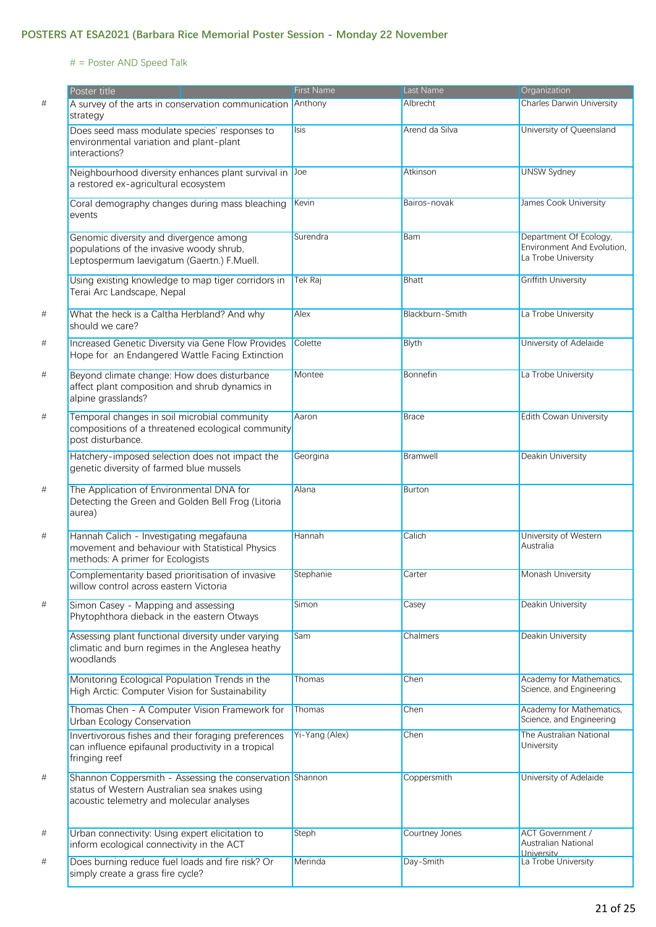### **POSTERS AT ESA2021 (Barbara Rice Memorial Poster Session - Monday 22 November**

 $#$  = Poster AND Speed Talk

|      | Poster title                                                                                                                                           | <b>First Name</b> | Last Name       | Organization                                                                |
|------|--------------------------------------------------------------------------------------------------------------------------------------------------------|-------------------|-----------------|-----------------------------------------------------------------------------|
| #    | A survey of the arts in conservation communication<br>strategy                                                                                         | Anthony           | Albrecht        | <b>Charles Darwin University</b>                                            |
|      | Does seed mass modulate species' responses to<br>environmental variation and plant-plant<br>interactions?                                              | <b>Isis</b>       | Arend da Silva  | University of Queensland                                                    |
|      | Neighbourhood diversity enhances plant survival in loe<br>a restored ex-agricultural ecosystem                                                         |                   | Atkinson        | <b>UNSW Sydney</b>                                                          |
|      | Coral demography changes during mass bleaching<br>events                                                                                               | Kevin             | Bairos-novak    | <b>James Cook University</b>                                                |
|      | Genomic diversity and divergence among<br>populations of the invasive woody shrub,<br>Leptospermum laevigatum (Gaertn.) F.Muell.                       | Surendra          | Bam             | Department Of Ecology,<br>Environment And Evolution,<br>La Trobe University |
|      | Using existing knowledge to map tiger corridors in<br>Terai Arc Landscape, Nepal                                                                       | <b>Tek Raj</b>    | Bhatt           | <b>Griffith University</b>                                                  |
| #    | What the heck is a Caltha Herbland? And why<br>should we care?                                                                                         | <b>Alex</b>       | Blackburn-Smith | La Trobe University                                                         |
| #    | Increased Genetic Diversity via Gene Flow Provides<br>Hope for an Endangered Wattle Facing Extinction                                                  | Colette           | <b>Blyth</b>    | University of Adelaide                                                      |
| #    | Beyond climate change: How does disturbance<br>affect plant composition and shrub dynamics in<br>alpine grasslands?                                    | Montee            | Bonnefin        | La Trobe University                                                         |
| #    | Temporal changes in soil microbial community<br>compositions of a threatened ecological community<br>post disturbance.                                 | Aaron             | <b>Brace</b>    | <b>Edith Cowan University</b>                                               |
|      | Hatchery-imposed selection does not impact the<br>genetic diversity of farmed blue mussels                                                             | Georgina          | Bramwell        | <b>Deakin University</b>                                                    |
| #    | The Application of Environmental DNA for<br>Detecting the Green and Golden Bell Frog (Litoria<br>aurea)                                                | Alana             | Burton          |                                                                             |
| #    | Hannah Calich - Investigating megafauna<br>movement and behaviour with Statistical Physics<br>methods: A primer for Ecologists                         | Hannah            | Calich          | University of Western<br>Australia                                          |
|      | Complementarity based prioritisation of invasive<br>willow control across eastern Victoria                                                             | Stephanie         | Carter          | Monash University                                                           |
| #    | Simon Casey - Mapping and assessing<br>Phytophthora dieback in the eastern Otways                                                                      | Simon             | Casey           | <b>Deakin University</b>                                                    |
|      | Assessing plant functional diversity under varying<br>climatic and burn regimes in the Anglesea heathy<br>woodlands                                    | Sam               | Chalmers        | <b>Deakin University</b>                                                    |
|      | Monitoring Ecological Population Trends in the<br>High Arctic: Computer Vision for Sustainability                                                      | Thomas            | Chen            | Academy for Mathematics,<br>Science, and Engineering                        |
|      | Thomas Chen - A Computer Vision Framework for<br>Urban Ecology Conservation                                                                            | Thomas            | Chen            | Academy for Mathematics,<br>Science, and Engineering                        |
|      | Invertivorous fishes and their foraging preferences<br>can influence epifaunal productivity in a tropical<br>fringing reef                             | Yi-Yang (Alex)    | Chen            | The Australian National<br>University                                       |
| #    | Shannon Coppersmith - Assessing the conservation Shannon<br>status of Western Australian sea snakes using<br>acoustic telemetry and molecular analyses |                   | Coppersmith     | University of Adelaide                                                      |
| #    | Urban connectivity: Using expert elicitation to<br>inform ecological connectivity in the ACT                                                           | Steph             | Courtney Jones  | ACT Government /<br>Australian National<br>University                       |
| $\#$ | Does burning reduce fuel loads and fire risk? Or<br>simply create a grass fire cycle?                                                                  | Merinda           | Day-Smith       | La Trobe University                                                         |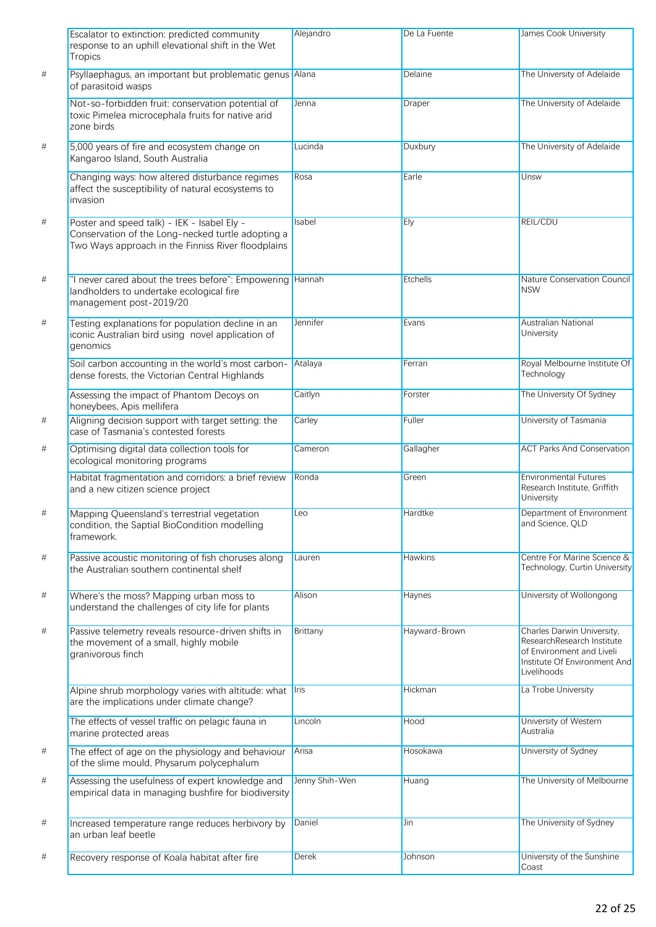|      | Escalator to extinction: predicted community<br>response to an uphill elevational shift in the Wet<br>Tropics                                          | Alejandro      | De La Fuente   | James Cook University                                                                                                                |
|------|--------------------------------------------------------------------------------------------------------------------------------------------------------|----------------|----------------|--------------------------------------------------------------------------------------------------------------------------------------|
| $\#$ | Psyllaephagus, an important but problematic genus Alana<br>of parasitoid wasps                                                                         |                | Delaine        | The University of Adelaide                                                                                                           |
|      | Not-so-forbidden fruit: conservation potential of<br>toxic Pimelea microcephala fruits for native arid<br>zone birds                                   | Jenna          | Draper         | The University of Adelaide                                                                                                           |
| #    | 5,000 years of fire and ecosystem change on<br>Kangaroo Island, South Australia                                                                        | Lucinda        | Duxbury        | The University of Adelaide                                                                                                           |
|      | Changing ways: how altered disturbance regimes<br>affect the susceptibility of natural ecosystems to<br>invasion                                       | Rosa           | Earle          | Unsw                                                                                                                                 |
| $\#$ | Poster and speed talk) - IEK - Isabel Ely -<br>Conservation of the Long-necked turtle adopting a<br>Two Ways approach in the Finniss River floodplains | Isabel         | <b>Ely</b>     | <b>REIL/CDU</b>                                                                                                                      |
| #    | "I never cared about the trees before": Empowering Hannah<br>landholders to undertake ecological fire<br>management post-2019/20                       |                | Etchells       | Nature Conservation Council<br><b>NSW</b>                                                                                            |
| #    | Testing explanations for population decline in an<br>iconic Australian bird using novel application of<br>genomics                                     | Jennifer       | Evans          | <b>Australian National</b><br>University                                                                                             |
|      | Soil carbon accounting in the world's most carbon-<br>dense forests, the Victorian Central Highlands                                                   | Atalaya        | Ferrari        | Royal Melbourne Institute Of<br>Technology                                                                                           |
|      | Assessing the impact of Phantom Decoys on<br>honeybees, Apis mellifera                                                                                 | Caitlyn        | Forster        | The University Of Sydney                                                                                                             |
| #    | Aligning decision support with target setting: the<br>case of Tasmania's contested forests                                                             | Carley         | Fuller         | University of Tasmania                                                                                                               |
| $\#$ | Optimising digital data collection tools for<br>ecological monitoring programs                                                                         | Cameron        | Gallagher      | <b>ACT Parks And Conservation</b>                                                                                                    |
|      | Habitat fragmentation and corridors: a brief review<br>and a new citizen science project                                                               | Ronda          | Green          | <b>Environmental Futures</b><br>Research Institute, Griffith<br>University                                                           |
| #    | Mapping Queensland's terrestrial vegetation<br>condition, the Saptial BioCondition modelling<br>framework.                                             | Leo            | Hardtke        | Department of Environment<br>and Science, QLD                                                                                        |
| $\#$ | Passive acoustic monitoring of fish choruses along<br>the Australian southern continental shelf                                                        | Lauren         | <b>Hawkins</b> | Centre For Marine Science &<br>Technology, Curtin University                                                                         |
| $\#$ | Where's the moss? Mapping urban moss to<br>understand the challenges of city life for plants                                                           | Alison         | <b>Haynes</b>  | University of Wollongong                                                                                                             |
| $\#$ | Passive telemetry reveals resource-driven shifts in<br>the movement of a small, highly mobile<br>granivorous finch                                     | Brittany       | Hayward-Brown  | Charles Darwin University,<br>ResearchResearch Institute<br>of Environment and Liveli<br>Institute Of Environment And<br>Livelihoods |
|      | Alpine shrub morphology varies with altitude: what liris<br>are the implications under climate change?                                                 |                | Hickman        | La Trobe University                                                                                                                  |
|      | The effects of vessel traffic on pelagic fauna in<br>marine protected areas                                                                            | Lincoln        | Hood           | University of Western<br>Australia                                                                                                   |
| #    | The effect of age on the physiology and behaviour<br>of the slime mould, Physarum polycephalum                                                         | Arisa          | Hosokawa       | University of Sydney                                                                                                                 |
| $\#$ | Assessing the usefulness of expert knowledge and<br>empirical data in managing bushfire for biodiversity                                               | Jenny Shih-Wen | Huang          | The University of Melbourne                                                                                                          |
| #    | Increased temperature range reduces herbivory by<br>an urban leaf beetle                                                                               | Daniel         | Jin            | The University of Sydney                                                                                                             |
| #    | Recovery response of Koala habitat after fire                                                                                                          | Derek          | Johnson        | University of the Sunshine<br>Coast                                                                                                  |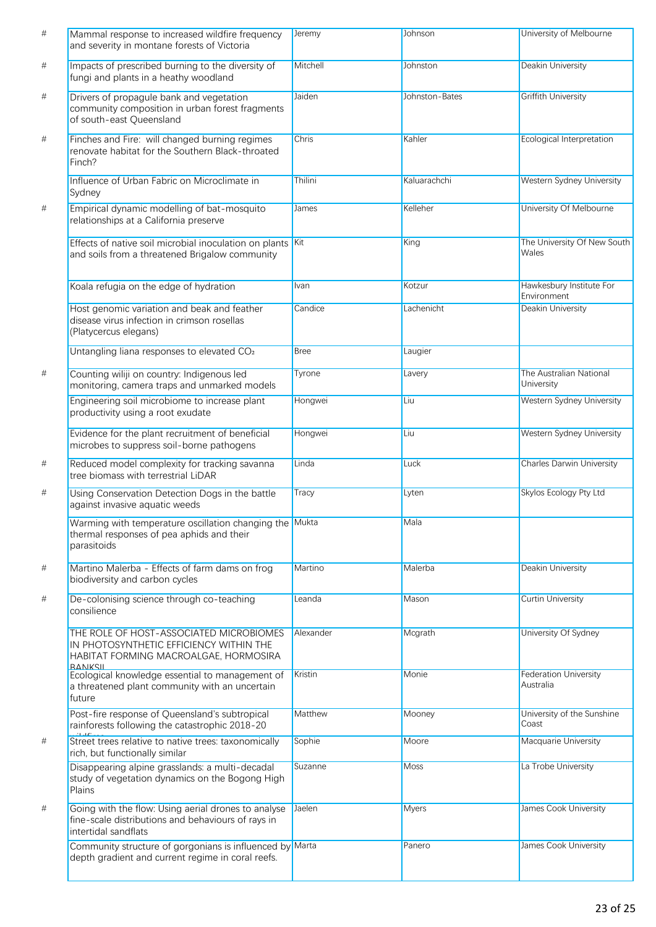| $\#$ | Mammal response to increased wildfire frequency<br>and severity in montane forests of Victoria                                                | Jeremy       | Johnson        | University of Melbourne                   |
|------|-----------------------------------------------------------------------------------------------------------------------------------------------|--------------|----------------|-------------------------------------------|
| $\#$ | Impacts of prescribed burning to the diversity of<br>fungi and plants in a heathy woodland                                                    | Mitchell     | Johnston       | <b>Deakin University</b>                  |
| $\#$ | Drivers of propagule bank and vegetation<br>community composition in urban forest fragments<br>of south-east Queensland                       | Jaiden       | Johnston-Bates | <b>Griffith University</b>                |
| #    | Finches and Fire: will changed burning regimes<br>renovate habitat for the Southern Black-throated<br>Finch?                                  | Chris        | Kahler         | Ecological Interpretation                 |
|      | Influence of Urban Fabric on Microclimate in<br>Sydney                                                                                        | Thilini      | Kaluarachchi   | <b>Western Sydney University</b>          |
| $\#$ | Empirical dynamic modelling of bat-mosquito<br>relationships at a California preserve                                                         | James        | Kelleher       | University Of Melbourne                   |
|      | Effects of native soil microbial inoculation on plants Kit<br>and soils from a threatened Brigalow community                                  |              | King           | The University Of New South<br>Wales      |
|      | Koala refugia on the edge of hydration                                                                                                        | Ivan         | Kotzur         | Hawkesbury Institute For<br>Environment   |
|      | Host genomic variation and beak and feather<br>disease virus infection in crimson rosellas<br>(Platycercus elegans)                           | Candice      | Lachenicht     | <b>Deakin University</b>                  |
|      | Untangling liana responses to elevated CO2                                                                                                    | <b>Bree</b>  | Laugier        |                                           |
| $\#$ | Counting wiliji on country: Indigenous led<br>monitoring, camera traps and unmarked models                                                    | Tyrone       | Lavery         | The Australian National<br>University     |
|      | Engineering soil microbiome to increase plant<br>productivity using a root exudate                                                            | Hongwei      | Liu            | <b>Western Sydney University</b>          |
|      | Evidence for the plant recruitment of beneficial<br>microbes to suppress soil-borne pathogens                                                 | Hongwei      | Liu            | <b>Western Sydney University</b>          |
| $\#$ | Reduced model complexity for tracking savanna<br>tree biomass with terrestrial LiDAR                                                          | Linda        | Luck           | <b>Charles Darwin University</b>          |
| $\#$ | Using Conservation Detection Dogs in the battle<br>against invasive aquatic weeds                                                             | <b>Tracy</b> | Lyten          | Skylos Ecology Pty Ltd                    |
|      | Warming with temperature oscillation changing the Mukta<br>thermal responses of pea aphids and their<br>parasitoids                           |              | Mala           |                                           |
| #    | Martino Malerba - Effects of farm dams on frog<br>biodiversity and carbon cycles                                                              | Martino      | Malerba        | <b>Deakin University</b>                  |
| $\#$ | De-colonising science through co-teaching<br>consilience                                                                                      | Leanda       | Mason          | <b>Curtin University</b>                  |
|      | THE ROLE OF HOST-ASSOCIATED MICROBIOMES<br>IN PHOTOSYNTHETIC EFFICIENCY WITHIN THE<br>HABITAT FORMING MACROALGAE, HORMOSIRA<br><b>RANKSIL</b> | Alexander    | Mcgrath        | <b>University Of Sydney</b>               |
|      | Ecological knowledge essential to management of<br>a threatened plant community with an uncertain<br>future                                   | Kristin      | Monie          | <b>Federation University</b><br>Australia |
|      | Post-fire response of Queensland's subtropical<br>rainforests following the catastrophic 2018-20                                              | Matthew      | Mooney         | University of the Sunshine<br>Coast       |
| #    | Street trees relative to native trees: taxonomically<br>rich, but functionally similar                                                        | Sophie       | Moore          | <b>Macquarie University</b>               |
|      | Disappearing alpine grasslands: a multi-decadal<br>study of vegetation dynamics on the Bogong High<br>Plains                                  | Suzanne      | <b>Moss</b>    | La Trobe University                       |
| $\#$ | Going with the flow: Using aerial drones to analyse<br>fine-scale distributions and behaviours of rays in<br>intertidal sandflats             | Jaelen       | <b>Myers</b>   | James Cook University                     |
|      | Community structure of gorgonians is influenced by Marta<br>depth gradient and current regime in coral reefs.                                 |              | Panero         | James Cook University                     |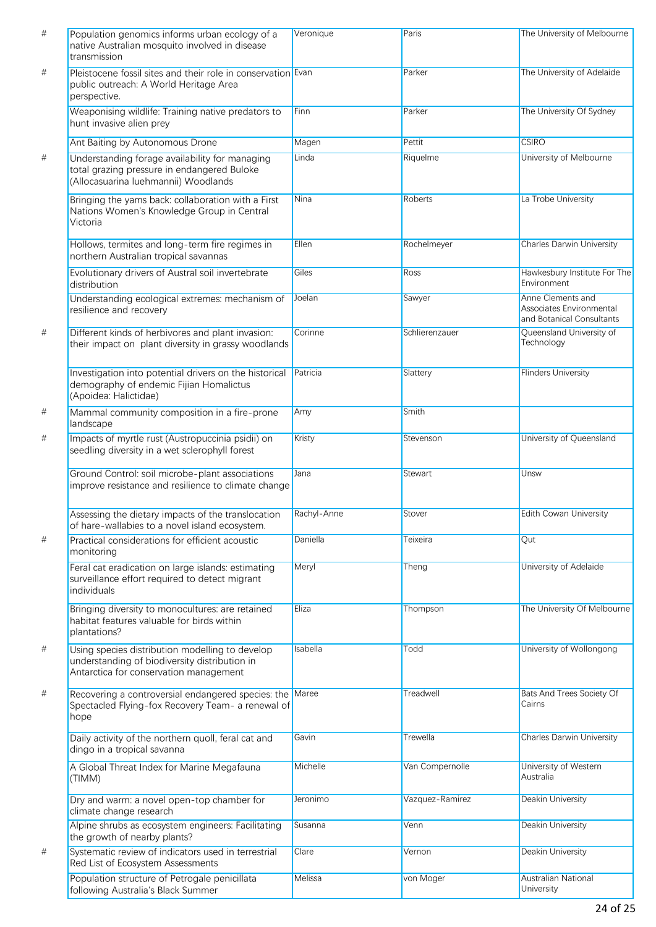| #    | Population genomics informs urban ecology of a<br>native Australian mosquito involved in disease<br>transmission                           | Veronique      | Paris           | The University of Melbourne                                                |
|------|--------------------------------------------------------------------------------------------------------------------------------------------|----------------|-----------------|----------------------------------------------------------------------------|
| $\#$ | Pleistocene fossil sites and their role in conservation Evan<br>public outreach: A World Heritage Area<br>perspective.                     |                | Parker          | The University of Adelaide                                                 |
|      | Weaponising wildlife: Training native predators to<br>hunt invasive alien prey                                                             | Finn           | Parker          | The University Of Sydney                                                   |
|      | Ant Baiting by Autonomous Drone                                                                                                            | Magen          | Pettit          | <b>CSIRO</b>                                                               |
| $\#$ | Understanding forage availability for managing<br>total grazing pressure in endangered Buloke<br>(Allocasuarina luehmannii) Woodlands      | Linda          | Riquelme        | University of Melbourne                                                    |
|      | Bringing the yams back: collaboration with a First<br>Nations Women's Knowledge Group in Central<br>Victoria                               | <b>Nina</b>    | Roberts         | La Trobe University                                                        |
|      | Hollows, termites and long-term fire regimes in<br>northern Australian tropical savannas                                                   | Ellen          | Rochelmeyer     | <b>Charles Darwin University</b>                                           |
|      | Evolutionary drivers of Austral soil invertebrate<br>distribution                                                                          | <b>Giles</b>   | <b>Ross</b>     | Hawkesbury Institute For The<br>Environment                                |
|      | Understanding ecological extremes: mechanism of<br>resilience and recovery                                                                 | Joelan         | Sawyer          | Anne Clements and<br>Associates Environmental<br>and Botanical Consultants |
| $\#$ | Different kinds of herbivores and plant invasion:<br>their impact on plant diversity in grassy woodlands                                   | Corinne        | Schlierenzauer  | Queensland University of<br>Technology                                     |
|      | Investigation into potential drivers on the historical<br>demography of endemic Fijian Homalictus<br>(Apoidea: Halictidae)                 | Patricia       | Slattery        | <b>Flinders University</b>                                                 |
| #    | Mammal community composition in a fire-prone<br>landscape                                                                                  | Amy            | <b>Smith</b>    |                                                                            |
| #    | Impacts of myrtle rust (Austropuccinia psidii) on<br>seedling diversity in a wet sclerophyll forest                                        | <b>Kristy</b>  | Stevenson       | University of Queensland                                                   |
|      | Ground Control: soil microbe-plant associations<br>improve resistance and resilience to climate change                                     | Jana           | Stewart         | Unsw                                                                       |
|      | Assessing the dietary impacts of the translocation<br>of hare-wallabies to a novel island ecosystem.                                       | Rachyl-Anne    | Stover          | <b>Edith Cowan University</b>                                              |
| $\#$ | Practical considerations for efficient acoustic<br>monitoring                                                                              | Daniella       | Teixeira        | Qut                                                                        |
|      | Feral cat eradication on large islands: estimating<br>surveillance effort required to detect migrant<br>individuals                        | Meryl          | Theng           | University of Adelaide                                                     |
|      | Bringing diversity to monocultures: are retained<br>habitat features valuable for birds within<br>plantations?                             | Eliza          | Thompson        | The University Of Melbourne                                                |
| #    | Using species distribution modelling to develop<br>understanding of biodiversity distribution in<br>Antarctica for conservation management | Isabella       | Todd            | University of Wollongong                                                   |
| $\#$ | Recovering a controversial endangered species: the Maree<br>Spectacled Flying-fox Recovery Team- a renewal of<br>hope                      |                | Treadwell       | Bats And Trees Society Of<br>Cairns                                        |
|      | Daily activity of the northern quoll, feral cat and<br>dingo in a tropical savanna                                                         | Gavin          | Trewella        | <b>Charles Darwin University</b>                                           |
|      | A Global Threat Index for Marine Megafauna<br>(TIMM)                                                                                       | Michelle       | Van Compernolle | University of Western<br>Australia                                         |
|      | Dry and warm: a novel open-top chamber for<br>climate change research                                                                      | Jeronimo       | Vazquez-Ramirez | <b>Deakin University</b>                                                   |
|      | Alpine shrubs as ecosystem engineers: Facilitating<br>the growth of nearby plants?                                                         | Susanna        | Venn            | <b>Deakin University</b>                                                   |
| $\#$ | Systematic review of indicators used in terrestrial<br>Red List of Ecosystem Assessments                                                   | Clare          | Vernon          | <b>Deakin University</b>                                                   |
|      | Population structure of Petrogale penicillata<br>following Australia's Black Summer                                                        | <b>Melissa</b> | von Moger       | Australian National<br>University                                          |